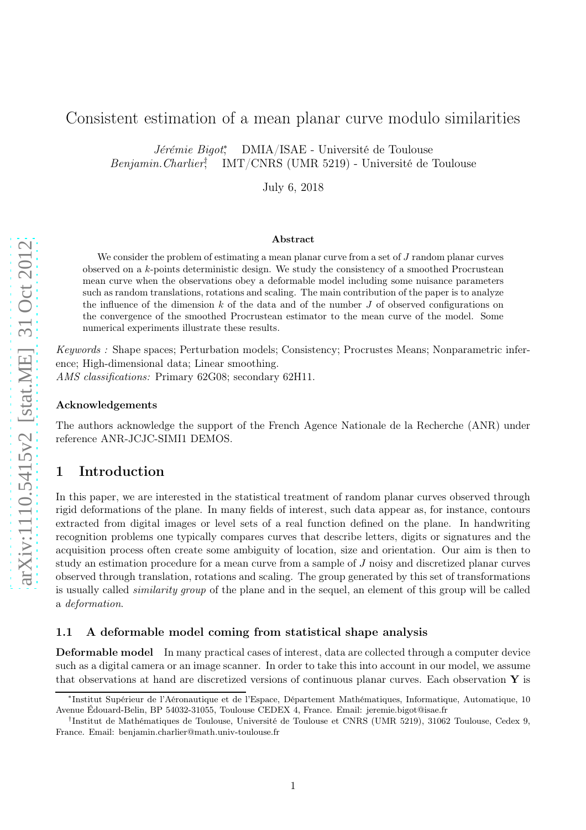# Consistent estimation of a mean planar curve modulo similarities

Jérémie Bigot<sup>∗</sup> , DMIA/ISAE - Université de Toulouse Benjamin.Charlier† , IMT/CNRS (UMR 5219) - Université de Toulouse

July 6, 2018

#### Abstract

We consider the problem of estimating a mean planar curve from a set of J random planar curves observed on a  $k$ -points deterministic design. We study the consistency of a smoothed Procrustean mean curve when the observations obey a deformable model including some nuisance parameters such as random translations, rotations and scaling. The main contribution of the paper is to analyze the influence of the dimension  $k$  of the data and of the number  $J$  of observed configurations on the convergence of the smoothed Procrustean estimator to the mean curve of the model. Some numerical experiments illustrate these results.

*Keywords :* Shape spaces; Perturbation models; Consistency; Procrustes Means; Nonparametric inference; High-dimensional data; Linear smoothing. *AMS classifications:* Primary 62G08; secondary 62H11.

### Acknowledgements

The authors acknowledge the support of the French Agence Nationale de la Recherche (ANR) under reference ANR-JCJC-SIMI1 DEMOS.

# 1 Introduction

In this paper, we are interested in the statistical treatment of random planar curves observed through rigid deformations of the plane. In many fields of interest, such data appear as, for instance, contours extracted from digital images or level sets of a real function defined on the plane. In handwriting recognition problems one typically compares curves that describe letters, digits or signatures and the acquisition process often create some ambiguity of location, size and orientation. Our aim is then to study an estimation procedure for a mean curve from a sample of J noisy and discretized planar curves observed through translation, rotations and scaling. The group generated by this set of transformations is usually called *similarity group* of the plane and in the sequel, an element of this group will be called a *deformation*.

#### <span id="page-0-0"></span>1.1 A deformable model coming from statistical shape analysis

Deformable model In many practical cases of interest, data are collected through a computer device such as a digital camera or an image scanner. In order to take this into account in our model, we assume that observations at hand are discretized versions of continuous planar curves. Each observation  $\bf{Y}$  is

<sup>∗</sup> Institut Supérieur de l'Aéronautique et de l'Espace, Département Mathématiques, Informatique, Automatique, 10 Avenue Édouard-Belin, BP 54032-31055, Toulouse CEDEX 4, France. Email: jeremie.bigot@isae.fr

<sup>†</sup> Institut de Mathématiques de Toulouse, Université de Toulouse et CNRS (UMR 5219), 31062 Toulouse, Cedex 9, France. Email: benjamin.charlier@math.univ-toulouse.fr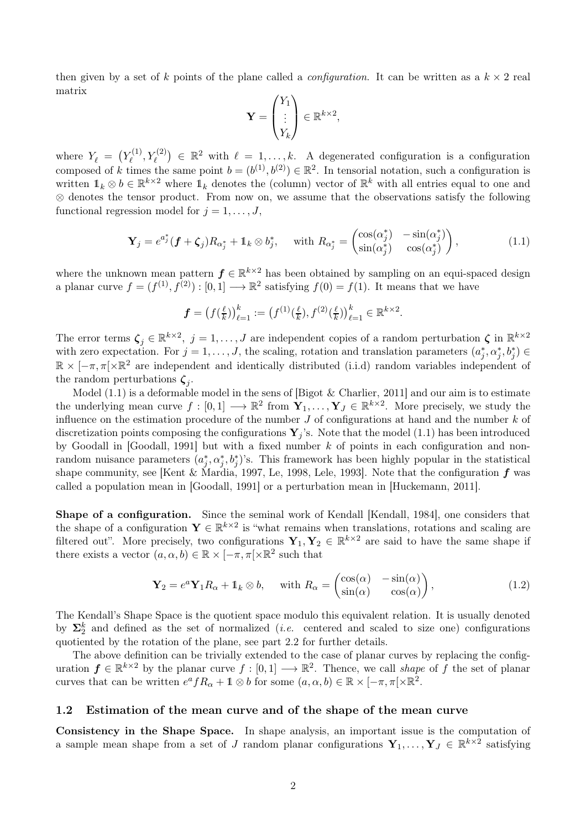then given by a set of k points of the plane called a *configuration*. It can be written as a  $k \times 2$  real matrix

<span id="page-1-0"></span>
$$
\mathbf{Y} = \begin{pmatrix} Y_1 \\ \vdots \\ Y_k \end{pmatrix} \in \mathbb{R}^{k \times 2},
$$

where  $Y_{\ell} = (Y_{\ell}^{(1)}$  $(Y^{(1)}_{\ell}, Y^{(2)}_{\ell}) \in \mathbb{R}^2$  with  $\ell = 1, \ldots, k$ . A degenerated configuration is a configuration composed of k times the same point  $b = (b^{(1)}, b^{(2)}) \in \mathbb{R}^2$ . In tensorial notation, such a configuration is written  $1_k \otimes b \in \mathbb{R}^{k \times 2}$  where  $1_k$  denotes the (column) vector of  $\mathbb{R}^k$  with all entries equal to one and ⊗ denotes the tensor product. From now on, we assume that the observations satisfy the following functional regression model for  $j = 1, \ldots, J$ ,

$$
\mathbf{Y}_{j} = e^{a_{j}^{*}}(\mathbf{f} + \zeta_{j})R_{\alpha_{j}^{*}} + \mathbb{1}_{k} \otimes b_{j}^{*}, \quad \text{with } R_{\alpha_{j}^{*}} = \begin{pmatrix} \cos(\alpha_{j}^{*}) & -\sin(\alpha_{j}^{*}) \\ \sin(\alpha_{j}^{*}) & \cos(\alpha_{j}^{*}) \end{pmatrix}, \tag{1.1}
$$

where the unknown mean pattern  $f \in \mathbb{R}^{k \times 2}$  has been obtained by sampling on an equi-spaced design a planar curve  $f = (f^{(1)}, f^{(2)}) : [0, 1] \longrightarrow \mathbb{R}^2$  satisfying  $f(0) = f(1)$ . It means that we have

$$
\boldsymbol{f} = \big(f(\tfrac{\ell}{k})\big)_{\ell=1}^k := \big(f^{(1)}(\tfrac{\ell}{k}), f^{(2)}(\tfrac{\ell}{k})\big)_{\ell=1}^k \in \mathbb{R}^{k \times 2}.
$$

The error terms  $\zeta_j \in \mathbb{R}^{k \times 2}$ ,  $j = 1, \ldots, J$  are independent copies of a random perturbation  $\zeta$  in  $\mathbb{R}^{k \times 2}$ with zero expectation. For  $j = 1, ..., J$ , the scaling, rotation and translation parameters  $(a_j^*, \alpha_j^*, b_j^*) \in$  $\mathbb{R} \times [-\pi, \pi] \times \mathbb{R}^2$  are independent and identically distributed (i.i.d) random variables independent of the random perturbations  $\zeta_j$ .

Model  $(1.1)$  is a deformable model in the sens of [\[Bigot & Charlier, 2011\]](#page-29-0) and our aim is to estimate the underlying mean curve  $f: [0,1] \longrightarrow \mathbb{R}^2$  from  $\mathbf{Y}_1,\ldots,\mathbf{Y}_J \in \mathbb{R}^{k \times 2}$ . More precisely, we study the influence on the estimation procedure of the number  $J$  of configurations at hand and the number  $k$  of discretization points composing the configurations  $\mathbf{Y}_i$ 's. Note that the model [\(1.1\)](#page-1-0) has been introduced by Goodall in [\[Goodall, 1991\]](#page-29-1) but with a fixed number  $k$  of points in each configuration and nonrandom nuisance parameters  $(a_j^*, \alpha_j^*, b_j^*)$ 's. This framework has been highly popular in the statistical shape community, see [\[Kent & Mardia, 1997,](#page-29-2) [Le, 1998,](#page-29-3) [Lele, 1993\]](#page-29-4). Note that the configuration  $f$  was called a population mean in [\[Goodall, 1991\]](#page-29-1) or a perturbation mean in [\[Huckemann, 2011\]](#page-29-5).

Shape of a configuration. Since the seminal work of Kendall [\[Kendall, 1984\]](#page-29-6), one considers that the shape of a configuration  $\mathbf{Y} \in \mathbb{R}^{k \times 2}$  is "what remains when translations, rotations and scaling are filtered out". More precisely, two configurations  $Y_1, Y_2 \in \mathbb{R}^{k \times 2}$  are said to have the same shape if there exists a vector  $(a, \alpha, b) \in \mathbb{R} \times [-\pi, \pi] \times \mathbb{R}^2$  such that

$$
\mathbf{Y}_2 = e^a \mathbf{Y}_1 R_\alpha + \mathbb{1}_k \otimes b, \quad \text{with } R_\alpha = \begin{pmatrix} \cos(\alpha) & -\sin(\alpha) \\ \sin(\alpha) & \cos(\alpha) \end{pmatrix}, \tag{1.2}
$$

The Kendall's Shape Space is the quotient space modulo this equivalent relation. It is usually denoted by  $\Sigma_2^k$  and defined as the set of normalized (*i.e.* centered and scaled to size one) configurations quotiented by the rotation of the plane, see part [2.2](#page-5-0) for further details.

The above definition can be trivially extended to the case of planar curves by replacing the configuration  $f \in \mathbb{R}^{k \times 2}$  by the planar curve  $f : [0,1] \longrightarrow \mathbb{R}^2$ . Thence, we call *shape* of f the set of planar curves that can be written  $e^a f R_\alpha + \mathbb{1} \otimes b$  for some  $(a, \alpha, b) \in \mathbb{R} \times [-\pi, \pi] \times \mathbb{R}^2$ .

### 1.2 Estimation of the mean curve and of the shape of the mean curve

Consistency in the Shape Space. In shape analysis, an important issue is the computation of a sample mean shape from a set of J random planar configurations  $Y_1, \ldots, Y_J \in \mathbb{R}^{k \times 2}$  satisfying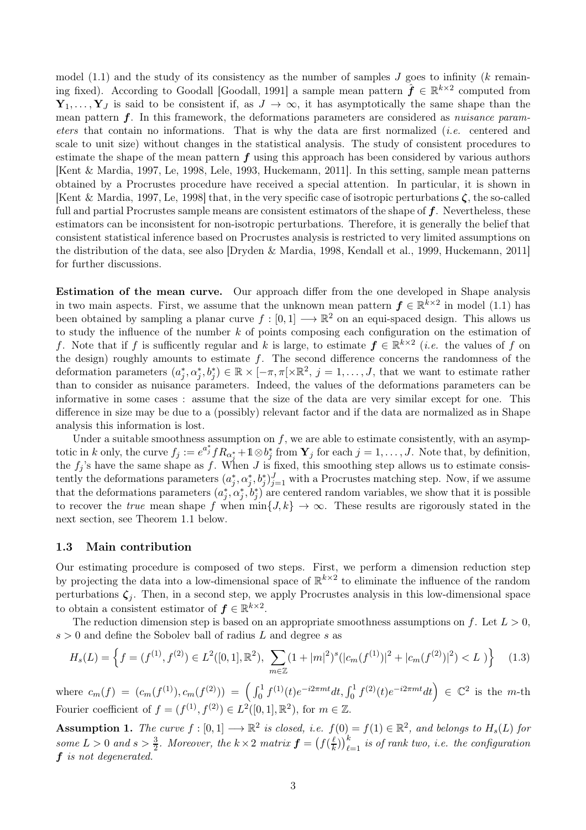model [\(1.1\)](#page-1-0) and the study of its consistency as the number of samples  $J$  goes to infinity (k remain-ing fixed). According to Goodall [\[Goodall, 1991\]](#page-29-1) a sample mean pattern  $\hat{\boldsymbol{f}} \in \mathbb{R}^{k \times 2}$  computed from  $Y_1, \ldots, Y_J$  is said to be consistent if, as  $J \to \infty$ , it has asymptotically the same shape than the mean pattern f. In this framework, the deformations parameters are considered as *nuisance parameters* that contain no informations. That is why the data are first normalized (*i.e.* centered and scale to unit size) without changes in the statistical analysis. The study of consistent procedures to estimate the shape of the mean pattern  $f$  using this approach has been considered by various authors [\[Kent & Mardia, 1997,](#page-29-2) [Le, 1998,](#page-29-3) [Lele, 1993,](#page-29-4) [Huckemann, 2011\]](#page-29-5). In this setting, sample mean patterns obtained by a Procrustes procedure have received a special attention. In particular, it is shown in [\[Kent & Mardia, 1997,](#page-29-2) [Le, 1998\]](#page-29-3) that, in the very specific case of isotropic perturbations  $\zeta$ , the so-called full and partial Procrustes sample means are consistent estimators of the shape of  $f$ . Nevertheless, these estimators can be inconsistent for non-isotropic perturbations. Therefore, it is generally the belief that consistent statistical inference based on Procrustes analysis is restricted to very limited assumptions on the distribution of the data, see also [\[Dryden & Mardia, 1998,](#page-29-7) [Kendall et al., 1999,](#page-29-8) [Huckemann, 2011\]](#page-29-5) for further discussions.

Estimation of the mean curve. Our approach differ from the one developed in Shape analysis in two main aspects. First, we assume that the unknown mean pattern  $f \in \mathbb{R}^{k \times 2}$  in model [\(1.1\)](#page-1-0) has been obtained by sampling a planar curve  $f : [0,1] \longrightarrow \mathbb{R}^2$  on an equi-spaced design. This allows us to study the influence of the number  $k$  of points composing each configuration on the estimation of f. Note that if f is sufficently regular and k is large, to estimate  $f \in \mathbb{R}^{k \times 2}$  (*i.e.* the values of f on the design) roughly amounts to estimate  $f$ . The second difference concerns the randomness of the deformation parameters  $(a_j^*, a_j^*, b_j^*) \in \mathbb{R} \times [-\pi, \pi[\times \mathbb{R}^2, j = 1, \ldots, J]$ , that we want to estimate rather than to consider as nuisance parameters. Indeed, the values of the deformations parameters can be informative in some cases : assume that the size of the data are very similar except for one. This difference in size may be due to a (possibly) relevant factor and if the data are normalized as in Shape analysis this information is lost.

Under a suitable smoothness assumption on  $f$ , we are able to estimate consistently, with an asymptotic in k only, the curve  $f_j := e^{a_j^*} f R_{\alpha_j^*} + 1 \otimes b_j^*$  from  $\mathbf{Y}_j$  for each  $j = 1, \ldots, J$ . Note that, by definition, the  $f_i$ 's have the same shape as f. When J is fixed, this smoothing step allows us to estimate consistently the deformations parameters  $(a_j^*, a_j^*, b_j^*)_{j=1}^J$  with a Procrustes matching step. Now, if we assume that the deformations parameters  $(a_j^*, a_j^*, b_j^*)$  are centered random variables, we show that it is possible to recover the *true* mean shape f when  $\min\{J, k\} \to \infty$ . These results are rigorously stated in the next section, see Theorem [1.1](#page-3-0) below.

#### 1.3 Main contribution

Our estimating procedure is composed of two steps. First, we perform a dimension reduction step by projecting the data into a low-dimensional space of  $\mathbb{R}^{k\times 2}$  to eliminate the influence of the random perturbations  $\zeta_j$ . Then, in a second step, we apply Procrustes analysis in this low-dimensional space to obtain a consistent estimator of  $f \in \mathbb{R}^{k \times 2}$ .

The reduction dimension step is based on an appropriate smoothness assumptions on f. Let  $L > 0$ ,  $s > 0$  and define the Sobolev ball of radius L and degree s as

<span id="page-2-1"></span>
$$
H_s(L) = \left\{ f = (f^{(1)}, f^{(2)}) \in L^2([0, 1], \mathbb{R}^2), \sum_{m \in \mathbb{Z}} (1 + |m|^2)^s (|c_m(f^{(1)})|^2 + |c_m(f^{(2)})|^2) < L \right\} \tag{1.3}
$$

where  $c_m(f) = (c_m(f^{(1)}), c_m(f^{(2)})) = (\int_0^1 f^{(1)}(t)e^{-i2\pi mt}dt, \int_0^1 f^{(2)}(t)e^{-i2\pi mt}dt) \in \mathbb{C}^2$  is the m-th Fourier coefficient of  $f = (f^{(1)}, f^{(2)}) \in L^2([0,1], \mathbb{R}^2)$ , for  $m \in \mathbb{Z}$ .

<span id="page-2-0"></span>Assumption 1. *The curve*  $f : [0,1] \longrightarrow \mathbb{R}^2$  is closed, i.e.  $f(0) = f(1) \in \mathbb{R}^2$ , and belongs to  $H_s(L)$  for some  $L > 0$  and  $s > \frac{3}{2}$ . Moreover, the  $k \times 2$  matrix  $\boldsymbol{f} = \left(f\left(\frac{\ell}{k}\right)\right)$  $\left(\frac{\ell}{k}\right)\right)_{\ell=1}^k$  is of rank two, i.e. the configuration f *is not degenerated.*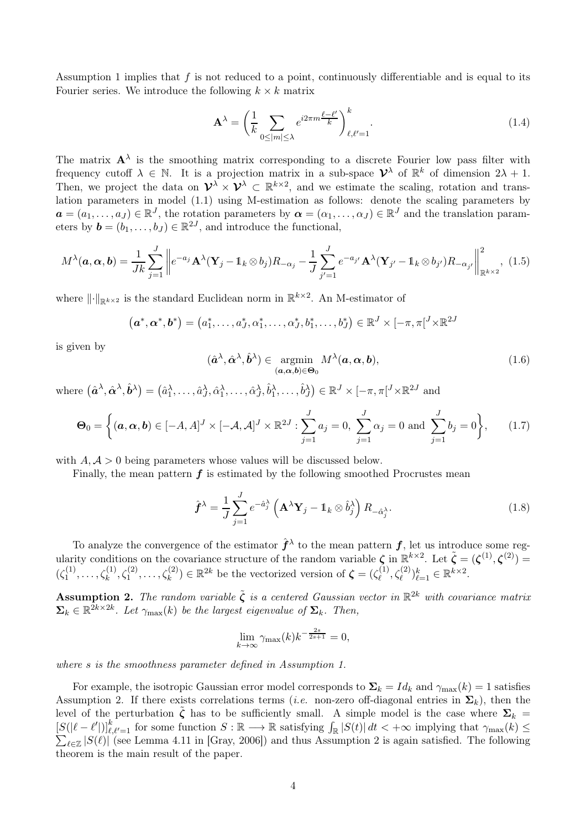Assumption [1](#page-2-0) implies that  $f$  is not reduced to a point, continuously differentiable and is equal to its Fourier series. We introduce the following  $k \times k$  matrix

<span id="page-3-4"></span>
$$
\mathbf{A}^{\lambda} = \left(\frac{1}{k} \sum_{0 \le |m| \le \lambda} e^{i2\pi m \frac{\ell - \ell'}{k}} \right)_{\ell, \ell'=1}^{k}.
$$
 (1.4)

The matrix  $A^{\lambda}$  is the smoothing matrix corresponding to a discrete Fourier low pass filter with frequency cutoff  $\lambda \in \mathbb{N}$ . It is a projection matrix in a sub-space  $\mathcal{V}^{\lambda}$  of  $\mathbb{R}^{k}$  of dimension  $2\lambda + 1$ . Then, we project the data on  $\mathcal{V}^{\lambda} \times \mathcal{V}^{\lambda} \subset \mathbb{R}^{k \times 2}$ , and we estimate the scaling, rotation and translation parameters in model [\(1.1\)](#page-1-0) using M-estimation as follows: denote the scaling parameters by  $a = (a_1, \ldots, a_J) \in \mathbb{R}^J$ , the rotation parameters by  $\boldsymbol{\alpha} = (\alpha_1, \ldots, \alpha_J) \in \mathbb{R}^J$  and the translation parameters by  $\mathbf{b} = (b_1, \ldots, b_J) \in \mathbb{R}^{2J}$ , and introduce the functional,

$$
M^{\lambda}(\boldsymbol{a},\boldsymbol{\alpha},\boldsymbol{b}) = \frac{1}{Jk} \sum_{j=1}^{J} \left\| e^{-a_j} \mathbf{A}^{\lambda} (\mathbf{Y}_j - \mathbb{1}_k \otimes b_j) R_{-\alpha_j} - \frac{1}{J} \sum_{j'=1}^{J} e^{-a_{j'}} \mathbf{A}^{\lambda} (\mathbf{Y}_{j'} - \mathbb{1}_k \otimes b_{j'}) R_{-\alpha_{j'}} \right\|_{\mathbb{R}^{k \times 2}}^2, (1.5)
$$

where  $\lVert \cdot \rVert_{\mathbb{R}^{k\times 2}}$  is the standard Euclidean norm in  $\mathbb{R}^{k\times 2}$ . An M-estimator of

<span id="page-3-2"></span>
$$
(\boldsymbol{a}^*,\boldsymbol{\alpha}^*,\boldsymbol{b}^*)=(a_1^*,\ldots,a_J^*,\alpha_1^*,\ldots,\alpha_J^*,b_1^*,\ldots,b_J^*)\in\mathbb{R}^J\times[-\pi,\pi]^J\times\mathbb{R}^{2J}
$$

is given by

<span id="page-3-5"></span>
$$
(\hat{\boldsymbol{a}}^{\lambda}, \hat{\boldsymbol{\alpha}}^{\lambda}, \hat{\boldsymbol{b}}^{\lambda}) \in \underset{(\boldsymbol{a}, \boldsymbol{\alpha}, \boldsymbol{b}) \in \Theta_0}{\operatorname{argmin}} M^{\lambda}(\boldsymbol{a}, \boldsymbol{\alpha}, \boldsymbol{b}),
$$
\n(1.6)

where  $(\hat{\boldsymbol{a}}^{\lambda}, \hat{\boldsymbol{\alpha}}^{\lambda}, \hat{\boldsymbol{b}}^{\lambda}) = (\hat{a}_1^{\lambda}, \dots, \hat{a}_J^{\lambda}, \hat{\alpha}_1^{\lambda}, \dots, \hat{\alpha}_J^{\lambda}, \hat{b}_1^{\lambda}, \dots, \hat{b}_J^{\lambda}) \in \mathbb{R}^J \times [-\pi, \pi[^J \times \mathbb{R}^{2J} \text{ and }$ 

$$
\Theta_0 = \left\{ (\bm{a}, \bm{\alpha}, \bm{b}) \in [-A, A]^J \times [-A, A]^J \times \mathbb{R}^{2J} : \sum_{j=1}^J a_j = 0, \sum_{j=1}^J \alpha_j = 0 \text{ and } \sum_{j=1}^J b_j = 0 \right\},\qquad(1.7)
$$

with  $A, \mathcal{A} > 0$  being parameters whose values will be discussed below.

Finally, the mean pattern  $f$  is estimated by the following smoothed Procrustes mean

<span id="page-3-3"></span>
$$
\hat{\boldsymbol{f}}^{\lambda} = \frac{1}{J} \sum_{j=1}^{J} e^{-\hat{a}_{j}^{\lambda}} \left( \mathbf{A}^{\lambda} \mathbf{Y}_{j} - \mathbb{1}_{k} \otimes \hat{b}_{j}^{\lambda} \right) R_{-\hat{a}_{j}^{\lambda}}.
$$
\n(1.8)

To analyze the convergence of the estimator  $\hat{f}^{\lambda}$  to the mean pattern  $f$ , let us introduce some regularity conditions on the covariance structure of the random variable  $\zeta$  in  $\mathbb{R}^{k\times 2}$ . Let  $\tilde{\zeta}=(\zeta^{(1)},\zeta^{(2)})=$  $(ζ_1^{(1)}$  $\mathcal{L}_1^{(1)}, \ldots, \mathcal{L}_k^{(1)}, \mathcal{L}_1^{(2)}, \ldots, \mathcal{L}_k^{(2)}$   $\in \mathbb{R}^{2k}$  be the vectorized version of  $\boldsymbol{\zeta} = (\zeta_{\ell}^{(1)}, \zeta_{\ell}^{(2)}, \ldots, \zeta_{k}^{(2)})$  $(\ell^{(1)}, \zeta_{\ell}^{(2)})_{\ell=1}^k \in \mathbb{R}^{k \times 2}$ .

<span id="page-3-1"></span>**Assumption 2.** The random variable  $\tilde{\zeta}$  is a centered Gaussian vector in  $\mathbb{R}^{2k}$  with covariance matrix  $\Sigma_k \in \mathbb{R}^{2k \times 2k}$ *. Let*  $\gamma_{\max}(k)$  *be the largest eigenvalue of*  $\Sigma_k$ *. Then,* 

$$
\lim_{k \to \infty} \gamma_{\max}(k) k^{-\frac{2s}{2s+1}} = 0,
$$

*where* s *is the smoothness parameter defined in Assumption [1.](#page-2-0)*

<span id="page-3-0"></span>For example, the isotropic Gaussian error model corresponds to  $\Sigma_k = Id_k$  and  $\gamma_{\text{max}}(k) = 1$  satisfies Assumption [2.](#page-3-1) If there exists correlations terms (*i.e.* non-zero off-diagonal entries in  $\Sigma_k$ ), then the level of the perturbation  $\tilde{\zeta}$  has to be sufficiently small. A simple model is the case where  $\Sigma_k =$  $[S(|\ell - \ell')]\_{\ell, \ell'=1}^k$  for some function  $S : \mathbb{R} \longrightarrow \mathbb{R}$  satisfying  $\int_{\mathbb{R}} |S(t)| dt < +\infty$  implying that  $\gamma_{\max}(k) \le$  $\sum_{\ell \in \mathbb{Z}} |S(\ell)|$  (see Lemma 4.11 in [\[Gray, 2006\]](#page-29-9)) and thus Assumption [2](#page-3-1) is again satisfied. The following theorem is the main result of the paper.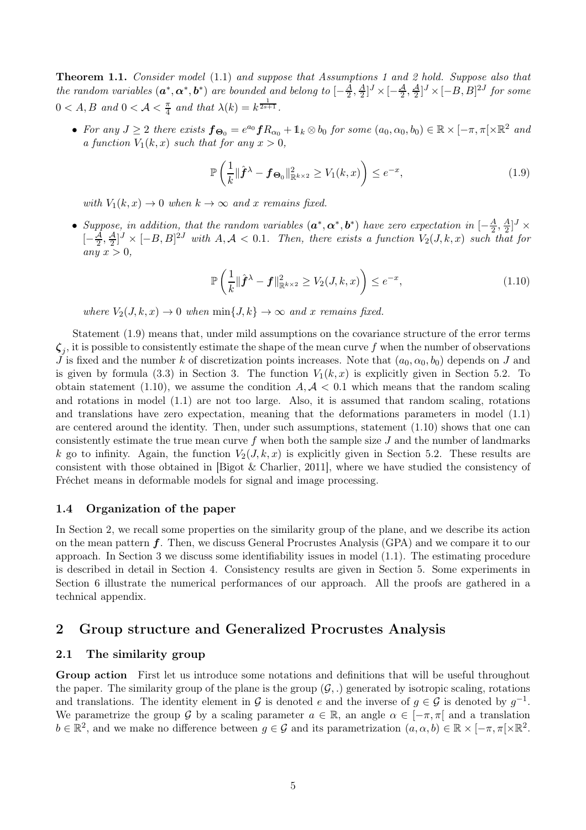Theorem 1.1. *Consider model* [\(1.1\)](#page-1-0) *and suppose that Assumptions [1](#page-2-0) and [2](#page-3-1) hold. Suppose also that the random variables*  $(a^*, \alpha^*, b^*)$  *are bounded and belong to*  $\left[-\frac{A}{2}\right]$  $\frac{A}{2}, \frac{A}{2}$  $\frac{A}{2}$ ]<sup>*J*</sup> ×  $\left[-\frac{A}{2},\frac{A}{2}\right]$ <sup>*J*</sup> ×  $\left[-B,B\right]$ <sup>2*J*</sup> for some  $0 < A, B \text{ and } 0 < A < \frac{\pi}{4} \text{ and that } \lambda(k) = k^{\frac{1}{2s+1}}.$ 

• For any  $J \geq 2$  there exists  $f_{\Theta_0} = e^{a_0} f R_{\alpha_0} + \mathbb{1}_k \otimes b_0$  for some  $(a_0, \alpha_0, b_0) \in \mathbb{R} \times [-\pi, \pi] \times \mathbb{R}^2$  and *a function*  $V_1(k, x)$  *such that for any*  $x > 0$ *,* 

<span id="page-4-0"></span>
$$
\mathbb{P}\left(\frac{1}{k}\|\hat{\boldsymbol{f}}^{\lambda}-\boldsymbol{f}_{\boldsymbol{\Theta}_{0}}\|_{\mathbb{R}^{k\times2}}^{2}\geq V_{1}(k,x)\right)\leq e^{-x},\tag{1.9}
$$

*with*  $V_1(k, x) \rightarrow 0$  *when*  $k \rightarrow \infty$  *and* x *remains fixed.* 

• Suppose, in addition, that the random variables  $(a^*, \alpha^*, b^*)$  have zero expectation in  $\left[-\frac{A}{2}\right]$  $\frac{A}{2}, \frac{A}{2}$  $\frac{A}{2}$ ] $^J$   $\times$  $[-\frac{\mathcal{A}}{2}, \frac{\mathcal{A}}{2}]^J \times [-B, B]^{\mathcal{2}J}$  with  $A, \mathcal{A} < 0.1$ . Then, there exists a function  $V_2(J, k, x)$  such that for  $any x > 0,$ 

<span id="page-4-1"></span>
$$
\mathbb{P}\left(\frac{1}{k}\|\hat{\boldsymbol{f}}^{\lambda}-\boldsymbol{f}\|_{\mathbb{R}^{k\times2}}^{2}\geq V_{2}(J,k,x)\right)\leq e^{-x},\tag{1.10}
$$

*where*  $V_2(J, k, x) \to 0$  *when*  $\min\{J, k\} \to \infty$  *and* x *remains fixed.* 

Statement [\(1.9\)](#page-4-0) means that, under mild assumptions on the covariance structure of the error terms  $\zeta_j$ , it is possible to consistently estimate the shape of the mean curve f when the number of observations J is fixed and the number k of discretization points increases. Note that  $(a_0, \alpha_0, b_0)$  depends on J and is given by formula [\(3.3\)](#page-9-0) in Section [3.](#page-8-0) The function  $V_1(k, x)$  is explicitly given in Section [5.2.](#page-13-0) To obtain statement [\(1.10\)](#page-4-1), we assume the condition  $A, A < 0.1$  which means that the random scaling and rotations in model [\(1.1\)](#page-1-0) are not too large. Also, it is assumed that random scaling, rotations and translations have zero expectation, meaning that the deformations parameters in model [\(1.1\)](#page-1-0) are centered around the identity. Then, under such assumptions, statement [\(1.10\)](#page-4-1) shows that one can consistently estimate the true mean curve  $f$  when both the sample size  $J$  and the number of landmarks k go to infinity. Again, the function  $V_2(J, k, x)$  is explicitly given in Section [5.2.](#page-13-0) These results are consistent with those obtained in [\[Bigot & Charlier, 2011\]](#page-29-0), where we have studied the consistency of Fréchet means in deformable models for signal and image processing.

### 1.4 Organization of the paper

In Section [2,](#page-4-2) we recall some properties on the similarity group of the plane, and we describe its action on the mean pattern f. Then, we discuss General Procrustes Analysis (GPA) and we compare it to our approach. In Section [3](#page-8-0) we discuss some identifiability issues in model [\(1.1\)](#page-1-0). The estimating procedure is described in detail in Section [4.](#page-10-0) Consistency results are given in Section [5.](#page-12-0) Some experiments in Section [6](#page-13-1) illustrate the numerical performances of our approach. All the proofs are gathered in a technical appendix.

## <span id="page-4-2"></span>2 Group structure and Generalized Procrustes Analysis

### <span id="page-4-3"></span>2.1 The similarity group

Group action First let us introduce some notations and definitions that will be useful throughout the paper. The similarity group of the plane is the group  $(\mathcal{G},.)$  generated by isotropic scaling, rotations and translations. The identity element in  $\mathcal G$  is denoted  $e$  and the inverse of  $g \in \mathcal G$  is denoted by  $g^{-1}$ . We parametrize the group G by a scaling parameter  $a \in \mathbb{R}$ , an angle  $\alpha \in [-\pi, \pi]$  and a translation  $b \in \mathbb{R}^2$ , and we make no difference between  $g \in \mathcal{G}$  and its parametrization  $(a, \alpha, b) \in \mathbb{R} \times [-\pi, \pi] \times \mathbb{R}^2$ .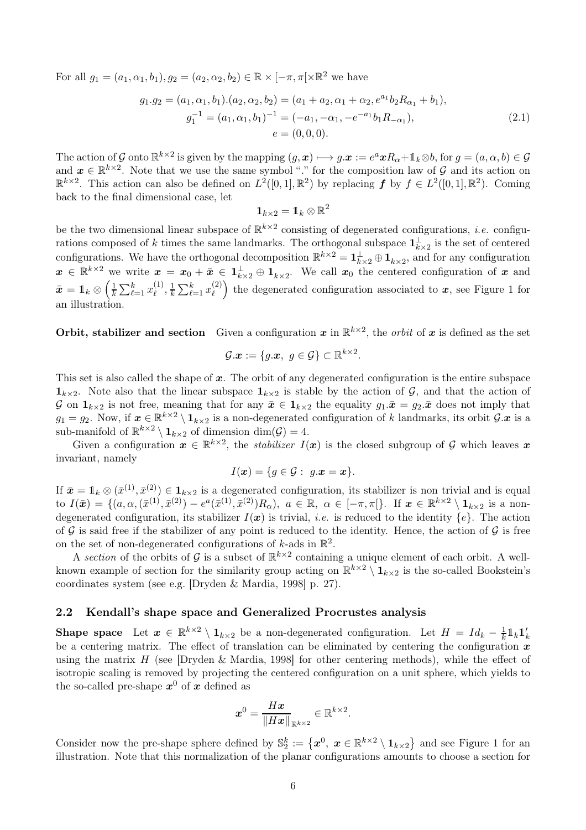For all  $g_1 = (a_1, \alpha_1, b_1), g_2 = (a_2, \alpha_2, b_2) \in \mathbb{R} \times [-\pi, \pi] \times \mathbb{R}^2$  we have

$$
g_1.g_2 = (a_1, \alpha_1, b_1).(a_2, \alpha_2, b_2) = (a_1 + a_2, \alpha_1 + \alpha_2, e^{a_1}b_2R_{\alpha_1} + b_1),
$$
  
\n
$$
g_1^{-1} = (a_1, \alpha_1, b_1)^{-1} = (-a_1, -\alpha_1, -e^{-a_1}b_1R_{-\alpha_1}),
$$
  
\n
$$
e = (0, 0, 0).
$$
\n(2.1)

The action of G onto  $\mathbb{R}^{k\times 2}$  is given by the mapping  $(g, x) \mapsto g.x := e^axR_{\alpha}+1_k\otimes b$ , for  $g = (a, \alpha, b) \in \mathcal{G}$ and  $x \in \mathbb{R}^{k \times 2}$ . Note that we use the same symbol "." for the composition law of G and its action on  $\mathbb{R}^{k\times 2}$ . This action can also be defined on  $L^2([0,1], \mathbb{R}^2)$  by replacing  $f$  by  $f \in L^2([0,1], \mathbb{R}^2)$ . Coming back to the final dimensional case, let

$$
\mathbf{1}_{k\times 2}=\mathbb{1}_k\otimes \mathbb{R}^2
$$

be the two dimensional linear subspace of  $\mathbb{R}^{k\times 2}$  consisting of degenerated configurations, *i.e.* configurations composed of k times the same landmarks. The orthogonal subspace  $\mathbf{1}_{k\times2}^{\perp}$  is the set of centered configurations. We have the orthogonal decomposition  $\mathbb{R}^{k \times 2} = \mathbf{1}_{k \times 2}^{\perp} \oplus \mathbf{1}_{k \times 2}$ , and for any configuration  $x \in \mathbb{R}^{k \times 2}$  we write  $x = x_0 + \bar{x} \in \mathbb{1}_{k \times 2}^{\perp} \oplus \mathbb{1}_{k \times 2}$ . We call  $x_0$  the centered configuration of x and  $\bar{\bm{x}} = \mathbb{1}_k \otimes \left(\frac{1}{k}\sum_{\ell=1}^k x^{(1)}_\ell\right)$  $\binom{1}{\ell}, \frac{1}{k} \sum_{\ell=1}^k x^{(2)}_\ell$  $\binom{2}{\ell}$  the degenerated configuration associated to  $x$ , see Figure [1](#page-6-0) for an illustration.

**Orbit, stabilizer and section** Given a configuration x in  $\mathbb{R}^{k \times 2}$ , the *orbit* of x is defined as the set

$$
\mathcal{G}.\boldsymbol{x}:=\{g.\boldsymbol{x},\,\,g\in\mathcal{G}\}\subset\mathbb{R}^{k\times 2}.
$$

This set is also called the shape of  $x$ . The orbit of any degenerated configuration is the entire subspace  $\mathbf{1}_{k\times2}$ . Note also that the linear subspace  $\mathbf{1}_{k\times2}$  is stable by the action of G, and that the action of G on  $\mathbf{1}_{k\times2}$  is not free, meaning that for any  $\bar{x}\in\mathbf{1}_{k\times2}$  the equality  $g_1.\bar{x}=g_2.\bar{x}$  does not imply that  $g_1 = g_2$ . Now, if  $\mathbf{x} \in \mathbb{R}^{k \times 2} \setminus \mathbf{1}_{k \times 2}$  is a non-degenerated configuration of k landmarks, its orbit  $\mathcal{G}.\mathbf{x}$  is a sub-manifold of  $\mathbb{R}^{k\times 2} \setminus \mathbf{1}_{k\times 2}$  of dimension  $\dim(\mathcal{G}) = 4$ .

Given a configuration  $x \in \mathbb{R}^{k \times 2}$ , the *stabilizer*  $I(x)$  is the closed subgroup of G which leaves x invariant, namely

$$
I(\boldsymbol{x}) = \{ g \in \mathcal{G} : g.\boldsymbol{x} = \boldsymbol{x} \}.
$$

If  $\bar{x} = 1_k \otimes (\bar{x}^{(1)}, \bar{x}^{(2)}) \in 1_{k \times 2}$  is a degenerated configuration, its stabilizer is non trivial and is equal to  $I(\bar{x}) = \{ (a, \alpha, (\bar{x}^{(1)}, \bar{x}^{(2)}) - e^a(\bar{x}^{(1)}, \bar{x}^{(2)}) R_\alpha), \ a \in \mathbb{R}, \ \alpha \in [-\pi, \pi] \}.$  If  $\bar{x} \in \mathbb{R}^{k \times 2} \setminus \mathbf{1}_{k \times 2}$  is a nondegenerated configuration, its stabilizer  $I(x)$  is trivial, *i.e.* is reduced to the identity  $\{e\}$ . The action of G is said free if the stabilizer of any point is reduced to the identity. Hence, the action of G is free on the set of non-degenerated configurations of  $k$ -ads in  $\mathbb{R}^2$ .

A *section* of the orbits of  $\mathcal{G}$  is a subset of  $\mathbb{R}^{k\times 2}$  containing a unique element of each orbit. A wellknown example of section for the similarity group acting on  $\mathbb{R}^{k\times2}\setminus 1_{k\times2}$  is the so-called Bookstein's coordinates system (see e.g. [\[Dryden & Mardia, 1998\]](#page-29-7) p. 27).

### <span id="page-5-0"></span>2.2 Kendall's shape space and Generalized Procrustes analysis

**Shape space** Let  $x \in \mathbb{R}^{k \times 2} \setminus \mathbf{1}_{k \times 2}$  be a non-degenerated configuration. Let  $H = Id_k - \frac{1}{k}$  $\frac{1}{k} \mathbb{1}_k \mathbb{1}'_k$ be a centering matrix. The effect of translation can be eliminated by centering the configuration  $\hat{x}$ using the matrix  $H$  (see [\[Dryden & Mardia, 1998\]](#page-29-7) for other centering methods), while the effect of isotropic scaling is removed by projecting the centered configuration on a unit sphere, which yields to the so-called pre-shape  $x^0$  of  $x$  defined as

$$
\boldsymbol{x}^0 = \frac{H\boldsymbol{x}}{\|H\boldsymbol{x}\|_{\mathbb{R}^{k\times 2}}}\in \mathbb{R}^{k\times 2}.
$$

Consider now the pre-shape sphere defined by  $\mathbb{S}_2^k := \{x^0, x \in \mathbb{R}^{k \times 2} \setminus \mathbf{1}_{k \times 2}\}\$  and see Figure [1](#page-6-0) for an illustration. Note that this normalization of the planar configurations amounts to choose a section for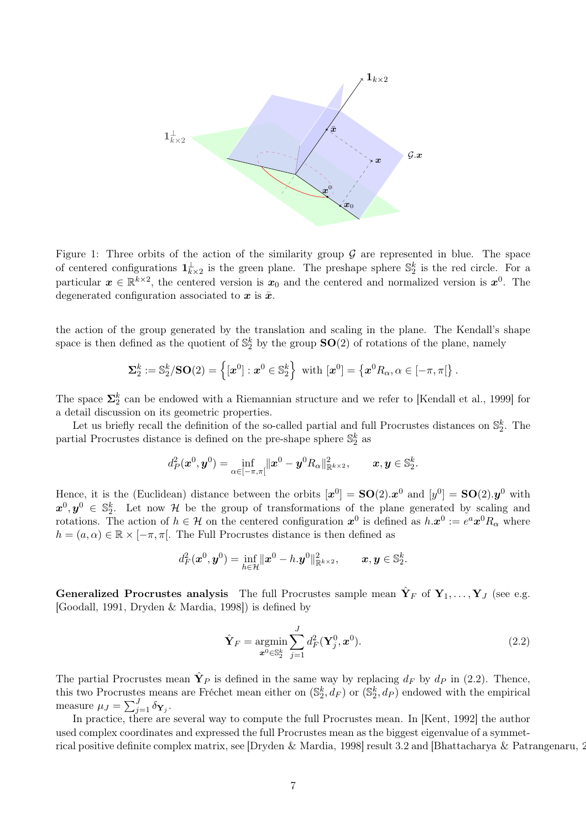<span id="page-6-0"></span>

Figure 1: Three orbits of the action of the similarity group  $\mathcal G$  are represented in blue. The space of centered configurations  $\mathbf{1}_{k\times2}^{\perp}$  is the green plane. The preshape sphere  $\mathbb{S}_{2}^{k}$  is the red circle. For a particular  $x \in \mathbb{R}^{k \times 2}$ , the centered version is  $x_0$  and the centered and normalized version is  $x^0$ . The degenerated configuration associated to  $x$  is  $\bar{x}$ .

the action of the group generated by the translation and scaling in the plane. The Kendall's shape space is then defined as the quotient of  $\mathbb{S}_2^k$  by the group  $\mathbf{SO}(2)$  of rotations of the plane, namely

$$
\mathbf{\Sigma}_{2}^{k} := \mathbb{S}_{2}^{k}/\mathbf{SO}(2) = \left\{ [\boldsymbol{x}^{0}] : \boldsymbol{x}^{0} \in \mathbb{S}_{2}^{k} \right\} \text{ with } [\boldsymbol{x}^{0}] = \left\{ \boldsymbol{x}^{0} R_{\alpha}, \alpha \in [-\pi, \pi[ \right\}.
$$

The space  $\Sigma_2^k$  can be endowed with a Riemannian structure and we refer to [\[Kendall et al., 1999\]](#page-29-8) for a detail discussion on its geometric properties.

Let us briefly recall the definition of the so-called partial and full Procrustes distances on  $\mathbb{S}_2^k$ . The partial Procrustes distance is defined on the pre-shape sphere  $\mathbb{S}^k_2$  as

$$
d_P^2(\boldsymbol{x}^0, \boldsymbol{y}^0) = \inf_{\alpha \in [-\pi, \pi[} \|\boldsymbol{x}^0 - \boldsymbol{y}^0 R_{\alpha}\|_{\mathbb{R}^{k \times 2}}^2, \qquad \boldsymbol{x}, \boldsymbol{y} \in \mathbb{S}_2^k.
$$

Hence, it is the (Euclidean) distance between the orbits  $[\mathbf{x}^0] = SO(2) . \mathbf{x}^0$  and  $[y^0] = SO(2) . y^0$  with  $x^0, y^0 \in \mathbb{S}_2^k$ . Let now H be the group of transformations of the plane generated by scaling and rotations. The action of  $h \in \mathcal{H}$  on the centered configuration  $x^0$  is defined as  $h.x^0 := e^a x^0 R_\alpha$  where  $h = (a, \alpha) \in \mathbb{R} \times [-\pi, \pi]$ . The Full Procrustes distance is then defined as

$$
d_F^2(\boldsymbol{x}^0, \boldsymbol{y}^0) = \inf_{h \in \mathcal{H}} \|\boldsymbol{x}^0 - h.\boldsymbol{y}^0\|_{\mathbb{R}^{k \times 2}}^2, \qquad \boldsymbol{x}, \boldsymbol{y} \in \mathbb{S}_2^k.
$$

Generalized Procrustes analysis The full Procrustes sample mean  $\hat{\mathbf{Y}}_F$  of  $\mathbf{Y}_1,\ldots,\mathbf{Y}_J$  (see e.g. [\[Goodall, 1991,](#page-29-1) [Dryden & Mardia, 1998\]](#page-29-7)) is defined by

<span id="page-6-1"></span>
$$
\hat{\mathbf{Y}}_F = \underset{\mathbf{x}^0 \in \mathbb{S}_2^k}{\text{argmin}} \sum_{j=1}^J d_F^2(\mathbf{Y}_j^0, \mathbf{x}^0). \tag{2.2}
$$

The partial Procrustes mean  $\hat{\mathbf{Y}}_P$  is defined in the same way by replacing  $d_F$  by  $d_P$  in [\(2.2\)](#page-6-1). Thence, this two Procrustes means are Fréchet mean either on  $(\mathbb{S}_2^k, d_F)$  or  $(\mathbb{S}_2^k, d_F)$  endowed with the empirical measure  $\mu_J = \sum_{j=1}^J \delta_{\mathbf{Y}_j}$ .

In practice, there are several way to compute the full Procrustes mean. In [\[Kent, 1992\]](#page-29-10) the author used complex coordinates and expressed the full Procrustes mean as the biggest eigenvalue of a symmet-rical positive definite complex matrix, see [\[Dryden & Mardia, 1998\]](#page-29-7) result 3.2 and [\[Bhattacharya & Patrangenaru, 2003\]](#page-28-0).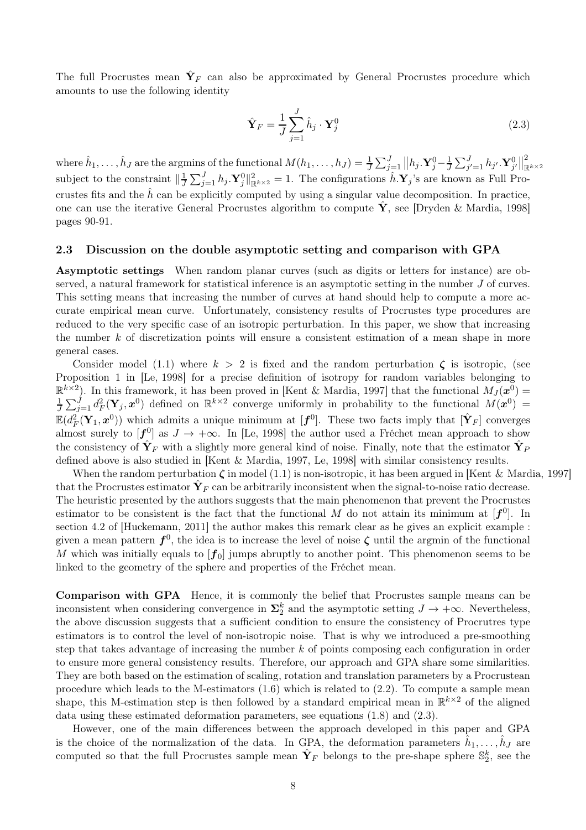The full Procrustes mean  $\hat{\mathbf{Y}}_F$  can also be approximated by General Procrustes procedure which amounts to use the following identity

<span id="page-7-0"></span>
$$
\hat{\mathbf{Y}}_F = \frac{1}{J} \sum_{j=1}^J \hat{h}_j \cdot \mathbf{Y}_j^0
$$
\n(2.3)

where  $\hat{h}_1, \ldots, \hat{h}_J$  are the argmins of the functional  $M(h_1, \ldots, h_J) = \frac{1}{J} \sum_{j=1}^J ||h_j \cdot \mathbf{Y}_{j}^0 - \frac{1}{J} \sum_{j'=1}^J h_{j'} \cdot \mathbf{Y}_{j'}^0||$ 2  $\mathbb{R}^{k\times 2}$ subject to the constraint  $\|\frac{1}{J}\sum_{j=1}^J h_j \cdot \mathbf{Y}_{j}^0\|_{\mathbb{R}^{k\times 2}}^2 = 1$ . The configurations  $\hat{h} \cdot \mathbf{Y}_{j}$ 's are known as Full Procrustes fits and the  $\hat{h}$  can be explicitly computed by using a singular value decomposition. In practice, one can use the iterative General Procrustes algorithm to compute  $\hat{Y}$ , see [\[Dryden & Mardia, 1998\]](#page-29-7) pages 90-91.

#### 2.3 Discussion on the double asymptotic setting and comparison with GPA

Asymptotic settings When random planar curves (such as digits or letters for instance) are observed, a natural framework for statistical inference is an asymptotic setting in the number J of curves. This setting means that increasing the number of curves at hand should help to compute a more accurate empirical mean curve. Unfortunately, consistency results of Procrustes type procedures are reduced to the very specific case of an isotropic perturbation. In this paper, we show that increasing the number  $k$  of discretization points will ensure a consistent estimation of a mean shape in more general cases.

Consider model [\(1.1\)](#page-1-0) where  $k > 2$  is fixed and the random perturbation  $\zeta$  is isotropic, (see Proposition 1 in [\[Le, 1998\]](#page-29-3) for a precise definition of isotropy for random variables belonging to  $\mathbb{R}^{k\times 2}$ ). In this framework, it has been proved in [\[Kent & Mardia, 1997\]](#page-29-2) that the functional  $M_J(\bm{x}^0)$  =  $\frac{1}{J}\sum_{j=1}^J d_F^2(\mathbf{Y}_j, \mathbf{x}^{0})$  defined on  $\mathbb{R}^{k\times 2}$  converge uniformly in probability to the functional  $M(\mathbf{x}^{0})$  =  $\mathbb{E}(d_F^2(\mathbf{Y}_1,\boldsymbol{x}^0))$  which admits a unique minimum at  $[\mathbf{f}^0]$ . These two facts imply that  $[\hat{\mathbf{Y}}_F]$  converges almost surely to  $[f_{\sim}^0]$  as  $J \to +\infty$ . In [\[Le, 1998\]](#page-29-3) the author used a Fréchet mean approach to show the consistency of  $\hat{\mathbf{Y}}_F$  with a slightly more general kind of noise. Finally, note that the estimator  $\hat{\mathbf{Y}}_F$ defined above is also studied in [\[Kent & Mardia, 1997,](#page-29-2) [Le, 1998\]](#page-29-3) with similar consistency results.

When the random perturbation  $\zeta$  in model [\(1.1\)](#page-1-0) is non-isotropic, it has been argued in [Kent & [Mardia, 1997\]](#page-29-2) that the Procrustes estimator  $\hat{\mathbf{Y}}_F$  can be arbitrarily inconsistent when the signal-to-noise ratio decrease. The heuristic presented by the authors suggests that the main phenomenon that prevent the Procrustes estimator to be consistent is the fact that the functional M do not attain its minimum at  $[f^0]$ . In section 4.2 of [\[Huckemann, 2011\]](#page-29-5) the author makes this remark clear as he gives an explicit example : given a mean pattern  $f^0$ , the idea is to increase the level of noise  $\zeta$  until the argmin of the functional M which was initially equals to  $[f_0]$  jumps abruptly to another point. This phenomenon seems to be linked to the geometry of the sphere and properties of the Fréchet mean.

Comparison with GPA Hence, it is commonly the belief that Procrustes sample means can be inconsistent when considering convergence in  $\Sigma_2^k$  and the asymptotic setting  $J \to +\infty$ . Nevertheless, the above discussion suggests that a sufficient condition to ensure the consistency of Procrutres type estimators is to control the level of non-isotropic noise. That is why we introduced a pre-smoothing step that takes advantage of increasing the number k of points composing each configuration in order to ensure more general consistency results. Therefore, our approach and GPA share some similarities. They are both based on the estimation of scaling, rotation and translation parameters by a Procrustean procedure which leads to the M-estimators  $(1.6)$  which is related to  $(2.2)$ . To compute a sample mean shape, this M-estimation step is then followed by a standard empirical mean in  $\mathbb{R}^{k\times 2}$  of the aligned data using these estimated deformation parameters, see equations [\(1.8\)](#page-3-3) and [\(2.3\)](#page-7-0).

However, one of the main differences between the approach developed in this paper and GPA is the choice of the normalization of the data. In GPA, the deformation parameters  $\hat{h}_1, \ldots, \hat{h}_J$  are computed so that the full Procrustes sample mean  $\hat{\mathbf{Y}}_F$  belongs to the pre-shape sphere  $\mathbb{S}_2^k$ , see the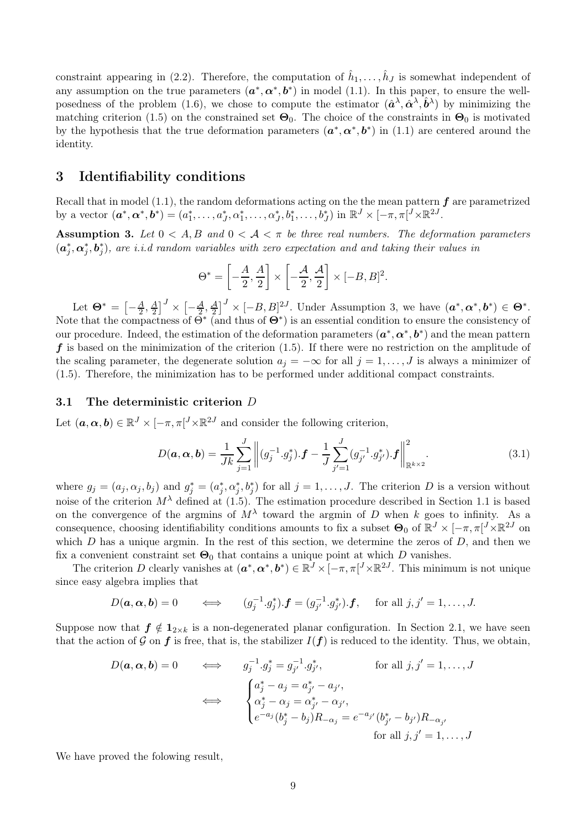constraint appearing in [\(2.2\)](#page-6-1). Therefore, the computation of  $\hat{h}_1, \ldots, \hat{h}_J$  is somewhat independent of any assumption on the true parameters  $(a^*, \alpha^*, b^*)$  in model [\(1.1\)](#page-1-0). In this paper, to ensure the well-posedness of the problem [\(1.6\)](#page-3-2), we chose to compute the estimator  $(\hat{a}^{\lambda}, \hat{\alpha}^{\lambda}, \hat{b}^{\lambda})$  by minimizing the matching criterion [\(1.5\)](#page-3-4) on the constrained set  $\Theta_0$ . The choice of the constraints in  $\Theta_0$  is motivated by the hypothesis that the true deformation parameters  $(a^*, \alpha^*, b^*)$  in [\(1.1\)](#page-1-0) are centered around the identity.

# <span id="page-8-0"></span>3 Identifiability conditions

<span id="page-8-1"></span>Recall that in model [\(1.1\)](#page-1-0), the random deformations acting on the the mean pattern  $f$  are parametrized by a vector  $(\boldsymbol{a}^*, \boldsymbol{\alpha}^*, \boldsymbol{b}^*) = (a_1^*, \dots, a_J^*, \alpha_1^*, \dots, \alpha_J^*, b_1^*, \dots, b_J^*)$  in  $\mathbb{R}^J \times [-\pi, \pi]^J \times \mathbb{R}^{2J}$ .

Assumption 3. Let  $0 < A, B$  and  $0 < A < \pi$  be three real numbers. The deformation parameters  $(\bm{a}_j^*,\bm{\alpha}_j^*,\bm{b}_j^*)$ , are i.i.d random variables with zero expectation and and taking their values in

$$
\Theta^* = \left[ -\frac{A}{2}, \frac{A}{2} \right] \times \left[ -\frac{A}{2}, \frac{A}{2} \right] \times [-B, B]^2.
$$

Let  $\mathbf{\Theta}^* = \left[-\frac{A}{2}, \frac{A}{2}\right]$  $\left[\frac{A}{2}\right]^J \times \left[-\frac{A}{2}, \frac{A}{2}\right]^J \times \left[-B, B\right]^{2J}$ . Under Assumption [3,](#page-8-1) we have  $(\boldsymbol{a}^*, \boldsymbol{\alpha}^*, \boldsymbol{b}^*) \in \boldsymbol{\Theta}^*$ . Note that the compactness of  $\tilde{\Theta}^*$  (and thus of  $\Theta^*$ ) is an essential condition to ensure the consistency of our procedure. Indeed, the estimation of the deformation parameters  $(a^*, \alpha^*, b^*)$  and the mean pattern  $f$  is based on the minimization of the criterion [\(1.5\)](#page-3-4). If there were no restriction on the amplitude of the scaling parameter, the degenerate solution  $a_j = -\infty$  for all  $j = 1, \ldots, J$  is always a minimizer of [\(1.5\)](#page-3-4). Therefore, the minimization has to be performed under additional compact constraints.

#### 3.1 The deterministic criterion D

Let  $(a, \alpha, b) \in \mathbb{R}^J \times [-\pi, \pi]^J \times \mathbb{R}^{2J}$  and consider the following criterion,

$$
D(\boldsymbol{a}, \boldsymbol{\alpha}, \boldsymbol{b}) = \frac{1}{Jk} \sum_{j=1}^{J} \left\| (g_j^{-1} \cdot g_j^*) \cdot \boldsymbol{f} - \frac{1}{J} \sum_{j'=1}^{J} (g_{j'}^{-1} \cdot g_{j'}^*) \cdot \boldsymbol{f} \right\|_{\mathbb{R}^{k \times 2}}^2.
$$
 (3.1)

where  $g_j = (a_j, \alpha_j, b_j)$  and  $g_j^* = (a_j^*, \alpha_j^*, b_j^*)$  for all  $j = 1, \ldots, J$ . The criterion D is a version without noise of the criterion  $M^{\lambda}$  defined at [\(1.5\)](#page-3-4). The estimation procedure described in Section [1.1](#page-0-0) is based on the convergence of the argmins of  $M^{\lambda}$  toward the argmin of D when k goes to infinity. As a consequence, choosing identifiability conditions amounts to fix a subset  $\Theta_0$  of  $\mathbb{R}^J \times [-\pi, \pi]^J \times \mathbb{R}^{2J}$  on which  $D$  has a unique argmin. In the rest of this section, we determine the zeros of  $D$ , and then we fix a convenient constraint set  $\Theta_0$  that contains a unique point at which D vanishes.

The criterion D clearly vanishes at  $(a^*, \alpha^*, b^*) \in \mathbb{R}^J \times [-\pi, \pi]^J \times \mathbb{R}^{2J}$ . This minimum is not unique since easy algebra implies that

$$
D(\boldsymbol{a}, \boldsymbol{\alpha}, \boldsymbol{b}) = 0 \qquad \Longleftrightarrow \qquad (g_j^{-1} \cdot g_j^*) \cdot \boldsymbol{f} = (g_{j'}^{-1} \cdot g_{j'}^*) \cdot \boldsymbol{f}, \quad \text{ for all } j, j' = 1, \dots, J.
$$

Suppose now that  $f \notin 1_{2\times k}$  is a non-degenerated planar configuration. In Section [2.1,](#page-4-3) we have seen that the action of G on f is free, that is, the stabilizer  $I(f)$  is reduced to the identity. Thus, we obtain,

$$
D(\mathbf{a}, \mathbf{\alpha}, \mathbf{b}) = 0 \qquad \Longleftrightarrow \qquad g_j^{-1} \cdot g_j^* = g_{j'}^{-1} \cdot g_{j'}^*, \qquad \text{for all } j, j' = 1, \dots, J
$$

$$
\iff \qquad \begin{cases} a_j^* - a_j = a_{j'}^* - a_{j'}; \\ \alpha_j^* - \alpha_j = \alpha_{j'}^* - \alpha_{j'}; \\ e^{-a_j} (b_j^* - b_j) R_{-\alpha_j} = e^{-a_{j'}} (b_{j'}^* - b_{j'}) R_{-\alpha_{j'}} \end{cases}
$$
for all  $j, j' = 1, \dots, J$ 

<span id="page-8-2"></span>We have proved the folowing result,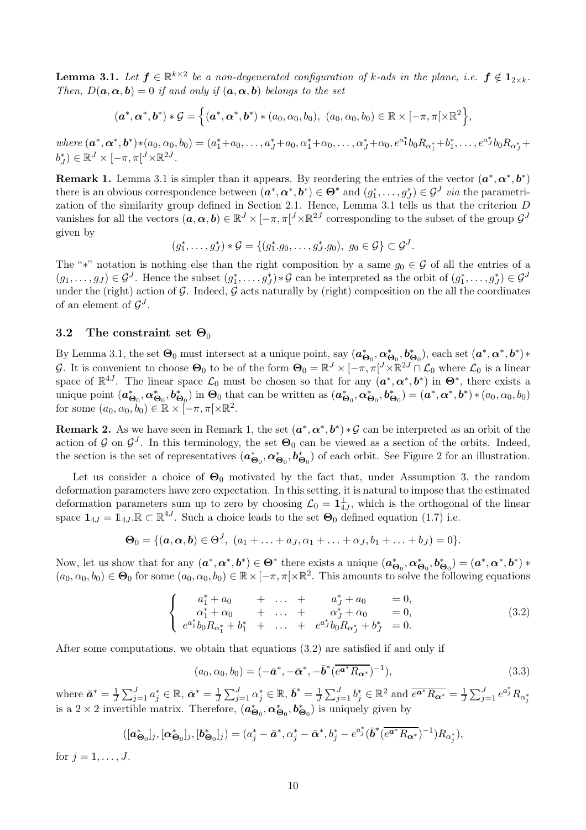**Lemma 3.1.** Let  $f \in \mathbb{R}^{k \times 2}$  be a non-degenerated configuration of k-ads in the plane, i.e.  $f \notin 1_{2 \times k}$ . *Then,*  $D(\mathbf{a}, \alpha, \mathbf{b}) = 0$  *if and only if*  $(\mathbf{a}, \alpha, \mathbf{b})$  *belongs to the set* 

$$
(\boldsymbol{a}^*,\boldsymbol{\alpha}^*,\boldsymbol{b}^*) * \mathcal{G} = \Big\{(\boldsymbol{a}^*,\boldsymbol{\alpha}^*,\boldsymbol{b}^*) * (a_0,\alpha_0,b_0),\,\,(a_0,\alpha_0,b_0) \in \mathbb{R} \times [-\pi,\pi[ \times \mathbb{R}^2 \Big\},
$$

 $where \, (\boldsymbol{a}^*, \boldsymbol{\alpha}^*, \boldsymbol{b}^*) * (a_0, \alpha_0, b_0) = (a_1^* + a_0, \ldots, a_J^* + a_0, \alpha_1^* + \alpha_0, \ldots, \alpha_J^* + \alpha_0, e^{a_1^*} b_0 R_{\alpha_1^*} + b_1^*, \ldots, e^{a_J^*} b_0 R_{\alpha_J^*} + b_J^*$  $b_J^*) \in \mathbb{R}^J \times [-\pi, \pi[^J \times \mathbb{R}^{2J}]$ .

<span id="page-9-1"></span>**Remark 1.** Lemma [3.1](#page-8-2) is simpler than it appears. By reordering the entries of the vector  $(a^*, \alpha^*, b^*)$ there is an obvious correspondence between  $(a^*, \alpha^*, b^*) \in \Theta^*$  and  $(g_1^*, \ldots, g_J^*) \in \mathcal{G}^J$  *via* the parametrization of the similarity group defined in Section [2.1.](#page-4-3) Hence, Lemma [3.1](#page-8-2) tells us that the criterion D vanishes for all the vectors  $(a, \alpha, b) \in \mathbb{R}^J \times [-\pi, \pi]^J \times \mathbb{R}^{2J}$  corresponding to the subset of the group  $\mathcal{G}^J$ given by

$$
(g_1^*, \ldots, g_J^*) * \mathcal{G} = \{ (g_1^*, g_0, \ldots, g_J^*, g_0), g_0 \in \mathcal{G} \} \subset \mathcal{G}^J.
$$

The "\*" notation is nothing else than the right composition by a same  $g_0 \in \mathcal{G}$  of all the entries of a  $(g_1, \ldots, g_J) \in \mathcal{G}^J$ . Hence the subset  $(g_1^*, \ldots, g_J^*) * \mathcal{G}$  can be interpreted as the orbit of  $(g_1^*, \ldots, g_J^*) \in \mathcal{G}^J$ under the (right) action of  $G$ . Indeed,  $G$  acts naturally by (right) composition on the all the coordinates of an element of  $\mathcal{G}^J$ .

### 3.2 The constraint set  $\Theta_0$

By Lemma [3.1,](#page-8-2) the set  $\Theta_0$  must intersect at a unique point, say  $(a_{\Theta_0}^*, \alpha_{\Theta_0}^*, b_{\Theta_0}^*)$ , each set  $(a^*, \alpha^*, b^*)$ \* G. It is convenient to choose  $\Theta_0$  to be of the form  $\Theta_0 = \mathbb{R}^J \times [-\pi, \pi]^J \times \mathbb{R}^{2J} \cap \mathcal{L}_0$  where  $\mathcal{L}_0$  is a linear space of  $\mathbb{R}^{4J}$ . The linear space  $\mathcal{L}_0$  must be chosen so that for any  $(a^*, \alpha^*, b^*)$  in  $\Theta^*$ , there exists a unique point  $(a_{\Theta_0}^*, \alpha_{\Theta_0}^*, b_{\Theta_0}^*)$  in  $\Theta_0$  that can be written as  $(a_{\Theta_0}^*, \alpha_{\Theta_0}^*, b_{\Theta_0}^*) = (a^*, \alpha^*, b^*) * (a_0, \alpha_0, b_0)$ for some  $(a_0, \alpha_0, b_0) \in \mathbb{R} \times [-\pi, \pi] \times \mathbb{R}^2$ .

**Remark 2.** As we have seen in Remark [1,](#page-9-1) the set  $(a^*, \alpha^*, b^*) * \mathcal{G}$  can be interpreted as an orbit of the action of G on  $\mathcal{G}^J$ . In this terminology, the set  $\Theta_0$  can be viewed as a section of the orbits. Indeed, the section is the set of representatives  $(a_{\Theta_0}^*, a_{\Theta_0}^*, b_{\Theta_0}^*)$  of each orbit. See Figure [2](#page-10-1) for an illustration.

Let us consider a choice of  $\Theta_0$  motivated by the fact that, under Assumption [3,](#page-8-1) the random deformation parameters have zero expectation. In this setting, it is natural to impose that the estimated deformation parameters sum up to zero by choosing  $\mathcal{L}_0 = \mathbf{1}_{4J}^{\perp}$ , which is the orthogonal of the linear space  $\mathbf{1}_{4J} = \mathbb{1}_{4J} \mathbb{R} \subset \mathbb{R}^{4J}$ . Such a choice leads to the set  $\Theta_0$  defined equation [\(1.7\)](#page-3-5) i.e.

$$
\Theta_0 = \{(\mathbf{a}, \mathbf{\alpha}, \mathbf{b}) \in \Theta^J, \ (a_1 + \ldots + a_J, \alpha_1 + \ldots + \alpha_J, b_1 + \ldots + b_J) = 0\}.
$$

Now, let us show that for any  $(a^*, \alpha^*, b^*) \in \Theta^*$  there exists a unique  $(a_{\Theta_0}^*, \alpha_{\Theta_0}^*, b_{\Theta_0}^*) = (a^*, \alpha^*, b^*) *$  $(a_0, \alpha_0, b_0) \in \mathbf{\Theta}_0$  for some  $(a_0, \alpha_0, b_0) \in \mathbb{R} \times [-\pi, \pi] \times \mathbb{R}^2$ . This amounts to solve the following equations

$$
\begin{cases}\n a_1^* + a_0 + \dots + a_J^* + a_0 = 0, \\
 \alpha_1^* + \alpha_0 + \dots + \alpha_J^* + \alpha_0 = 0, \\
 e^{a_1^*} b_0 R_{\alpha_1^*} + b_1^* + \dots + e^{a_J^*} b_0 R_{\alpha_J^*} + b_J^* = 0.\n\end{cases}
$$
\n(3.2)

After some computations, we obtain that equations [\(3.2\)](#page-9-2) are satisfied if and only if

<span id="page-9-2"></span><span id="page-9-0"></span>
$$
(a_0, \alpha_0, b_0) = (-\bar{a}^*, -\bar{\alpha}^*, -\bar{b}^*(\overline{e^{a^*}R_{\alpha^*}})^{-1}),
$$
\n(3.3)

where  $\bar{\boldsymbol{a}}^* = \frac{1}{J} \sum_{j=1}^J a_j^* \in \mathbb{R}$ ,  $\bar{\boldsymbol{\alpha}}^* = \frac{1}{J} \sum_{j=1}^J \alpha_j^* \in \mathbb{R}$ ,  $\bar{\boldsymbol{b}}^* = \frac{1}{J} \sum_{j=1}^J b_j^* \in \mathbb{R}^2$  and  $\bar{e}^{\bar{\boldsymbol{a}}^*} R_{\alpha^*} = \frac{1}{J} \sum_{j=1}^J e^{a_j^*} R_{\alpha_j^*}$ <br>is a 2 × 2 invertible

$$
([\mathbf{a}_{\Theta_0}^*]_j, [\mathbf{\alpha}_{\Theta_0}^*]_j, [\mathbf{b}_{\Theta_0}^*]_j) = (a_j^* - \bar{\mathbf{a}}^*, \alpha_j^* - \bar{\alpha}^*, b_j^* - e^{a_j^*} (\bar{\mathbf{b}}^* (\overline{e^{\mathbf{a}^*} R_{\alpha^*}})^{-1}) R_{\alpha_j^*}),
$$

for  $j = 1, \ldots, J$ .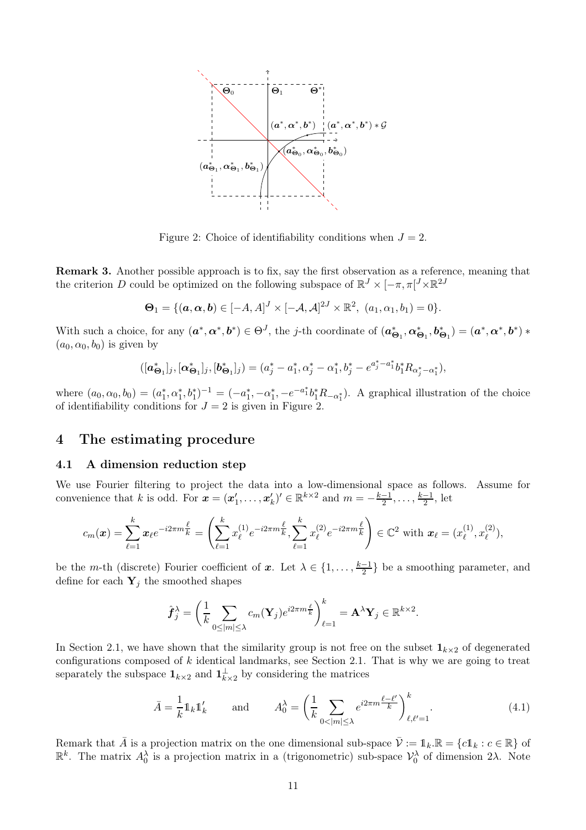<span id="page-10-1"></span>

Figure 2: Choice of identifiability conditions when  $J = 2$ .

Remark 3. Another possible approach is to fix, say the first observation as a reference, meaning that the criterion D could be optimized on the following subspace of  $\mathbb{R}^J \times [-\pi, \pi]^J \times \mathbb{R}^{2J}$ 

$$
\mathbf{\Theta}_1 = \{(\mathbf{a}, \mathbf{\alpha}, \mathbf{b}) \in [-A, A]^J \times [-A, A]^{2J} \times \mathbb{R}^2, (a_1, a_1, b_1) = 0\}.
$$

With such a choice, for any  $(a^*, \alpha^*, b^*) \in \Theta^J$ , the j-th coordinate of  $(a_{\Theta_1}^*, \alpha_{\Theta_1}^*, b_{\Theta_1}^*) = (a^*, \alpha^*, b^*) *$  $(a_0, \alpha_0, b_0)$  is given by

$$
([\boldsymbol{a}_{\Theta_1}^*]_j, [\boldsymbol{\alpha}_{\Theta_1}^*]_j, [\boldsymbol{b}_{\Theta_1}^*]_j) = (a_j^* - a_1^*, \alpha_j^* - \alpha_1^*, b_j^* - e^{a_j^* - a_1^*} b_1^* R_{\alpha_j^* - \alpha_1^*}),
$$

where  $(a_0, \alpha_0, b_0) = (a_1^*, a_1^*, b_1^*)^{-1} = (-a_1^*, -a_1^*, -e^{-a_1^*}b_1^*R_{-\alpha_1^*})$ . A graphical illustration of the choice of identifiability conditions for  $J = 2$  is given in Figure [2.](#page-10-1)

# <span id="page-10-0"></span>4 The estimating procedure

### <span id="page-10-2"></span>4.1 A dimension reduction step

We use Fourier filtering to project the data into a low-dimensional space as follows. Assume for convenience that k is odd. For  $\mathbf{x} = (\mathbf{x}'_1, \dots, \mathbf{x}'_k)' \in \mathbb{R}^{k \times 2}$  and  $m = -\frac{k-1}{2}, \dots, \frac{k-1}{2}$ , let

$$
c_m(\boldsymbol{x}) = \sum_{\ell=1}^k \boldsymbol{x}_{\ell} e^{-i2\pi m \frac{\ell}{k}} = \left( \sum_{\ell=1}^k x_{\ell}^{(1)} e^{-i2\pi m \frac{\ell}{k}}, \sum_{\ell=1}^k x_{\ell}^{(2)} e^{-i2\pi m \frac{\ell}{k}} \right) \in \mathbb{C}^2 \text{ with } \boldsymbol{x}_{\ell} = (x_{\ell}^{(1)}, x_{\ell}^{(2)}),
$$

be the m-th (discrete) Fourier coefficient of x. Let  $\lambda \in \{1, \ldots, \frac{k-1}{2}\}$  be a smoothing parameter, and define for each  $Y_j$  the smoothed shapes

$$
\hat{\boldsymbol{f}}_j^{\lambda} = \left(\frac{1}{k} \sum_{0 \le |m| \le \lambda} c_m(\mathbf{Y}_j) e^{i2\pi m \frac{\ell}{k}}\right)_{\ell=1}^k = \mathbf{A}^{\lambda} \mathbf{Y}_j \in \mathbb{R}^{k \times 2}.
$$

In Section [2.1,](#page-4-3) we have shown that the similarity group is not free on the subset  $\mathbf{1}_{k\times2}$  of degenerated configurations composed of  $k$  identical landmarks, see Section [2.1.](#page-4-3) That is why we are going to treat separately the subspace  $\mathbf{1}_{k\times2}$  and  $\mathbf{1}_{k\times2}^{\perp}$  by considering the matrices

$$
\bar{A} = \frac{1}{k} \mathbb{1}_k \mathbb{1}'_k \quad \text{and} \quad A_0^\lambda = \left(\frac{1}{k} \sum_{0 < |m| \le \lambda} e^{i2\pi m \frac{\ell - \ell'}{k}} \right)_{\ell, \ell' = 1}^k. \tag{4.1}
$$

Remark that  $\overline{A}$  is a projection matrix on the one dimensional sub-space  $\overline{V} := \mathbb{1}_k \mathbb{R} = \{c \mathbb{1}_k : c \in \mathbb{R}\}$  of  $\mathbb{R}^k$ . The matrix  $A_0^{\lambda}$  is a projection matrix in a (trigonometric) sub-space  $\mathcal{V}_0^{\lambda}$  of dimension 2λ. Note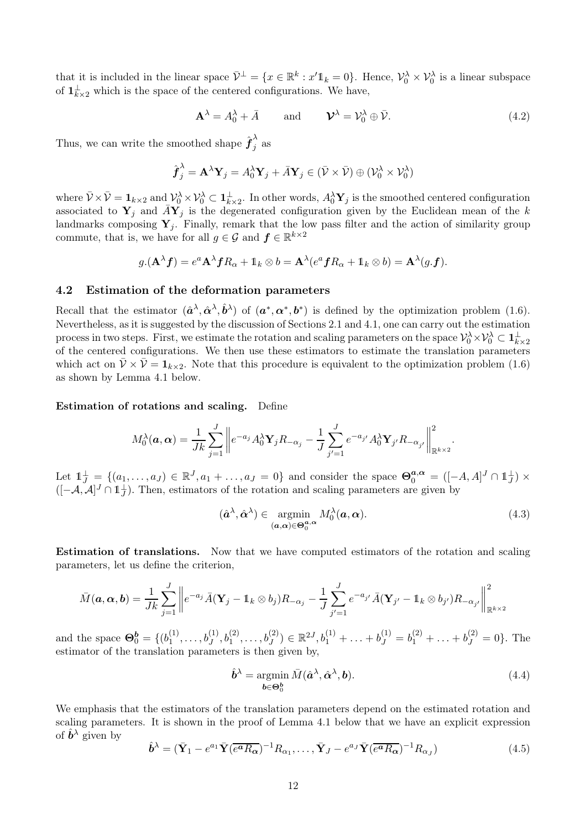that it is included in the linear space  $\bar{\mathcal{V}}^{\perp} = \{x \in \mathbb{R}^{k} : x' \mathbb{1}_{k} = 0\}$ . Hence,  $\mathcal{V}_0^{\lambda} \times \mathcal{V}_0^{\lambda}$  is a linear subspace of  $\mathbf{1}_{k\times2}^{\perp}$  which is the space of the centered configurations. We have,

<span id="page-11-2"></span>
$$
\mathbf{A}^{\lambda} = A_0^{\lambda} + \bar{A} \quad \text{and} \quad \mathbf{\mathcal{V}}^{\lambda} = \mathcal{V}_0^{\lambda} \oplus \bar{\mathcal{V}}.
$$
 (4.2)

Thus, we can write the smoothed shape  $\hat{\boldsymbol{f}}_j^{\lambda}$  as

$$
\hat{\boldsymbol{f}}_j^{\lambda} = \mathbf{A}^{\lambda} \mathbf{Y}_j = A_0^{\lambda} \mathbf{Y}_j + \bar{A} \mathbf{Y}_j \in (\bar{\mathcal{V}} \times \bar{\mathcal{V}}) \oplus (\mathcal{V}_0^{\lambda} \times \mathcal{V}_0^{\lambda})
$$

where  $\bar{\mathcal{V}} \times \bar{\mathcal{V}} = \mathbf{1}_{k \times 2}$  and  $\mathcal{V}_0^{\lambda} \times \mathcal{V}_0^{\lambda} \subset \mathbf{1}_{k \times 2}^{\perp}$ . In other words,  $A_0^{\lambda} \mathbf{Y}_j$  is the smoothed centered configuration associated to  $Y_j$  and  $\bar{A}Y_j$  is the degenerated configuration given by the Euclidean mean of the k landmarks composing  $Y_i$ . Finally, remark that the low pass filter and the action of similarity group commute, that is, we have for all  $g \in \mathcal{G}$  and  $f \in \mathbb{R}^{k \times 2}$ 

$$
g.(\mathbf{A}^{\lambda} \mathbf{f}) = e^a \mathbf{A}^{\lambda} \mathbf{f} R_{\alpha} + \mathbb{1}_k \otimes b = \mathbf{A}^{\lambda} (e^a \mathbf{f} R_{\alpha} + \mathbb{1}_k \otimes b) = \mathbf{A}^{\lambda} (g. \mathbf{f}).
$$

#### 4.2 Estimation of the deformation parameters

Recall that the estimator  $(\hat{\boldsymbol{a}}^{\lambda}, \hat{\boldsymbol{\alpha}}^{\lambda}, \hat{\boldsymbol{b}}^{\lambda})$  of  $(\boldsymbol{a}^*, \boldsymbol{\alpha}^*, \boldsymbol{b}^*)$  is defined by the optimization problem [\(1.6\)](#page-3-2). Nevertheless, as it is suggested by the discussion of Sections [2.1](#page-4-3) and [4.1,](#page-10-2) one can carry out the estimation process in two steps. First, we estimate the rotation and scaling parameters on the space  $\mathcal{V}_0^{\lambda} \times \mathcal{V}_0^{\lambda} \subset \mathbf{1}_{k \times 2}^{\perp}$ of the centered configurations. We then use these estimators to estimate the translation parameters which act on  $\bar{\mathcal{V}} \times \bar{\mathcal{V}} = \mathbf{1}_{k \times 2}$ . Note that this procedure is equivalent to the optimization problem [\(1.6\)](#page-3-2) as shown by Lemma [4.1](#page-12-1) below.

Estimation of rotations and scaling. Define

$$
M_0^{\lambda}(\boldsymbol{a}, \boldsymbol{\alpha}) = \frac{1}{Jk} \sum_{j=1}^J \left\| e^{-a_j} A_0^{\lambda} \mathbf{Y}_j R_{-\alpha_j} - \frac{1}{J} \sum_{j'=1}^J e^{-a_{j'}} A_0^{\lambda} \mathbf{Y}_{j'} R_{-\alpha_{j'}} \right\|_{\mathbb{R}^{k \times 2}}^2.
$$

Let  $\mathbb{1}_J^{\perp} = \{(a_1, \ldots, a_J) \in \mathbb{R}^J, a_1 + \ldots, a_J = 0\}$  and consider the space  $\Theta_0^{a, \alpha} = ([-A, A]^J \cap \mathbb{1}_J^{\perp}) \times$  $([-A, A]^J \cap \mathbb{1}^+_J)$ . Then, estimators of the rotation and scaling parameters are given by

<span id="page-11-0"></span>
$$
(\hat{\boldsymbol{a}}^{\lambda}, \hat{\boldsymbol{\alpha}}^{\lambda}) \in \underset{(\boldsymbol{a}, \boldsymbol{\alpha}) \in \Theta_0^{\boldsymbol{a}, \boldsymbol{\alpha}}}{\text{argmin}} M_0^{\lambda}(\boldsymbol{a}, \boldsymbol{\alpha}).
$$
\n(4.3)

Estimation of translations. Now that we have computed estimators of the rotation and scaling parameters, let us define the criterion,

$$
\bar{M}(\boldsymbol{a},\boldsymbol{\alpha},\boldsymbol{b})=\frac{1}{Jk}\sum_{j=1}^{J}\bigg\|e^{-a_j}\bar{A}(\mathbf{Y}_j-\mathbb{1}_k\otimes b_j)R_{-\alpha_j}-\frac{1}{J}\sum_{j'=1}^{J}e^{-a_{j'}}\bar{A}(\mathbf{Y}_{j'}-\mathbb{1}_k\otimes b_{j'})R_{-\alpha_{j'}}\bigg\|_{\mathbb{R}^{k\times 2}}^2
$$

and the space  $\mathbf{\Theta}_0^b = \{ (b_1^{(1)} \)$  $b_1^{(1)}, \ldots, b_J^{(1)}, b_1^{(2)}, \ldots, b_J^{(2)}) \in \mathbb{R}^{2J}, b_1^{(1)} + \ldots + b_J^{(1)} = b_1^{(2)} + \ldots + b_J^{(2)} = 0\}.$  The estimator of the translation parameters is then given by,

<span id="page-11-1"></span>
$$
\hat{\boldsymbol{b}}^{\lambda} = \operatorname*{argmin}_{\boldsymbol{b} \in \Theta_0^{\boldsymbol{b}}} \bar{M}(\hat{\boldsymbol{a}}^{\lambda}, \hat{\boldsymbol{\alpha}}^{\lambda}, \boldsymbol{b}).
$$
\n(4.4)

We emphasis that the estimators of the translation parameters depend on the estimated rotation and scaling parameters. It is shown in the proof of Lemma [4.1](#page-12-1) below that we have an explicit expression of  $\hat{b}^{\lambda}$  given by

<span id="page-11-3"></span>
$$
\hat{\boldsymbol{b}}^{\lambda} = (\bar{\mathbf{Y}}_1 - e^{a_1} \bar{\mathbf{Y}} (\overline{e^a R_{\alpha}})^{-1} R_{\alpha_1}, \dots, \bar{\mathbf{Y}}_J - e^{a_J} \bar{\mathbf{Y}} (\overline{e^a R_{\alpha}})^{-1} R_{\alpha_J})
$$
(4.5)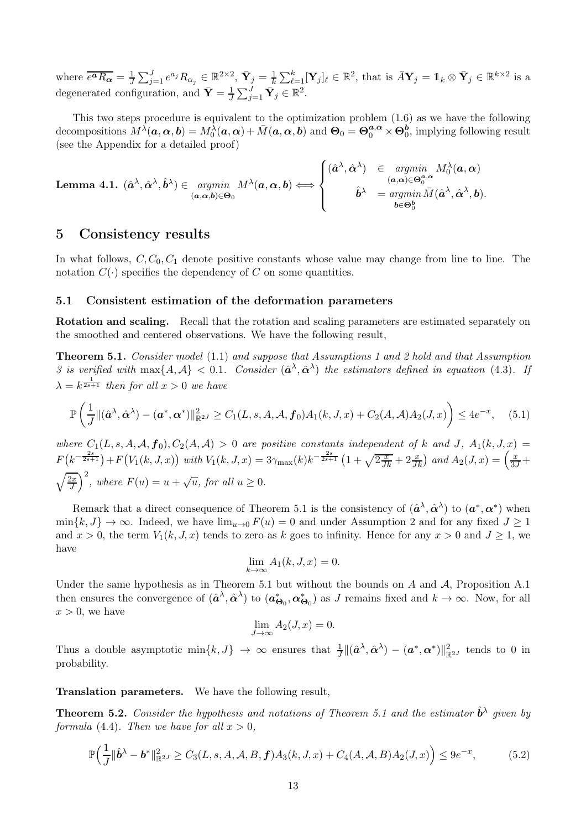where  $\overline{e^a R_{\boldsymbol{\alpha}}} = \frac{1}{J} \sum_{j=1}^J e^{a_j} R_{\alpha_j} \in \mathbb{R}^{2 \times 2}$ ,  $\overline{\mathbf{Y}}_j = \frac{1}{k} \sum_{\ell=1}^k [\mathbf{Y}_j]_\ell \in \mathbb{R}^2$ , that is  $\overline{A} \mathbf{Y}_j = \mathbb{1}_k \otimes \overline{\mathbf{Y}}_j \in \mathbb{R}^{k \times 2}$  is a degenerated configuration, and  $\bar{\mathbf{Y}} = \frac{1}{J}$  $\frac{1}{J}\sum_{j=1}^J \bar{\mathbf{Y}}_j \in \mathbb{R}^2$ .

This two steps procedure is equivalent to the optimization problem [\(1.6\)](#page-3-2) as we have the following decompositions  $M^{\tilde{\lambda}}(\boldsymbol{a}, \boldsymbol{\alpha}, \boldsymbol{b}) = M_0^{\tilde{\lambda}}(\boldsymbol{a}, \boldsymbol{\alpha}) + \bar{M}(\boldsymbol{a}, \boldsymbol{\alpha}, \boldsymbol{b})$  and  $\boldsymbol{\Theta}_0 = \boldsymbol{\Theta}_0^{\boldsymbol{a}, \boldsymbol{\alpha}} \times \boldsymbol{\Theta}_0^{\boldsymbol{b}}$ , implying following result (see the Appendix for a detailed proof)

<span id="page-12-1"></span>**Lemma 4.1.** 
$$
(\hat{a}^{\lambda}, \hat{\alpha}^{\lambda}, \hat{b}^{\lambda}) \in \underset{(\mathbf{a}, \mathbf{\alpha}, \mathbf{b}) \in \Theta_0}{argmin} M^{\lambda}(\mathbf{a}, \mathbf{\alpha}, \mathbf{b}) \Longleftrightarrow \begin{cases} (\hat{a}^{\lambda}, \hat{\alpha}^{\lambda}) & \in \underset{(\mathbf{a}, \mathbf{\alpha}) \in \Theta_0^{\mathbf{a}, \alpha}}{argmin} M_0^{\lambda}(\mathbf{a}, \mathbf{\alpha}) \\ \hat{b}^{\lambda} & = \underset{\mathbf{b} \in \Theta_0^{\mathbf{b}}}{argmin} \bar{M}(\hat{a}^{\lambda}, \hat{\alpha}^{\lambda}, \mathbf{b}). \end{cases}
$$

# <span id="page-12-0"></span>5 Consistency results

In what follows,  $C, C_0, C_1$  denote positive constants whose value may change from line to line. The notation  $C(\cdot)$  specifies the dependency of C on some quantities.

### 5.1 Consistent estimation of the deformation parameters

<span id="page-12-2"></span>Rotation and scaling. Recall that the rotation and scaling parameters are estimated separately on the smoothed and centered observations. We have the following result,

Theorem 5.1. *Consider model* [\(1.1\)](#page-1-0) *and suppose that Assumptions [1](#page-2-0) and [2](#page-3-1) hold and that Assumption [3](#page-8-1)* is verified with  $\max\{A, A\} < 0.1$ . Consider  $(\hat{\mathbf{a}}^{\lambda}, \hat{\mathbf{\alpha}}^{\lambda})$  the estimators defined in equation [\(4.3\)](#page-11-0). If  $\lambda = k^{\frac{1}{2s+1}}$  *then for all*  $x > 0$  *we have* 

$$
\mathbb{P}\left(\frac{1}{J}\|(\hat{\boldsymbol{a}}^{\lambda},\hat{\boldsymbol{\alpha}}^{\lambda})-(\boldsymbol{a}^*,\boldsymbol{\alpha}^*)\|_{\mathbb{R}^{2J}}^2 \ge C_1(L,s,A,\mathcal{A},\boldsymbol{f}_0)A_1(k,J,x) + C_2(A,\mathcal{A})A_2(J,x)\right) \le 4e^{-x},\tag{5.1}
$$

*where*  $C_1(L, s, A, \mathcal{A}, f_0), C_2(A, \mathcal{A}) > 0$  *are positive constants independent of* k *and* J,  $A_1(k, J, x) =$  $F(k^{-\frac{2s}{2s+1}}) + F(V_1(k, J, x))$  with  $V_1(k, J, x) = 3\gamma_{\text{max}}(k)k^{-\frac{2s}{2s+1}}(1 + \sqrt{2\frac{x}{Jk}} + 2\frac{x}{Jk})$  and  $A_2(J, x) = \left(\frac{x}{3J} +$  $\left(\sqrt{\frac{2x}{J}}\right)^2$ , where  $F(u) = u + \sqrt{u}$ , for all  $u \ge 0$ .

Remark that a direct consequence of Theorem [5.1](#page-12-2) is the consistency of  $(\hat{a}^{\lambda}, \hat{\alpha}^{\lambda})$  to  $(a^*, \alpha^*)$  when  $\min\{k, J\} \to \infty$ . Indeed, we have  $\lim_{u\to 0} F(u) = 0$  and under Assumption [2](#page-3-1) and for any fixed  $J \ge 1$ and  $x > 0$ , the term  $V_1(k, J, x)$  tends to zero as k goes to infinity. Hence for any  $x > 0$  and  $J \ge 1$ , we have

$$
\lim_{k \to \infty} A_1(k, J, x) = 0.
$$

Under the same hypothesis as in Theorem [5.1](#page-12-2) but without the bounds on  $A$  and  $A$ , Proposition [A.1](#page-18-0) then ensures the convergence of  $(\hat{a}^{\lambda}, \hat{\alpha}^{\lambda})$  to  $(a_{\Theta_0}^*, \alpha_{\Theta_0}^*)$  as J remains fixed and  $k \to \infty$ . Now, for all  $x > 0$ , we have

$$
\lim_{J \to \infty} A_2(J, x) = 0.
$$

Thus a double asymptotic  $\min\{k, J\} \to \infty$  ensures that  $\frac{1}{J} \|(\hat{\boldsymbol{\alpha}}^{\lambda}, \hat{\boldsymbol{\alpha}}^{\lambda}) - (\boldsymbol{\alpha}^*, \boldsymbol{\alpha}^*) \|_{\mathbb{R}^{2J}}^2$  tends to 0 in probability.

<span id="page-12-3"></span>Translation parameters. We have the following result,

**Theorem 5.2.** Consider the hypothesis and notations of Theorem [5.1](#page-12-2) and the estimator  $\hat{\mathbf{b}}^{\lambda}$  given by *formula* [\(4.4\)](#page-11-1)*. Then we have for all*  $x > 0$ *,* 

$$
\mathbb{P}\Big(\frac{1}{J}\|\hat{\boldsymbol{b}}^{\lambda} - \boldsymbol{b}^*\|_{\mathbb{R}^{2J}}^2 \ge C_3(L,s,A,\mathcal{A},B,\boldsymbol{f})A_3(k,J,x) + C_4(A,\mathcal{A},B)A_2(J,x)\Big) \le 9e^{-x},\tag{5.2}
$$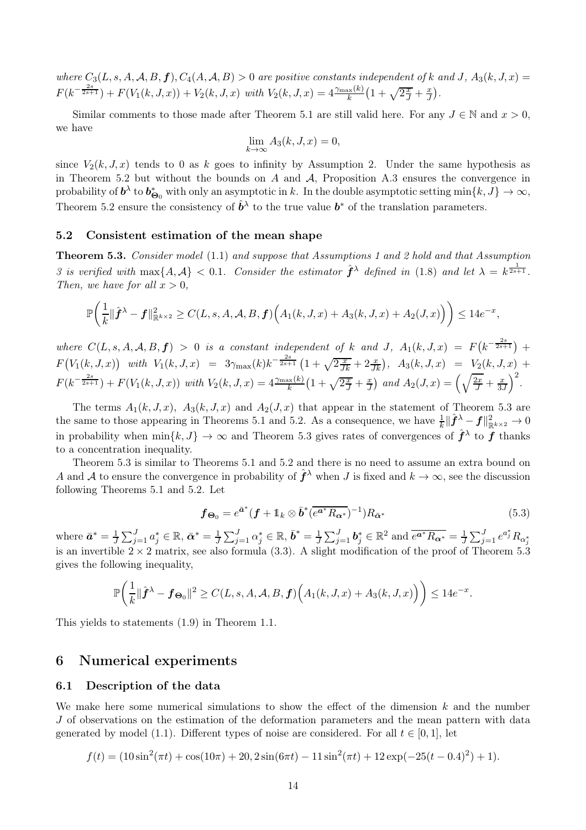*where*  $C_3(L, s, A, A, B, f), C_4(A, A, B) > 0$  *are positive constants independent of* k and J,  $A_3(k, J, x) =$  $F(k^{-\frac{2s}{2s+1}}) + F(V_1(k, J, x)) + V_2(k, J, x)$  with  $V_2(k, J, x) = 4 \frac{\gamma_{\text{max}}(k)}{k} \left(1 + \sqrt{2\frac{x}{J}} + \frac{x}{J}\right)$  $\frac{x}{J}$ .

Similar comments to those made after Theorem [5.1](#page-12-2) are still valid here. For any  $J \in \mathbb{N}$  and  $x > 0$ , we have

$$
\lim_{k \to \infty} A_3(k, J, x) = 0,
$$

since  $V_2(k, J, x)$  tends to 0 as k goes to infinity by Assumption [2.](#page-3-1) Under the same hypothesis as in Theorem [5.2](#page-12-3) but without the bounds on  $A$  and  $A$ , Proposition [A.3](#page-18-1) ensures the convergence in probability of  $b^{\lambda}$  to  $b^*_{\Theta_0}$  with only an asymptotic in k. In the double asymptotic setting  $\min\{k, J\} \to \infty$ , Theorem [5.2](#page-12-3) ensure the consistency of  $\hat{b}^{\lambda}$  to the true value  $b^*$  of the translation parameters.

### <span id="page-13-2"></span><span id="page-13-0"></span>5.2 Consistent estimation of the mean shape

Theorem 5.3. *Consider model* [\(1.1\)](#page-1-0) *and suppose that Assumptions [1](#page-2-0) and [2](#page-3-1) hold and that Assumption [3](#page-8-1)* is verified with  $\max\{A, A\} < 0.1$ . Consider the estimator  $\hat{f}^{\lambda}$  defined in [\(1.8\)](#page-3-3) and let  $\lambda = k^{\frac{1}{2s+1}}$ . *Then, we have for all*  $x > 0$ *,* 

$$
\mathbb{P}\bigg(\frac{1}{k}\|\hat{\boldsymbol{f}}^{\lambda}-\boldsymbol{f}\|_{\mathbb{R}^{k\times2}}^2\geq C(L,s,A,\mathcal{A},B,\boldsymbol{f})\Big(A_1(k,J,x)+A_3(k,J,x)+A_2(J,x)\Big)\bigg)\leq 14e^{-x},
$$

 $where \ C(L, s, A, A, B, f) > 0$  is a constant independent of k and J,  $A_1(k, J, x) = F(k^{-\frac{2s}{2s+1}}) +$  $F(V_1(k, J, x))$  with  $V_1(k, J, x) = 3\gamma_{\text{max}}(k)k^{-\frac{2s}{2s+1}}(1+\sqrt{2\frac{x}{Jk}}+2\frac{x}{Jk})$ ,  $A_3(k, J, x) = V_2(k, J, x) +$  $F(k^{-\frac{2s}{2s+1}}) + F(V_1(k, J, x))$  with  $V_2(k, J, x) = 4 \frac{\gamma_{\max}(k)}{k} \left(1 + \sqrt{2\frac{x}{J}} + \frac{x}{J}\right)$  $\left(\frac{x}{J}\right)$  and  $A_2(J,x) = \left(\sqrt{\frac{2x}{J}} + \frac{x}{3x}\right)$ 3J  $\big)^2$ .

The terms  $A_1(k, J, x)$ ,  $A_3(k, J, x)$  and  $A_2(J, x)$  that appear in the statement of Theorem [5.3](#page-13-2) are the same to those appearing in Theorems [5.1](#page-12-2) and [5.2.](#page-12-3) As a consequence, we have  $\frac{1}{k} \|\hat{\boldsymbol{f}}^{\lambda} - \boldsymbol{f}\|_{\mathbb{R}^{k \times 2}}^2 \to 0$ in probability when  $\min\{k, J\} \to \infty$  and Theorem [5.3](#page-13-2) gives rates of convergences of  $\hat{f}^{\lambda}$  to f thanks to a concentration inequality.

Theorem [5.3](#page-13-2) is similar to Theorems [5.1](#page-12-2) and [5.2](#page-12-3) and there is no need to assume an extra bound on A and A to ensure the convergence in probability of  $\hat{f}^{\lambda}$  when J is fixed and  $k \to \infty$ , see the discussion following Theorems [5.1](#page-12-2) and [5.2.](#page-12-3) Let

<span id="page-13-3"></span>
$$
\boldsymbol{f}_{\boldsymbol{\Theta}_0} = e^{\bar{\boldsymbol{a}}^*} (\boldsymbol{f} + \mathbb{1}_k \otimes \bar{\boldsymbol{b}}^* (\overline{e^{\boldsymbol{a}^*} R_{\boldsymbol{\alpha}^*}})^{-1}) R_{\bar{\boldsymbol{\alpha}}^*}
$$
(5.3)

where  $\bar{a}^* = \frac{1}{J} \sum_{j=1}^J a_j^* \in \mathbb{R}, \bar{\alpha}^* = \frac{1}{J} \sum_{j=1}^J \alpha_j^* \in \mathbb{R}, \bar{b}^* = \frac{1}{J} \sum_{j=1}^J b_j^* \in \mathbb{R}^2$  and  $\bar{e}^{\bar{a}^*} R_{\alpha^*} = \frac{1}{J} \sum_{j=1}^J e^{a_j^*} R_{\alpha^*}$ is an invertible  $2 \times 2$  matrix, see also formula [\(3.3\)](#page-9-0). A slight modification of the proof of Theorem [5.3](#page-13-2) gives the following inequality,

$$
\mathbb{P}\bigg(\frac{1}{k}\|\hat{\boldsymbol{f}}^{\lambda}-\boldsymbol{f}_{\boldsymbol{\Theta}_0}\|^2\geq C(L,s,A,\mathcal{A},B,\boldsymbol{f})\Big(A_1(k,J,x)+A_3(k,J,x)\Big)\bigg)\leq 14e^{-x}.
$$

This yields to statements [\(1.9\)](#page-4-0) in Theorem [1.1.](#page-3-0)

### <span id="page-13-1"></span>6 Numerical experiments

#### <span id="page-13-4"></span>6.1 Description of the data

We make here some numerical simulations to show the effect of the dimension  $k$  and the number J of observations on the estimation of the deformation parameters and the mean pattern with data generated by model [\(1.1\)](#page-1-0). Different types of noise are considered. For all  $t \in [0,1]$ , let

$$
f(t) = (10\sin^2(\pi t) + \cos(10\pi) + 20, 2\sin(6\pi t) - 11\sin^2(\pi t) + 12\exp(-25(t - 0.4)^2) + 1).
$$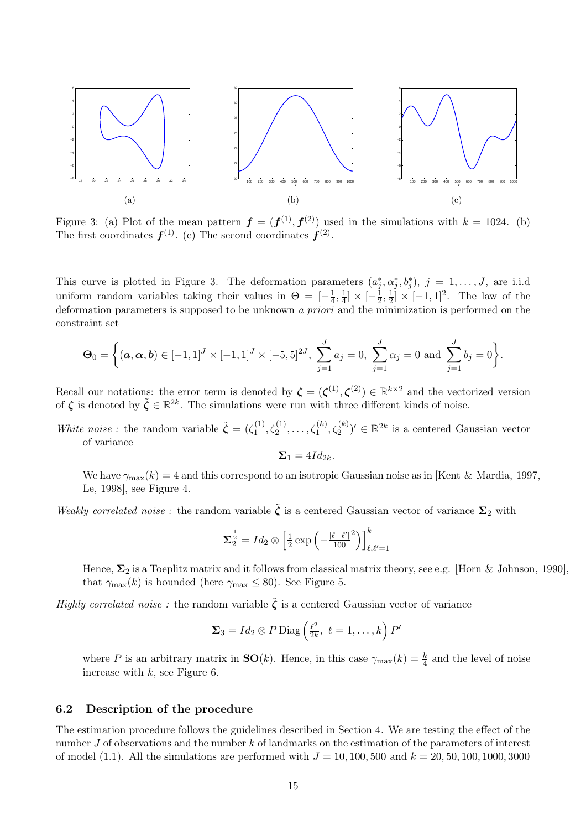<span id="page-14-3"></span><span id="page-14-0"></span>

<span id="page-14-1"></span>Figure 3: [\(a\)](#page-14-0) Plot of the mean pattern  $\boldsymbol{f} = (\boldsymbol{f}^{(1)}, \boldsymbol{f}^{(2)})$  used in the simulations with  $k = 1024$ . [\(b\)](#page-14-1) The first coordinates  $f^{(1)}$ . [\(c\)](#page-14-2) The second coordinates  $f^{(2)}$ .

This curve is plotted in Figure [3.](#page-14-3) The deformation parameters  $(a_j^*, \alpha_j^*, b_j^*), j = 1, \ldots, J$ , are i.i.d uniform random variables taking their values in  $\Theta = \left[-\frac{1}{4}\right]$  $\frac{1}{4}, \frac{1}{4}$  $\frac{1}{4}$   $\times$   $\left[-\frac{1}{2}\right]$  $\frac{1}{2}, \frac{1}{2}$  $\frac{1}{2} \times [-1,1]^2$ . The law of the deformation parameters is supposed to be unknown *a priori* and the minimization is performed on the constraint set

$$
\mathbf{\Theta}_0 = \left\{ (\mathbf{a}, \mathbf{\alpha}, \mathbf{b}) \in [-1, 1]^J \times [-1, 1]^J \times [-5, 5]^{2J}, \sum_{j=1}^J a_j = 0, \sum_{j=1}^J \alpha_j = 0 \text{ and } \sum_{j=1}^J b_j = 0 \right\}.
$$

Recall our notations: the error term is denoted by  $\zeta = (\zeta^{(1)}, \zeta^{(2)}) \in \mathbb{R}^{k \times 2}$  and the vectorized version of  $\zeta$  is denoted by  $\tilde{\zeta} \in \mathbb{R}^{2k}$ . The simulations were run with three different kinds of noise.

*White noise*: the random variable  $\tilde{\zeta} = (\zeta_1^{(1)})$  $\zeta_1^{(1)}, \zeta_2^{(1)}, \ldots, \zeta_1^{(k)}, \zeta_2^{(k)}$ '  $\in \mathbb{R}^{2k}$  is a centered Gaussian vector of variance

<span id="page-14-2"></span>
$$
\Sigma_1=4Id_{2k}.
$$

We have  $\gamma_{\text{max}}(k) = 4$  and this correspond to an isotropic Gaussian noise as in [\[Kent & Mardia, 1997,](#page-29-2) [Le, 1998\]](#page-29-3), see Figure [4.](#page-15-0)

*Weakly correlated noise*: the random variable  $\tilde{\zeta}$  is a centered Gaussian vector of variance  $\Sigma_2$  with

$$
\mathbf{\Sigma}_2^{\frac{1}{2}}=Id_2\otimes\left[\frac{1}{2}\exp\left(-\frac{\left|\ell-\ell'\right|^{2}}{100}\right)\right]_{\ell,\ell'=1}^k
$$

Hence,  $\Sigma_2$  is a Toeplitz matrix and it follows from classical matrix theory, see e.g. [\[Horn & Johnson, 1990\]](#page-29-11), that  $\gamma_{\text{max}}(k)$  is bounded (here  $\gamma_{\text{max}} \leq 80$ ). See Figure [5.](#page-15-0)

*Highly correlated noise*: the random variable  $\tilde{\zeta}$  is a centered Gaussian vector of variance

$$
\Sigma_3 = Id_2 \otimes P \operatorname{Diag}\left(\frac{\ell^2}{2k}, \ell = 1, \ldots, k\right) P'
$$

where P is an arbitrary matrix in  $SO(k)$ . Hence, in this case  $\gamma_{\max}(k) = \frac{k}{4}$  and the level of noise increase with  $k$ , see Figure [6.](#page-15-0)

### 6.2 Description of the procedure

The estimation procedure follows the guidelines described in Section [4.](#page-10-0) We are testing the effect of the number J of observations and the number k of landmarks on the estimation of the parameters of interest of model [\(1.1\)](#page-1-0). All the simulations are performed with  $J = 10, 100, 500$  and  $k = 20, 50, 100, 1000, 3000$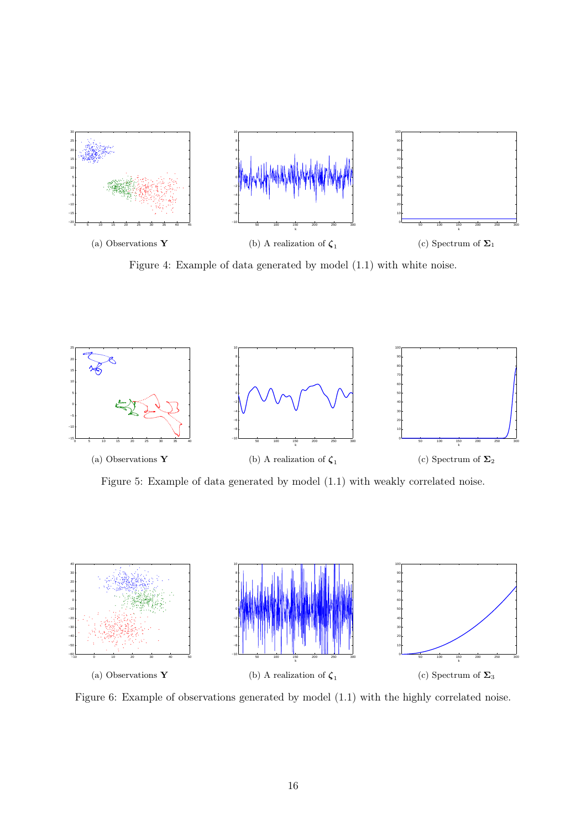<span id="page-15-0"></span>

Figure 4: Example of data generated by model [\(1.1\)](#page-1-0) with white noise.



Figure 5: Example of data generated by model [\(1.1\)](#page-1-0) with weakly correlated noise.



Figure 6: Example of observations generated by model [\(1.1\)](#page-1-0) with the highly correlated noise.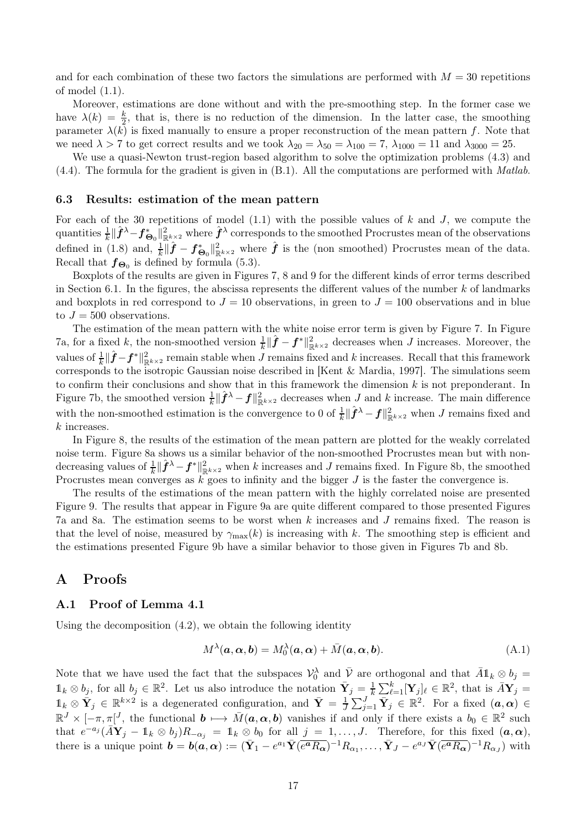and for each combination of these two factors the simulations are performed with  $M = 30$  repetitions of model [\(1.1\)](#page-1-0).

Moreover, estimations are done without and with the pre-smoothing step. In the former case we have  $\lambda(k) = \frac{k}{2}$ , that is, there is no reduction of the dimension. In the latter case, the smoothing parameter  $\lambda(k)$  is fixed manually to ensure a proper reconstruction of the mean pattern f. Note that we need  $\lambda > 7$  to get correct results and we took  $\lambda_{20} = \lambda_{50} = \lambda_{100} = 7$ ,  $\lambda_{1000} = 11$  and  $\lambda_{3000} = 25$ .

We use a quasi-Newton trust-region based algorithm to solve the optimization problems  $(4.3)$  and [\(4.4\)](#page-11-1). The formula for the gradient is given in [\(B.1\)](#page-26-0). All the computations are performed with *Matlab*.

### 6.3 Results: estimation of the mean pattern

For each of the 30 repetitions of model  $(1.1)$  with the possible values of k and J, we compute the quantities  $\frac{1}{k}\|\hat{f}^{\lambda}-f^*_{\mathbf{\Theta}_0}\|^2_{\mathbb{R}^{k\times2}}$  where  $\hat{f}^{\lambda}$  corresponds to the smoothed Procrustes mean of the observations defined in [\(1.8\)](#page-3-3) and,  $\frac{1}{k} \|\hat{f} - f^*_{\Theta_0}\|_{\mathbb{R}^{k\times 2}}^2$  where  $\hat{f}$  is the (non smoothed) Procrustes mean of the data. Recall that  $f_{\Theta_0}$  is defined by formula [\(5.3\)](#page-13-3).

Boxplots of the results are given in Figures [7, 8](#page-17-0) and [9](#page-17-0) for the different kinds of error terms described in Section [6.1.](#page-13-4) In the figures, the abscissa represents the different values of the number  $k$  of landmarks and boxplots in red correspond to  $J = 10$  observations, in green to  $J = 100$  observations and in blue to  $J = 500$  observations.

The estimation of the mean pattern with the white noise error term is given by Figure [7.](#page-17-0) In Figure [7a,](#page-17-1) for a fixed k, the non-smoothed version  $\frac{1}{k} \|\hat{f} - f^*\|_{\mathbb{R}^{k\times 2}}^2$  decreases when J increases. Moreover, the values of  $\frac{1}{k} \|\hat{f} - f^*\|_{\mathbb{R}^{k\times 2}}^2$  remain stable when J remains fixed and k increases. Recall that this framework corresponds to the isotropic Gaussian noise described in [\[Kent & Mardia, 1997\]](#page-29-2). The simulations seem to confirm their conclusions and show that in this framework the dimension  $k$  is not preponderant. In Figure [7b,](#page-17-2) the smoothed version  $\frac{1}{k} \|\hat{f}^{\lambda} - f\|_{\mathbb{R}^{k\times 2}}^2$  decreases when J and k increase. The main difference with the non-smoothed estimation is the convergence to 0 of  $\frac{1}{k} \|\hat{f}^{\lambda} - f\|_{\mathbb{R}^{k \times 2}}^2$  when J remains fixed and k increases.

In Figure [8,](#page-17-0) the results of the estimation of the mean pattern are plotted for the weakly correlated noise term. Figure [8a](#page-17-3) shows us a similar behavior of the non-smoothed Procrustes mean but with nondecreasing values of  $\frac{1}{k} \|\hat{f}^{\lambda} - f^*\|_{\mathbb{R}^{k\times 2}}^2$  when k increases and J remains fixed. In Figure [8b,](#page-17-4) the smoothed Procrustes mean converges as  $k$  goes to infinity and the bigger  $J$  is the faster the convergence is.

The results of the estimations of the mean pattern with the highly correlated noise are presented Figure [9.](#page-17-0) The results that appear in Figure [9a](#page-17-5) are quite different compared to those presented Figures [7a](#page-17-1) and [8a.](#page-17-3) The estimation seems to be worst when k increases and J remains fixed. The reason is that the level of noise, measured by  $\gamma_{\text{max}}(k)$  is increasing with k. The smoothing step is efficient and the estimations presented Figure [9b](#page-17-6) have a similar behavior to those given in Figures [7b](#page-17-2) and [8b.](#page-17-4)

# A Proofs

### A.1 Proof of Lemma [4.1](#page-12-1)

Using the decomposition [\(4.2\)](#page-11-2), we obtain the following identity

<span id="page-16-0"></span>
$$
M^{\lambda}(\mathbf{a}, \mathbf{\alpha}, \mathbf{b}) = M_0^{\lambda}(\mathbf{a}, \mathbf{\alpha}) + \bar{M}(\mathbf{a}, \mathbf{\alpha}, \mathbf{b}).
$$
\n(A.1)

Note that we have used the fact that the subspaces  $\mathcal{V}_0^{\lambda}$  and  $\overline{\mathcal{V}}$  are orthogonal and that  $\overline{A}\mathbb{1}_k \otimes b_j =$  $\mathbb{1}_k \otimes b_j$ , for all  $b_j \in \mathbb{R}^2$ . Let us also introduce the notation  $\bar{Y}_j = \frac{1}{k} \sum_{\ell=1}^k [\mathbf{Y}_j]_\ell \in \mathbb{R}^2$ , that is  $\bar{A}Y_j =$  $1_k \otimes \bar{Y}_j \in \mathbb{R}^{k \times 2}$  is a degenerated configuration, and  $\bar{Y} = \frac{1}{J} \sum_{j=1}^J \bar{Y}_j \in \mathbb{R}^2$ . For a fixed  $(a, \alpha) \in$  $\mathbb{R}^J \times [-\pi, \pi]^J$ , the functional  $\mathbf{b} \mapsto \bar{M}(\mathbf{a}, \mathbf{\alpha}, \mathbf{b})$  vanishes if and only if there exists a  $b_0 \in \mathbb{R}^2$  such that  $e^{-a_j}(\bar{A}\mathbf{Y}_j - \mathbb{1}_k \otimes b_j)R_{-\alpha_j} = \mathbb{1}_k \otimes b_0$  for all  $j = 1, \ldots, J$ . Therefore, for this fixed  $(a, \alpha)$ , there is a unique point  $\mathbf{b} = \mathbf{b}(\mathbf{a}, \mathbf{\alpha}) := (\bar{\mathbf{Y}}_1 - e^{a_1} \bar{\mathbf{Y}} (\overline{e^{\mathbf{a}} R_{\mathbf{\alpha}}})^{-1} R_{\alpha_1}, \dots, \bar{\mathbf{Y}}_J - e^{a_J} \bar{\mathbf{Y}} (\overline{e^{\mathbf{a}} R_{\mathbf{\alpha}}})^{-1} R_{\alpha_J})$  with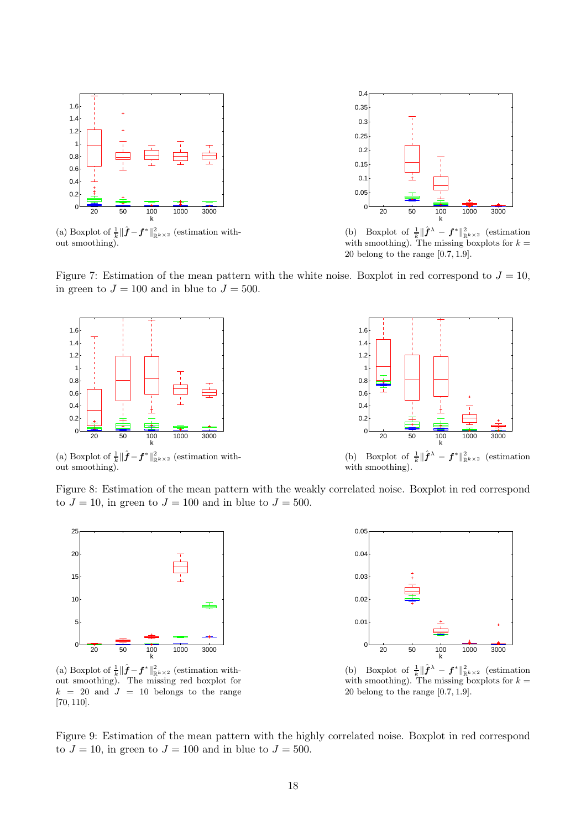<span id="page-17-1"></span><span id="page-17-0"></span>

(a) Boxplot of  $\frac{1}{k} \|\hat{f} - f^*\|_{\mathbb{R}^{k} \times 2}^2$  (estimation without smoothing).



<span id="page-17-2"></span>(b) Boxplot of  $\frac{1}{k} \|\hat{\boldsymbol{f}}^{\lambda} - \boldsymbol{f}^*\|_{\mathbb{R}^{k\times 2}}^2$  (estimation with smoothing). The missing boxplots for  $k =$ 20 belong to the range [0.7, 1.9].

<span id="page-17-3"></span>Figure 7: Estimation of the mean pattern with the white noise. Boxplot in red correspond to  $J = 10$ , in green to  $J = 100$  and in blue to  $J = 500$ .



20 50 100 1000 3000  $\Omega$  $0.2$  $0.4$  $0.\overline{6}$  $0.8$ 1  $1.2$ 1.4 1.6  $\frac{100}{k}$ (b) Boxplot of  $\frac{1}{k}$  $\|\hat{\boldsymbol{f}}^{\lambda} - \boldsymbol{f}^*\|_{\mathbb{R}^{k\times2}}^2$  (estimation

(a) Boxplot of  $\frac{1}{k} \|\hat{f} - f^*\|_{\mathbb{R}^{k} \times 2}^2$  (estimation without smoothing).

<span id="page-17-4"></span>

<span id="page-17-5"></span>Figure 8: Estimation of the mean pattern with the weakly correlated noise. Boxplot in red correspond to  $J = 10$ , in green to  $J = 100$  and in blue to  $J = 500$ .



(a) Boxplot of  $\frac{1}{k} \|\hat{f} - f^*\|_{\mathbb{R}^{k} \times 2}^2$  (estimation without smoothing). The missing red boxplot for  $k = 20$  and  $J = 10$  belongs to the range [70, 110].



<span id="page-17-6"></span>(b) Boxplot of  $\frac{1}{k} \|\hat{\boldsymbol{f}}^{\lambda} - \boldsymbol{f}^*\|_{\mathbb{R}^{k\times 2}}^2$  (estimation with smoothing). The missing boxplots for  $k =$ 20 belong to the range [0.7, 1.9].

Figure 9: Estimation of the mean pattern with the highly correlated noise. Boxplot in red correspond to  $J = 10$ , in green to  $J = 100$  and in blue to  $J = 500$ .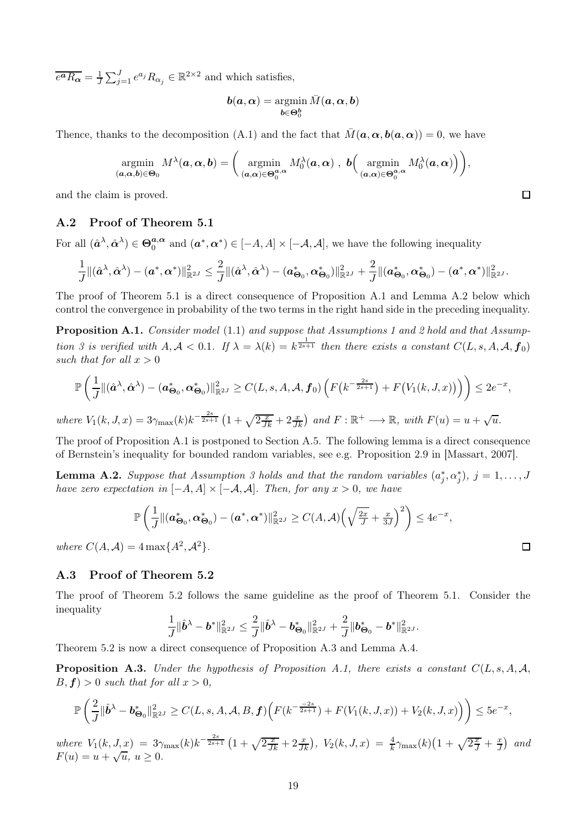$\overline{e^a R_{\alpha}} = \frac{1}{J} \sum_{j=1}^{J} e^{a_j} R_{\alpha_j} \in \mathbb{R}^{2 \times 2}$  and which satisfies,

$$
\boldsymbol{b}(\boldsymbol{a},\boldsymbol{\alpha})=\operatornamewithlimits{argmin}_{\boldsymbol{b}\in\boldsymbol{\Theta}_0^{\boldsymbol{b}}} \bar{M}(\boldsymbol{a},\boldsymbol{\alpha},\boldsymbol{b})
$$

Thence, thanks to the decomposition [\(A.1\)](#page-16-0) and the fact that  $\overline{M} (\boldsymbol{a}, \boldsymbol{\alpha}, \boldsymbol{b}(\boldsymbol{a}, \boldsymbol{\alpha})) = 0$ , we have

$$
\operatorname*{argmin}_{(\boldsymbol{a},\boldsymbol{\alpha},\boldsymbol{b})\in\Theta_0} M^{\lambda}(\boldsymbol{a},\boldsymbol{\alpha},\boldsymbol{b}) = \bigg(\operatorname*{argmin}_{(\boldsymbol{a},\boldsymbol{\alpha})\in\Theta_0^{\boldsymbol{a},\boldsymbol{\alpha}}} M_0^{\lambda}(\boldsymbol{a},\boldsymbol{\alpha}) , \boldsymbol{b}\bigg(\operatorname*{argmin}_{(\boldsymbol{a},\boldsymbol{\alpha})\in\Theta_0^{\boldsymbol{a},\boldsymbol{\alpha}}} M_0^{\lambda}(\boldsymbol{a},\boldsymbol{\alpha})\bigg)\bigg),
$$

and the claim is proved.

### A.2 Proof of Theorem [5.1](#page-12-2)

For all  $(\hat{\boldsymbol{a}}^{\lambda}, \hat{\boldsymbol{\alpha}}^{\lambda}) \in \Theta_0^{\boldsymbol{a}, \boldsymbol{\alpha}}$  $a_0^{a,\alpha}$  and  $(a^*, \alpha^*) \in [-A, A] \times [-A, A]$ , we have the following inequality

$$
\frac{1}{J} \|(\hat{\boldsymbol{a}}^{\lambda}, \hat{\boldsymbol{\alpha}}^{\lambda}) - (\boldsymbol{a}^*, \boldsymbol{\alpha}^*) \|_{\mathbb{R}^{2J}}^2 \leq \frac{2}{J} \|(\hat{\boldsymbol{a}}^{\lambda}, \hat{\boldsymbol{\alpha}}^{\lambda}) - (\boldsymbol{a}^*_{\boldsymbol{\Theta}_0}, \boldsymbol{\alpha}^*_{\boldsymbol{\Theta}_0}) \|_{\mathbb{R}^{2J}}^2 + \frac{2}{J} \|(\boldsymbol{a}^*_{\boldsymbol{\Theta}_0}, \boldsymbol{\alpha}^*_{\boldsymbol{\Theta}_0}) - (\boldsymbol{a}^*, \boldsymbol{\alpha}^*) \|_{\mathbb{R}^{2J}}^2.
$$

<span id="page-18-0"></span>The proof of Theorem [5.1](#page-12-2) is a direct consequence of Proposition [A.1](#page-18-0) and Lemma [A.2](#page-18-2) below which control the convergence in probability of the two terms in the right hand side in the preceding inequality.

Proposition A.1. *Consider model* [\(1.1\)](#page-1-0) *and suppose that Assumptions [1](#page-2-0) and [2](#page-3-1) hold and that Assumption* [3](#page-8-1) is verified with  $A, A < 0.1$ . If  $\lambda = \lambda(k) = k^{\frac{1}{2s+1}}$  then there exists a constant  $C(L, s, A, A, f_0)$ *such that for all*  $x > 0$ 

$$
\mathbb{P}\left(\frac{1}{J}\|(\hat{a}^{\lambda},\hat{\alpha}^{\lambda})-(\boldsymbol{a}^*_{\boldsymbol{\Theta}_0},\boldsymbol{\alpha}^*_{\boldsymbol{\Theta}_0})\|_{\mathbb{R}^{2J}}^2 \geq C(L,s,A,\mathcal{A},f_0)\left(F\left(k^{-\frac{2s}{2s+1}}\right)+F\left(V_1(k,J,x)\right)\right)\right) \leq 2e^{-x},
$$
\nwhere  $V_1(k,J,x) = 3\gamma_{\max}(k)k^{-\frac{2s}{2s+1}}\left(1+\sqrt{2\frac{x}{Jk}}+2\frac{x}{Jk}\right)$  and  $F:\mathbb{R}^+\longrightarrow \mathbb{R}$ , with  $F(u) = u + \sqrt{u}$ .

The proof of Proposition [A.1](#page-18-0) is postponed to Section [A.5.](#page-20-0) The following lemma is a direct consequence of Bernstein's inequality for bounded random variables, see e.g. Proposition 2.9 in [\[Massart, 2007\]](#page-29-12).

<span id="page-18-2"></span>**Lemma A.2.** *Suppose that Assumption [3](#page-8-1) holds and that the random variables*  $(a_j^*, \alpha_j^*), j = 1, \ldots, J$ *have zero expectation in*  $[-A, A] \times [-A, A]$ *. Then, for any*  $x > 0$ *, we have* 

$$
\mathbb{P}\left(\frac{1}{J}\|(\boldsymbol{a}_{\boldsymbol{\Theta}_0}^*,\boldsymbol{\alpha}_{\boldsymbol{\Theta}_0}^*)-(\boldsymbol{a}^*,\boldsymbol{\alpha}^*)\|_{\mathbb{R}^{2J}}^2\geq C(A,\mathcal{A})\left(\sqrt{\frac{2x}{J}}+\frac{x}{3J}\right)^2\right)\leq 4e^{-x},
$$

*where*  $C(A, A) = 4 \max\{A^2, A^2\}.$ 

### A.3 Proof of Theorem [5.2](#page-12-3)

The proof of Theorem [5.2](#page-12-3) follows the same guideline as the proof of Theorem [5.1.](#page-12-2) Consider the inequality

$$
\frac{1}{J}\|\hat{\boldsymbol{b}}^{\lambda}-\boldsymbol{b}^*\|_{\mathbb{R}^{2J}}^2\leq \frac{2}{J}\|\hat{\boldsymbol{b}}^{\lambda}-\boldsymbol{b}^*_{\boldsymbol{\Theta}_0}\|_{\mathbb{R}^{2J}}^2+\frac{2}{J}\|\boldsymbol{b}^*_{\boldsymbol{\Theta}_0}-\boldsymbol{b}^*\|_{\mathbb{R}^{2J}}^2.
$$

<span id="page-18-1"></span>Theorem [5.2](#page-12-3) is now a direct consequence of Proposition [A.3](#page-18-1) and Lemma [A.4.](#page-19-0)

**Proposition A.3.** *Under the hypothesis of Proposition [A.1,](#page-18-0) there exists a constant*  $C(L, s, A, A, A, B, C)$  $B, f$  > 0 *such that for all*  $x > 0$ *,* 

$$
\mathbb{P}\left(\frac{2}{J}\|\hat{\boldsymbol{b}}^{\lambda}-\boldsymbol{b}^{\ast}_{\boldsymbol{\Theta}_0}\|_{\mathbb{R}^{2J}}^2\geq C(L,s,A,\mathcal{A},B,\boldsymbol{f})\Big(F(k^{-\frac{-2s}{2s+1}})+F(V_1(k,J,x))+V_2(k,J,x)\Big)\right)\leq 5e^{-x},
$$

 $where V_1(k, J, x) = 3\gamma_{\text{max}}(k)k^{-\frac{2s}{2s+1}}\left(1+\sqrt{2\frac{x}{Jk}}+2\frac{x}{Jk}\right), V_2(k, J, x) = \frac{4}{k}\gamma_{\text{max}}(k)\left(1+\sqrt{2\frac{x}{J}}+\frac{x}{Jk}\right)$  $\frac{x}{J}$  and  $F(u) = u + \sqrt{u}, \ u \ge 0.$ 

 $\Box$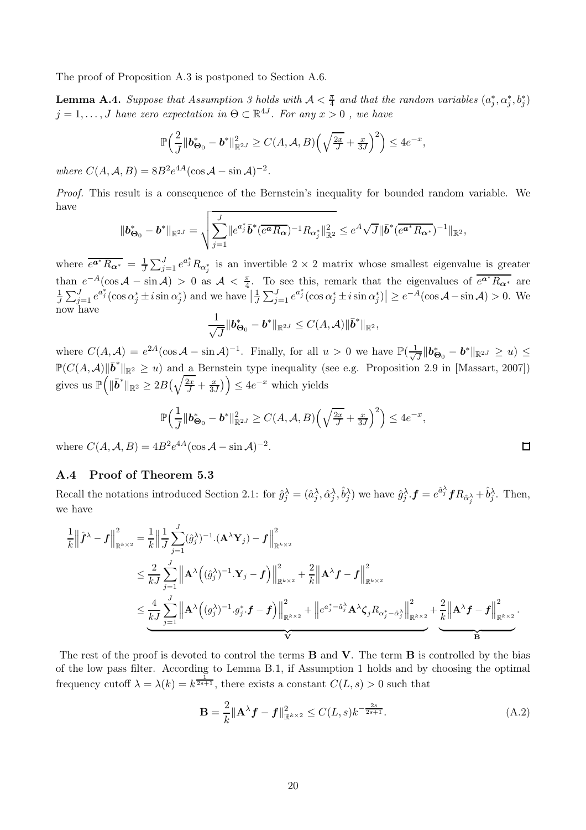<span id="page-19-0"></span>The proof of Proposition [A.3](#page-18-1) is postponed to Section [A.6.](#page-23-0)

**Lemma A.4.** *Suppose that Assumption [3](#page-8-1) holds with*  $A < \frac{\pi}{4}$  $\frac{\pi}{4}$  and that the random variables  $(a_j^*, \alpha_j^*, b_j^*)$  $j = 1, \ldots, J$  *have zero expectation in*  $\Theta \subset \mathbb{R}^{4J}$ *. For any*  $x > 0$ , we have

$$
\mathbb{P}\Big(\frac{2}{J}\|\boldsymbol{b^*_{\Theta_0}} - \boldsymbol{b^*}\|_{\mathbb{R}^{2J}}^2 \geq C(A, \mathcal{A}, B)\Big(\sqrt{\tfrac{2x}{J}} + \tfrac{x}{3J}\Big)^2\Big) \leq 4e^{-x},
$$

*where*  $C(A, A, B) = 8B^2 e^{4A} (\cos A - \sin A)^{-2}$ *.* 

*Proof.* This result is a consequence of the Bernstein's inequality for bounded random variable. We have

$$
\|\boldsymbol{b}^*_{\boldsymbol{\Theta}_0} - \boldsymbol{b}^*\|_{\mathbb{R}^{2J}} = \sqrt{\sum_{j=1}^J \|e^{a_j^*} \bar{\boldsymbol{b}}^* (\overline{e^a R_{\boldsymbol{\alpha}}})^{-1} R_{\alpha_j^*} \|_{\mathbb{R}^2}^2} \leq e^A \sqrt{J} \|\bar{\boldsymbol{b}}^* (\overline{e^{a^*} R_{\boldsymbol{\alpha}^*}})^{-1} \|_{\mathbb{R}^2},
$$

where  $\overline{e^{a^*}R_{\alpha^*}} = \frac{1}{J}\sum_{j=1}^J e^{a_j^*}R_{\alpha_j^*}$  $\frac{1}{J}\sum_{j=1}^{J}e^{a_j}R_{\alpha_j^*}$  is an invertible  $2\times 2$  matrix whose smallest eigenvalue is greater than  $e^{-A}(\cos A - \sin A) > 0$  as  $A < \frac{\pi}{4}$  $\frac{\pi}{4}$ . To see this, remark that the eigenvalues of  $\overline{e^{a^*}R_{\alpha^*}}$  are  $\frac{1}{J}\sum_{j=1}^{J}e^{a_j^*}(\cos\alpha_j^*\pm i\sin\alpha_j^*)$  and we have  $\left|\frac{1}{J}\sum_{j=1}^{J}e^{a_j^*}(\cos\alpha_j^*\pm i\sin\alpha_j^*)\right|\geq e^{-A}(\cos\mathcal{A}-\sin\mathcal{A})>0$ . We now have 1

$$
\frac{1}{\sqrt{J}}\|\boldsymbol{b}_{\boldsymbol{\Theta}_0}^* - \boldsymbol{b}^*\|_{\mathbb{R}^{2J}} \leq C(A,\mathcal{A})\|\bar{\boldsymbol{b}}^*\|_{\mathbb{R}^2},
$$

where  $C(A, \mathcal{A}) = e^{2\mathcal{A}}(\cos \mathcal{A} - \sin \mathcal{A})^{-1}$ . Finally, for all  $u > 0$  we have  $\mathbb{P}(\frac{1}{\sqrt{2\pi}})$  $\frac{1}{J}\|\bm{b^*_{\Theta_0}}-\bm{b^*}\|_{\mathbb{R}^{2J}}\geq u)\leq 0$  $\mathbb{P}(C(A, \mathcal{A}) \|\bar{\boldsymbol{b}}^*\|_{\mathbb{R}^2} \geq u)$  and a Bernstein type inequality (see e.g. Proposition 2.9 in [\[Massart, 2007\]](#page-29-12)) gives us  $\mathbb{P}\left( \right)$  $\|\bar{\bm{b}}^*\|_{\mathbb{R}^2} \geq 2B\left(\sqrt{\frac{2x}{J}} + \frac{x}{3x}\right)$  $\left(\frac{x}{3J}\right)\right)\leq 4e^{-x}$  which yields

$$
\mathbb{P}\Big(\frac{1}{J}\|\boldsymbol{b^*_{\Theta_0}}-\boldsymbol{b^*}\|_{\mathbb{R}^{2J}}^2\geq C(A,\mathcal{A},B)\Big(\sqrt{\frac{2x}{J}}+\frac{x}{3J}\Big)^2\Big)\leq 4e^{-x},
$$

where  $C(A, \mathcal{A}, B) = 4B^2 e^{4A} (\cos \mathcal{A} - \sin \mathcal{A})^{-2}$ .

### A.4 Proof of Theorem [5.3](#page-13-2)

Recall the notations introduced Section [2.1:](#page-4-3) for  $\hat{g}_j^{\lambda} = (\hat{a}_j^{\lambda}, \hat{\alpha}_j^{\lambda}, \hat{b}_j^{\lambda})$  we have  $\hat{g}_j^{\lambda} \cdot \mathbf{f} = e^{\hat{a}_j^{\lambda}} \mathbf{f} R_{\hat{\alpha}_j^{\lambda}} + \hat{b}_j^{\lambda}$ . Then, we have

$$
\begin{split} \frac{1}{k} \Big\|\hat{\boldsymbol{f}}^{\lambda}-\boldsymbol{f} \Big\|_{\mathbb{R}^{k\times2}}^2 &= \frac{1}{k} \Big\|\frac{1}{J}\sum_{j=1}^J (\hat{g}_j^{\lambda})^{-1}.(\mathbf{A}^{\lambda}\mathbf{Y}_j) -\boldsymbol{f} \Big\|_{\mathbb{R}^{k\times2}}^2 \\ & \leq \frac{2}{kJ}\sum_{j=1}^J \Big\|\mathbf{A}^{\lambda}\Big((\hat{g}_j^{\lambda})^{-1}.\mathbf{Y}_j-\boldsymbol{f}\Big)\Big\|_{\mathbb{R}^{k\times2}}^2 + \frac{2}{k} \Big\|\mathbf{A}^{\lambda}\boldsymbol{f}-\boldsymbol{f} \Big\|_{\mathbb{R}^{k\times2}}^2 \\ & \leq \frac{4}{kJ}\sum_{j=1}^J \Big\|\mathbf{A}^{\lambda}\Big((g_j^{\lambda})^{-1}.g_j^*. \boldsymbol{f}-\boldsymbol{f}\Big)\Big\|_{\mathbb{R}^{k\times2}}^2 + \Big\|e^{a_j^*-\hat{a}_j^{\lambda}}\mathbf{A}^{\lambda}\zeta_j R_{\alpha_j^*-\hat{a}_j^{\lambda}}\Big\|_{\mathbb{R}^{k\times2}}^2 + \frac{2}{k} \Big\|\mathbf{A}^{\lambda}\boldsymbol{f}-\boldsymbol{f}\Big\|_{\mathbb{R}^{k\times2}}^2. \end{split}
$$

The rest of the proof is devoted to control the terms  $\bf{B}$  and  $\bf{V}$ . The term  $\bf{B}$  is controlled by the bias of the low pass filter. According to Lemma [B.1,](#page-25-0) if Assumption [1](#page-2-0) holds and by choosing the optimal frequency cutoff  $\lambda = \lambda(k) = k^{\frac{1}{2s+1}}$ , there exists a constant  $C(L, s) > 0$  such that

<span id="page-19-1"></span>
$$
\mathbf{B} = \frac{2}{k} ||\mathbf{A}^{\lambda} \mathbf{f} - \mathbf{f}||_{\mathbb{R}^{k \times 2}}^{2} \le C(L, s) k^{-\frac{2s}{2s+1}}.
$$
 (A.2)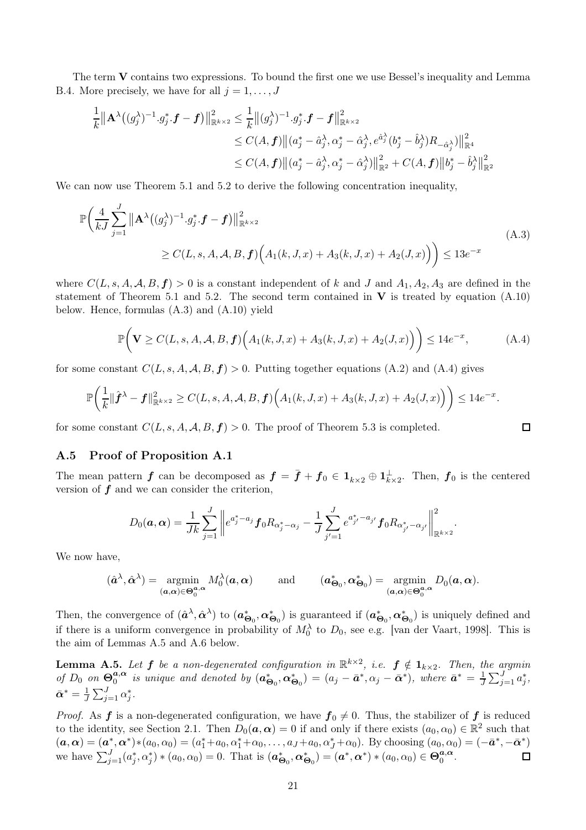The term V contains two expressions. To bound the first one we use Bessel's inequality and Lemma [B.4.](#page-28-1) More precisely, we have for all  $j = 1, \ldots, J$ 

$$
\frac{1}{k} \|\mathbf{A}^{\lambda}((g_j^{\lambda})^{-1} \cdot g_j^* \cdot \mathbf{f} - \mathbf{f})\|_{\mathbb{R}^{k \times 2}}^2 \leq \frac{1}{k} \|(g_j^{\lambda})^{-1} \cdot g_j^* \cdot \mathbf{f} - \mathbf{f}\|_{\mathbb{R}^{k \times 2}}^2
$$
\n
$$
\leq C(A, \mathbf{f}) \|(a_j^* - \hat{a}_j^{\lambda}, \alpha_j^* - \hat{\alpha}_j^{\lambda}, e^{\hat{a}_j^{\lambda}}(b_j^* - \hat{b}_j^{\lambda})R_{-\hat{\alpha}_j^{\lambda}})\|_{\mathbb{R}^4}^2
$$
\n
$$
\leq C(A, \mathbf{f}) \|(a_j^* - \hat{a}_j^{\lambda}, \alpha_j^* - \hat{\alpha}_j^{\lambda})\|_{\mathbb{R}^2}^2 + C(A, \mathbf{f}) \|b_j^* - \hat{b}_j^{\lambda}\|_{\mathbb{R}^2}^2
$$

We can now use Theorem [5.1](#page-12-2) and [5.2](#page-12-3) to derive the following concentration inequality,

$$
\mathbb{P}\bigg(\frac{4}{kJ}\sum_{j=1}^{J} \left\|\mathbf{A}^{\lambda}((g_{j}^{\lambda})^{-1} \cdot g_{j}^{*} \cdot \mathbf{f} - \mathbf{f})\right\|_{\mathbb{R}^{k\times 2}}^{2} \leq C(L,s,A,A,B,\mathbf{f})\Big(A_{1}(k,J,x) + A_{3}(k,J,x) + A_{2}(J,x)\Big)\bigg) \leq 13e^{-x}
$$
\n(A.3)

where  $C(L, s, A, A, B, f) > 0$  is a constant independent of k and J and  $A_1, A_2, A_3$  are defined in the statement of Theorem [5.1](#page-12-2) and [5.2.](#page-12-3) The second term contained in  $V$  is treated by equation [\(A.10\)](#page-22-0) below. Hence, formulas [\(A.3\)](#page-20-1) and [\(A.10\)](#page-22-0) yield

<span id="page-20-2"></span><span id="page-20-1"></span>
$$
\mathbb{P}\bigg(\mathbf{V}\geq C(L,s,A,\mathcal{A},B,\mathbf{f})\Big(A_1(k,J,x)+A_3(k,J,x)+A_2(J,x)\Big)\bigg)\leq 14e^{-x},\tag{A.4}
$$

for some constant  $C(L, s, A, A, B, f) > 0$ . Putting together equations [\(A.2\)](#page-19-1) and [\(A.4\)](#page-20-2) gives

$$
\mathbb{P}\bigg(\frac{1}{k}\|\hat{\boldsymbol{f}}^{\lambda}-\boldsymbol{f}\|_{\mathbb{R}^{k\times2}}^2\geq C(L,s,A,\mathcal{A},B,\boldsymbol{f})\Big(A_1(k,J,x)+A_3(k,J,x)+A_2(J,x)\Big)\bigg)\leq 14e^{-x}.
$$

for some constant  $C(L, s, A, A, B, f) > 0$ . The proof of Theorem [5.3](#page-13-2) is completed.

### <span id="page-20-0"></span>A.5 Proof of Proposition [A.1](#page-18-0)

The mean pattern  $f$  can be decomposed as  $f = \bar{f} + f_0 \in 1_{k \times 2} \oplus 1_{k \times 2}^{\perp}$ . Then,  $f_0$  is the centered version of  $f$  and we can consider the criterion,

$$
D_0(\boldsymbol{a},\boldsymbol{\alpha})=\frac{1}{Jk}\sum_{j=1}^J\left\|e^{a_j^*-a_j}\boldsymbol{f}_0R_{\alpha_j^*-\alpha_j}-\frac{1}{J}\sum_{j'=1}^J e^{a_{j'}^*\boldsymbol{-a}_{j'}}\boldsymbol{f}_0R_{\alpha_{j'}^*\boldsymbol{-\alpha}_{j'}}\right\|_{\mathbb{R}^{k\times 2}}^2.
$$

We now have,

$$
(\hat{a}^{\lambda}, \hat{\alpha}^{\lambda}) = \underset{(\mathbf{a}, \mathbf{\alpha}) \in \Theta_0^{\mathbf{a}, \alpha}}{\operatorname{argmin}} M_0^{\lambda}(\mathbf{a}, \mathbf{\alpha}) \quad \text{and} \quad (\mathbf{a}_{\Theta_0}^*, \mathbf{\alpha}_{\Theta_0}^*) = \underset{(\mathbf{a}, \mathbf{\alpha}) \in \Theta_0^{\mathbf{a}, \alpha}}{\operatorname{argmin}} D_0(\mathbf{a}, \mathbf{\alpha}).
$$

Then, the convergence of  $(\hat{a}^{\lambda}, \hat{\alpha}^{\lambda})$  to  $(a_{\Theta_0}^*, \alpha_{\Theta_0}^*)$  is guaranteed if  $(a_{\Theta_0}^*, \alpha_{\Theta_0}^*)$  is uniquely defined and if there is a uniform convergence in probability of  $M_0^{\lambda}$  to  $D_0$ , see e.g. [\[van der Vaart, 1998\]](#page-29-13). This is the aim of Lemmas [A.5](#page-20-3) and [A.6](#page-21-0) below.

<span id="page-20-3"></span>**Lemma A.5.** Let **f** be a non-degenerated configuration in  $\mathbb{R}^{k \times 2}$ , i.e. **f**  $\notin$  **1**<sub>k×2</sub>. Then, the argmin *of*  $D_0$  *on*  $\Theta_0^{a,\alpha}$  $\mathbf{a}^{\mathbf{a}}_{0}$  is unique and denoted by  $(\mathbf{a}^*_{\mathbf{\Theta}_0}, \mathbf{\alpha}^*_{\mathbf{\Theta}_0}) = (a_j - \bar{\mathbf{a}}^*, \alpha_j - \bar{\mathbf{\alpha}}^*)$ , where  $\bar{\mathbf{a}}^* = \frac{1}{J} \sum_{j=1}^J a_j^*$ ,  $\bar{\boldsymbol{\alpha}}^* = \frac{1}{J}\sum_{j=1}^J \alpha^*_j.$ 

*Proof.* As **f** is a non-degenerated configuration, we have  $f_0 \neq 0$ . Thus, the stabilizer of **f** is reduced to the identity, see Section [2.1.](#page-4-3) Then  $D_0(\boldsymbol{\alpha}, \boldsymbol{\alpha}) = 0$  if and only if there exists  $(a_0, \alpha_0) \in \mathbb{R}^2$  such that  $(a, \alpha) = (\mathbf{a}^*, \alpha^*) * (a_0, \alpha_0) = (a_1^* + a_0, \alpha_1^* + \alpha_0, \dots, a_J + a_0, \alpha_J^* + \alpha_0).$  By choosing  $(a_0, \alpha_0) = (-\mathbf{a}^*, -\mathbf{a}^*)$ we have  $\sum_{j=1}^{J}(a_j^*, \alpha_j^*) * (a_0, \alpha_0) = 0$ . That is  $(a_{\Theta_0}^*, \alpha_{\Theta_0}^*) = (\boldsymbol{a}^*, \boldsymbol{\alpha}^*) * (a_0, \alpha_0) \in \Theta_0^{\boldsymbol{a}, \boldsymbol{\alpha}}$  $a,\alpha \over 0$ .  $\Box$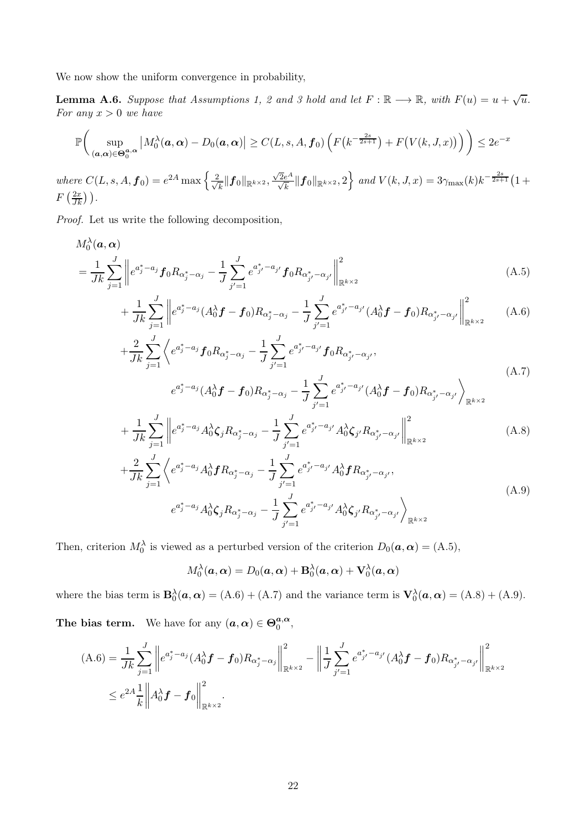<span id="page-21-0"></span>We now show the uniform convergence in probability,

**Lemma A.6.** Suppose that Assumptions [1,](#page-2-0) [2](#page-3-1) and [3](#page-8-1) hold and let  $F : \mathbb{R} \longrightarrow \mathbb{R}$ , with  $F(u) = u + \sqrt{u}$ . *For any* x > 0 *we have*

$$
\mathbb{P}\bigg(\sup_{(\boldsymbol{a},\boldsymbol{\alpha})\in\Theta_0^{\boldsymbol{a},\boldsymbol{\alpha}}}\left|M_0^{\lambda}(\boldsymbol{a},\boldsymbol{\alpha})-D_0(\boldsymbol{a},\boldsymbol{\alpha})\right|\geq C(L,s,A,\boldsymbol{f}_0)\left(F\big(k^{-\frac{2s}{2s+1}}\big)+F\big(V(k,J,x)\big)\right)\bigg)\leq 2e^{-x}
$$

where  $C(L, s, A, f_0) = e^{2A} \max \left\{ \frac{2}{\sqrt{2A}} \right\}$  $\frac{k}{k} \| \bm{f}_0 \|_{\mathbb{R}^{k \times 2}}, \frac{\sqrt{2}e^A}{\sqrt{k}} \| \bm{f}_0 \|_{\mathbb{R}^{k \times 2}}, 2 \Big\} \ \textit{and} \ V(k,J,x) = 3 \gamma_{\max}(k) k^{-\frac{2s}{2s+1}} \big( 1 + 1 \big)$  $F\left(\frac{2x}{Jk}\right)$ ).

*Proof.* Let us write the following decomposition,

$$
M_0^{\lambda}(\mathbf{a}, \mathbf{\alpha}) = \frac{1}{Jk} \sum_{j=1}^J \left\| e^{a_j^* - a_j} f_0 R_{\alpha_j^* - \alpha_j} - \frac{1}{J} \sum_{j'=1}^J e^{a_{j'}^* - a_{j'}} f_0 R_{\alpha_{j'}^* - \alpha_{j'}} \right\|_{\mathbb{R}^{k \times 2}}^2
$$
\n(A.5)

<span id="page-21-1"></span>
$$
+\frac{1}{Jk}\sum_{j=1}^{J}\left\|e^{a_j^*-a_j}(A_0^{\lambda}f-f_0)R_{\alpha_j^*-{\alpha_j}}-\frac{1}{J}\sum_{j'=1}^{J}e^{a_{j'}^*-a_{j'}}(A_0^{\lambda}f-f_0)R_{\alpha_{j'}^*-{\alpha_{j'}}}\right\|_{\mathbb{R}^{k\times 2}}^2
$$
 (A.6)

<span id="page-21-2"></span>
$$
+\frac{2}{Jk}\sum_{j=1}^{J}\left\langle e^{a_j^*-a_j}f_0R_{\alpha_j^*-\alpha_j}-\frac{1}{J}\sum_{j'=1}^{J}e^{a_{j'}^*-a_{j'}}f_0R_{\alpha_{j'}^*-\alpha_{j'}},\right.\\
\left. e^{a_j^*-a_j}(A_0^{\lambda}f-f_0)R_{\alpha_j^*-\alpha_j}-\frac{1}{J}\sum_{j'=1}^{J}e^{a_{j'}^*-a_{j'}}(A_0^{\lambda}f-f_0)R_{\alpha_{j'}^*-\alpha_{j'}}\right\rangle_{\mathbb{R}^{k\times 2}}
$$
\n(A.7)

$$
+\frac{1}{Jk}\sum_{j=1}^{J}\left\|e^{a_j^*-a_j}A_0^{\lambda}\zeta_jR_{\alpha_j^*-{\alpha}_j}-\frac{1}{J}\sum_{j'=1}^{J}e^{a_{j'}^*-a_{j'}}A_0^{\lambda}\zeta_{j'}R_{\alpha_{j'}^*-{\alpha}_j'}\right\|_{\mathbb{R}^{k\times 2}}^2
$$
(A.8)

$$
+\frac{2}{Jk}\sum_{j=1}^{J}\left\langle e^{a_j^*-a_j}A_0^{\lambda}fR_{\alpha_j^*-\alpha_j}-\frac{1}{J}\sum_{j'=1}^{J}e^{a_{j'}^*-a_{j'}}A_0^{\lambda}fR_{\alpha_{j'}^*-\alpha_{j'}},\right.\\ \left. e^{a_j^*-a_j}A_0^{\lambda}\zeta_jR_{\alpha_j^*-\alpha_j}-\frac{1}{J}\sum_{j'=1}^{J}e^{a_{j'}^*-a_{j'}}A_0^{\lambda}\zeta_{j'}R_{\alpha_{j'}^*-\alpha_{j'}}\right\rangle_{\mathbb{R}^{k\times 2}}
$$
\n(A.9)

Then, criterion  $M_0^{\lambda}$  is viewed as a perturbed version of the criterion  $D_0(\boldsymbol{a}, \boldsymbol{\alpha}) = (A.5)$  $D_0(\boldsymbol{a}, \boldsymbol{\alpha}) = (A.5)$ ,

<span id="page-21-5"></span><span id="page-21-4"></span><span id="page-21-3"></span>
$$
M_0^{\lambda}(\boldsymbol{a}, \boldsymbol{\alpha}) = D_0(\boldsymbol{a}, \boldsymbol{\alpha}) + \mathbf{B}_0^{\lambda}(\boldsymbol{a}, \boldsymbol{\alpha}) + \mathbf{V}_0^{\lambda}(\boldsymbol{a}, \boldsymbol{\alpha})
$$

where the bias term is  $\mathbf{B}_0^{\lambda}(\boldsymbol{a}, \boldsymbol{\alpha}) = (A.6) + (A.7)$  $\mathbf{B}_0^{\lambda}(\boldsymbol{a}, \boldsymbol{\alpha}) = (A.6) + (A.7)$  $\mathbf{B}_0^{\lambda}(\boldsymbol{a}, \boldsymbol{\alpha}) = (A.6) + (A.7)$  $\mathbf{B}_0^{\lambda}(\boldsymbol{a}, \boldsymbol{\alpha}) = (A.6) + (A.7)$  and the variance term is  $\mathbf{V}_0^{\lambda}(\boldsymbol{a}, \boldsymbol{\alpha}) = (A.8) + (A.9)$  $\mathbf{V}_0^{\lambda}(\boldsymbol{a}, \boldsymbol{\alpha}) = (A.8) + (A.9)$  $\mathbf{V}_0^{\lambda}(\boldsymbol{a}, \boldsymbol{\alpha}) = (A.8) + (A.9)$  $\mathbf{V}_0^{\lambda}(\boldsymbol{a}, \boldsymbol{\alpha}) = (A.8) + (A.9)$ .

The bias term. We have for any  $(a, \alpha) \in \Theta_0^{a, \alpha}$  $a,\alpha\ 0$ ,

$$
(A.6) = \frac{1}{Jk} \sum_{j=1}^{J} \left\| e^{a_j^* - a_j} (A_0^{\lambda} f - f_0) R_{\alpha_j^* - \alpha_j} \right\|_{\mathbb{R}^{k \times 2}}^2 - \left\| \frac{1}{J} \sum_{j'=1}^{J} e^{a_j^* - a_{j'}} (A_0^{\lambda} f - f_0) R_{\alpha_{j'}^* - \alpha_{j'}} \right\|_{\mathbb{R}^{k \times 2}}^2
$$
  

$$
\leq e^{2A} \frac{1}{k} \left\| A_0^{\lambda} f - f_0 \right\|_{\mathbb{R}^{k \times 2}}^2.
$$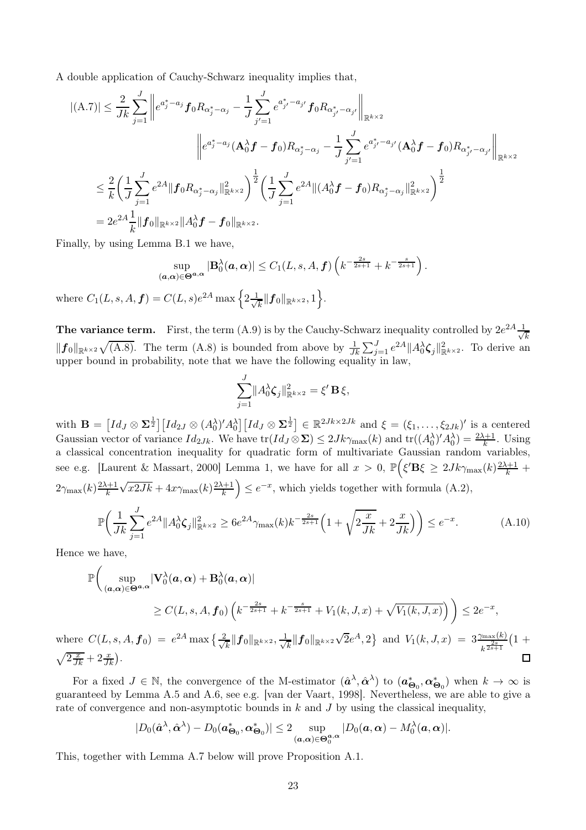A double application of Cauchy-Schwarz inequality implies that,

$$
|(A.7)| \leq \frac{2}{Jk} \sum_{j=1}^{J} \left\| e^{a_j^* - a_j} f_0 R_{\alpha_j^* - \alpha_j} - \frac{1}{J} \sum_{j'=1}^{J} e^{a_{j'}^* - a_{j'}} f_0 R_{\alpha_{j'}^* - \alpha_{j'}} \right\|_{\mathbb{R}^{k \times 2}} \n\left\| e^{a_j^* - a_j} (\mathbf{A}_0^{\lambda} f - f_0) R_{\alpha_j^* - \alpha_j} - \frac{1}{J} \sum_{j'=1}^{J} e^{a_{j'}^* - a_{j'}} (\mathbf{A}_0^{\lambda} f - f_0) R_{\alpha_{j'}^* - \alpha_{j'}} \right\|_{\mathbb{R}^{k \times 2}} \n\leq \frac{2}{k} \left( \frac{1}{J} \sum_{j=1}^{J} e^{2A} \| f_0 R_{\alpha_j^* - \alpha_j} \|_{\mathbb{R}^{k \times 2}}^2 \right)^{\frac{1}{2}} \left( \frac{1}{J} \sum_{j=1}^{J} e^{2A} \| (A_0^{\lambda} f - f_0) R_{\alpha_j^* - \alpha_j} \|_{\mathbb{R}^{k \times 2}}^2 \right)^{\frac{1}{2}} \n= 2e^{2A} \frac{1}{k} \| f_0 \|_{\mathbb{R}^{k \times 2}} \| A_0^{\lambda} f - f_0 \|_{\mathbb{R}^{k \times 2}}.
$$

Finally, by using Lemma [B.1](#page-25-0) we have,

$$
\sup_{(\mathbf{a},\mathbf{\alpha}) \in \mathbf{\Theta}^{\mathbf{a},\mathbf{\alpha}}} |\mathbf{B}_0^{\lambda}(\mathbf{a},\mathbf{\alpha})| \le C_1(L,s,A,\mathbf{f}) \left( k^{-\frac{2s}{2s+1}} + k^{-\frac{s}{2s+1}} \right)
$$
  
where  $C_1(L,s,A,\mathbf{f}) = C(L,s)e^{2A} \max \left\{ 2\frac{1}{\sqrt{k}} \|\mathbf{f}_0\|_{\mathbb{R}^{k \times 2}}, 1 \right\}.$ 

**The variance term.** First, the term [\(A.9\)](#page-21-5) is by the Cauchy-Schwarz inequality controlled by  $2e^{2A} \frac{1}{\sqrt{2}}$ k  $||f_0||_{\mathbb{R}^{k\times2}}\sqrt{(A.8)}$  $||f_0||_{\mathbb{R}^{k\times2}}\sqrt{(A.8)}$  $||f_0||_{\mathbb{R}^{k\times2}}\sqrt{(A.8)}$ . The term  $(A.8)$  is bounded from above by  $\frac{1}{Jk}\sum_{j=1}^J e^{2A}||A_0^{\lambda}\zeta_j||_{\mathbb{R}^{k\times2}}^2$ . To derive an upper bound in probability, note that we have the following equality in law,

<span id="page-22-0"></span>.

$$
\sum_{j=1}^{J} ||A_0^{\lambda} \zeta_j||_{\mathbb{R}^{k \times 2}}^2 = \xi' \mathbf{B} \xi,
$$

with  $\mathbf{B} = \left[ Id_J \otimes \mathbf{\Sigma}^{\frac{1}{2}} \right] \left[ Id_{2J} \otimes (A_0^{\lambda})' A_0^{\lambda} \right] \left[ Id_J \otimes \mathbf{\Sigma}^{\frac{1}{2}} \right] \in \mathbb{R}^{2Jk \times 2Jk}$  and  $\xi = (\xi_1, \ldots, \xi_{2Jk})'$  is a centered Gaussian vector of variance  $Id_{2Jk}$ . We have  $\text{tr}(Id_J \otimes \Sigma) \leq 2Jk\gamma_{\max}(k)$  and  $\text{tr}((A_0^{\lambda})' A_0^{\lambda}) = \frac{2\lambda+1}{k}$ . Using a classical concentration inequality for quadratic form of multivariate Gaussian random variables, see e.g. [\[Laurent & Massart, 2000\]](#page-29-14) Lemma 1, we have for all  $x > 0$ ,  $\mathbb{P}(\xi' \mathbf{B}\xi \geq 2Jk\gamma_{\max}(k)\frac{2\lambda+1}{k}$  +  $2\gamma_{\max}(k)\frac{2\lambda+1}{k}$  $\sqrt{x2Jk} + 4x\gamma_{\max}(k)\frac{2\lambda+1}{k}\right) \leq e^{-x}$ , which yields together with formula [\(A.2\)](#page-19-1),

$$
\mathbb{P}\bigg(\frac{1}{Jk}\sum_{j=1}^{J}e^{2A}||A_{0}^{\lambda}\zeta_{j}||_{\mathbb{R}^{k\times2}}^{2} \ge 6e^{2A}\gamma_{\max}(k)k^{-\frac{2s}{2s+1}}\Big(1+\sqrt{2\frac{x}{Jk}}+2\frac{x}{Jk}\Big)\bigg) \le e^{-x}.\tag{A.10}
$$

Hence we have,

$$
\mathbb{P}\left(\sup_{(\mathbf{a},\mathbf{\alpha})\in\Theta^{\mathbf{a},\mathbf{\alpha}}}|V_0^\lambda(\mathbf{a},\mathbf{\alpha})+B_0^\lambda(\mathbf{a},\mathbf{\alpha})|\right)
$$
\n
$$
\geq C(L,s,A,\mathbf{f}_0)\left(k^{-\frac{2s}{2s+1}}+k^{-\frac{s}{2s+1}}+V_1(k,J,x)+\sqrt{V_1(k,J,x)}\right)\right)\leq 2e^{-x},
$$
\n
$$
C(L,s,A,\mathbf{f}_0)=e^{2A}\max\left\{\frac{2}{5}\|\mathbf{f}_0\|_{L^2}\leq \frac{1}{5}\|\mathbf{f}_0\|_{L^2}\right\}\left\{\frac{1}{2}\|\mathbf{f}_0\|_{L^2}\right\}.
$$

 $\frac{1}{k} \|f_0\|_{\mathbb{R}^{k\times 2}} \sqrt{2}e^A, 2\}$  and  $V_1(k, J, x) = 3 \frac{\gamma_{\max}(k)}{k^{\frac{2s}{2s+1}}} (1 +$ where  $C(L, s, A, f_0) = e^{2A} \max \left\{ \frac{2}{\sqrt{2}} \right\}$  $\frac{k}{k}\|\boldsymbol{f}_0\|_{\mathbb{R}^{k\times 2}}, \frac{1}{\sqrt{k}}$  $\sqrt{2\frac{x}{Jk}}+2\frac{x}{Jk}$ . П

For a fixed  $J \in \mathbb{N}$ , the convergence of the M-estimator  $(\hat{a}^{\lambda}, \hat{\alpha}^{\lambda})$  to  $(a_{\Theta_0}^*, \alpha_{\Theta_0}^*)$  when  $k \to \infty$  is guaranteed by Lemma [A.5](#page-20-3) and [A.6,](#page-21-0) see e.g. [\[van der Vaart, 1998\]](#page-29-13). Nevertheless, we are able to give a rate of convergence and non-asymptotic bounds in  $k$  and  $J$  by using the classical inequality,

$$
|D_0(\hat{\boldsymbol{a}}^{\lambda}, \hat{\boldsymbol{\alpha}}^{\lambda}) - D_0(\boldsymbol{a}^*_{\boldsymbol{\Theta}_0}, \boldsymbol{\alpha}^*_{\boldsymbol{\Theta}_0})| \leq 2 \sup_{(\boldsymbol{a}, \boldsymbol{\alpha}) \in \boldsymbol{\Theta}_0^{\boldsymbol{a}, \boldsymbol{\alpha}}} |D_0(\boldsymbol{a}, \boldsymbol{\alpha}) - M_0^{\lambda}(\boldsymbol{a}, \boldsymbol{\alpha})|.
$$

<span id="page-22-1"></span>This, together with Lemma [A.7](#page-22-1) below will prove Proposition [A.1.](#page-18-0)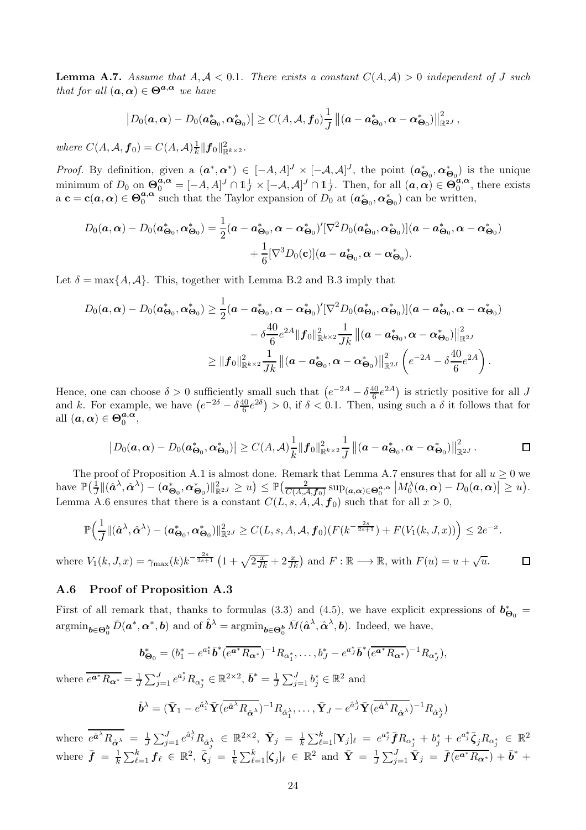**Lemma A.7.** Assume that  $A, \mathcal{A} < 0.1$ . There exists a constant  $C(A, \mathcal{A}) > 0$  independent of J such *that for all*  $(a, \alpha) \in \Theta^{a, \alpha}$  *we have* 

$$
\left|D_0(\boldsymbol{a},\boldsymbol{\alpha})-D_0(\boldsymbol{a}_{\boldsymbol{\Theta}_0}^*,\boldsymbol{\alpha}_{\boldsymbol{\Theta}_0}^*)\right|\geq C(A,\mathcal{A},\boldsymbol{f}_0)\frac{1}{J}\left\|(\boldsymbol{a}-\boldsymbol{a}_{\boldsymbol{\Theta}_0}^*,\boldsymbol{\alpha}-\boldsymbol{\alpha}_{\boldsymbol{\Theta}_0}^*)\right\|_{\mathbb{R}^{2J}}^2,
$$

*where*  $C(A, \mathcal{A}, \mathbf{f}_0) = C(A, \mathcal{A}) \frac{1}{k} ||\mathbf{f}_0||_{\mathbb{R}^{k \times 2}}^2$ .

*Proof.* By definition, given a  $(a^*, \alpha^*) \in [-A, A]^J \times [-A, A]^J$ , the point  $(a_{\Theta_0}^*, \alpha_{\Theta_0}^*)$  is the unique minimum of  $D_0$  on  $\mathbf{\Theta}_0^{\mathbf{a},\mathbf{\alpha}} = [-A,A]^J \cap \mathbb{1}_J^{\perp} \times [-A,A]^J \cap \mathbb{1}_J^{\perp}$ . Then, for all  $(\mathbf{a}, \mathbf{\alpha}) \in \mathbf{\Theta}_0^{\mathbf{a},\mathbf{\alpha}}$  $\binom{a,\alpha}{0}$ , there exists a  $\mathbf{c} = \mathbf{c}(\boldsymbol{a}, \boldsymbol{\alpha}) \in \Theta_0^{\boldsymbol{a}, \boldsymbol{\alpha}}$  $a_0^{a,\alpha}$  such that the Taylor expansion of  $D_0$  at  $(a_{\Theta_0}^*, \alpha_{\Theta_0}^*)$  can be written,

$$
D_0(\boldsymbol{a},\boldsymbol{\alpha}) - D_0(\boldsymbol{a}_{\boldsymbol{\Theta}_0}^*,\boldsymbol{\alpha}_{\boldsymbol{\Theta}_0}^*) = \frac{1}{2}(\boldsymbol{a}-\boldsymbol{a}_{\boldsymbol{\Theta}_0}^*,\boldsymbol{\alpha}-\boldsymbol{\alpha}_{\boldsymbol{\Theta}_0}^*)'[\nabla^2 D_0(\boldsymbol{a}_{\boldsymbol{\Theta}_0}^*,\boldsymbol{\alpha}_{\boldsymbol{\Theta}_0}^*)](\boldsymbol{a}-\boldsymbol{a}_{\boldsymbol{\Theta}_0}^*,\boldsymbol{\alpha}-\boldsymbol{\alpha}_{\boldsymbol{\Theta}_0}^*) \\ + \frac{1}{6}[\nabla^3 D_0(\mathbf{c})](\boldsymbol{a}-\boldsymbol{a}_{\boldsymbol{\Theta}_0}^*,\boldsymbol{\alpha}-\boldsymbol{\alpha}_{\boldsymbol{\Theta}_0}^*).
$$

Let  $\delta = \max\{A, A\}$ . This, together with Lemma [B.2](#page-26-1) and [B.3](#page-27-0) imply that

$$
D_0(\boldsymbol{a},\boldsymbol{\alpha}) - D_0(\boldsymbol{a}^*_{\boldsymbol{\Theta}_0},\boldsymbol{\alpha}^*_{\boldsymbol{\Theta}_0}) \geq \frac{1}{2}(\boldsymbol{a}-\boldsymbol{a}^*_{\boldsymbol{\Theta}_0},\boldsymbol{\alpha}-\boldsymbol{\alpha}^*_{\boldsymbol{\Theta}_0})'[\nabla^2 D_0(\boldsymbol{a}^*_{\boldsymbol{\Theta}_0},\boldsymbol{\alpha}^*_{\boldsymbol{\Theta}_0})](\boldsymbol{a}-\boldsymbol{a}^*_{\boldsymbol{\Theta}_0},\boldsymbol{\alpha}-\boldsymbol{\alpha}^*_{\boldsymbol{\Theta}_0}) \\ - \delta \frac{40}{6}e^{2A}\|\boldsymbol{f}_0\|^2_{\mathbb{R}^{k\times2}}\frac{1}{Jk}\left\|(\boldsymbol{a}-\boldsymbol{a}^*_{\boldsymbol{\Theta}_0},\boldsymbol{\alpha}-\boldsymbol{\alpha}^*_{\boldsymbol{\Theta}_0})\right\|^2_{\mathbb{R}^{2J}} \\ \geq \|\boldsymbol{f}_0\|^2_{\mathbb{R}^{k\times2}}\frac{1}{Jk}\left\|(\boldsymbol{a}-\boldsymbol{a}^*_{\boldsymbol{\Theta}_0},\boldsymbol{\alpha}-\boldsymbol{\alpha}^*_{\boldsymbol{\Theta}_0})\right\|^2_{\mathbb{R}^{2J}}\left(e^{-2A}-\delta \frac{40}{6}e^{2A}\right).
$$

Hence, one can choose  $\delta > 0$  sufficiently small such that  $\left(e^{-2A} - \delta \frac{40}{6}\right)$  $\frac{10}{6}e^{2A}$ ) is strictly positive for all J and k. For example, we have  $(e^{-2\delta} - \delta \frac{40}{6})$  $\frac{10}{6}e^{2\delta}$  > 0, if  $\delta < 0.1$ . Then, using such a  $\delta$  it follows that for all  $(\boldsymbol{a}, \boldsymbol{\alpha}) \in \boldsymbol{\Theta}_0^{\boldsymbol{a}, \boldsymbol{\alpha}}$  $a,\alpha\over 0,$ 

$$
\left|D_0(\boldsymbol{a},\boldsymbol{\alpha})-D_0(\boldsymbol{a}_{\boldsymbol{\Theta}_0}^*,\boldsymbol{\alpha}_{\boldsymbol{\Theta}_0}^*)\right|\geq C(A,\mathcal{A})\frac{1}{k}\|\boldsymbol{f}_0\|_{\mathbb{R}^{k\times2}}^2\frac{1}{J}\left\|(\boldsymbol{a}-\boldsymbol{a}_{\boldsymbol{\Theta}_0}^*,\boldsymbol{\alpha}-\boldsymbol{\alpha}_{\boldsymbol{\Theta}_0}^*)\right\|_{\mathbb{R}^{2J}}^2.
$$

The proof of Proposition [A.1](#page-18-0) is almost done. Remark that Lemma [A.7](#page-22-1) ensures that for all  $u \ge 0$  we  $\text{have } \mathbb{P}\big(\frac{1}{J} \| (\hat{\boldsymbol{a}}^{\lambda}, \hat{\boldsymbol{\alpha}}^{\lambda}) - (\boldsymbol{a}^*_{\boldsymbol{\Theta}_0}, \boldsymbol{\alpha}^*_{\boldsymbol{\Theta}_0}) \|_{\mathbb{R}^{2J}}^2 \geq u \big) \leq \mathbb{P}\big(\frac{2}{C(A, A, f_0)} \sup_{\boldsymbol{a}, \boldsymbol{\alpha}} \sum_{s \in \mathcal{A}} |\boldsymbol{M}_0^{\lambda}(\boldsymbol{a}, \boldsymbol{\alpha}) - D_0(\boldsymbol{a}, \boldsymbol{\alpha})| \geq u \big).$ Lemma [A.6](#page-21-0) ensures that there is a constant  $C(L, s, A, A, f_0)$  such that for all  $x > 0$ ,

$$
\mathbb{P}\Big(\frac{1}{J}\|(\hat{\boldsymbol{a}}^{\lambda},\hat{\boldsymbol{\alpha}}^{\lambda})-(\boldsymbol{a}^*_{\boldsymbol{\Theta}_0},\boldsymbol{\alpha}^*_{\boldsymbol{\Theta}_0})\|_{\mathbb{R}^{2J}}^2 \geq C(L,s,A,\mathcal{A},\boldsymbol{f}_0)(F(k^{-\frac{2s}{2s+1}})+F(V_1(k,J,x))\Big) \leq 2e^{-x}.
$$

where  $V_1(k, J, x) = \gamma_{\text{max}}(k) k^{-\frac{2s}{2s+1}} \left(1 + \sqrt{2\frac{x}{Jk}} + 2\frac{x}{Jk}\right)$  and  $F: \mathbb{R} \longrightarrow \mathbb{R}$ , with  $F(u) = u + \sqrt{u}$ .  $\Box$ 

#### <span id="page-23-0"></span>A.6 Proof of Proposition [A.3](#page-18-1)

First of all remark that, thanks to formulas [\(3.3\)](#page-9-0) and [\(4.5\)](#page-11-3), we have explicit expressions of  $b^*_{\Theta_0}$  =  $\operatorname{argmin}_{\boldsymbol{b}\in\Theta_0^{\boldsymbol{b}}} \bar{D}(\boldsymbol{a}^*,\boldsymbol{\alpha}^*,\boldsymbol{b})$  and of  $\hat{\boldsymbol{b}}^{\lambda} = \operatorname{argmin}_{\boldsymbol{b}\in\Theta_0^{\boldsymbol{b}}} \bar{M}(\hat{\boldsymbol{a}}^{\lambda},\hat{\boldsymbol{\alpha}}^{\lambda},\boldsymbol{b})$ . Indeed, we have,

$$
\boldsymbol{b}_{\Theta_0}^* = (b_1^* - e^{a_1^*} \bar{b}^* (\overline{e^{a^*} R_{\alpha^*}})^{-1} R_{\alpha_1^*}, \dots, b_J^* - e^{a_J^*} \bar{b}^* (\overline{e^{a^*} R_{\alpha^*}})^{-1} R_{\alpha_J^*}),
$$

where  $\overline{e^{a^*}R_{\alpha^*}} = \frac{1}{J}\sum_{j=1}^J e^{a_j^*}R_{\alpha_j^*} \in \mathbb{R}^{2 \times 2}, \, \bar{\bm{b}}^* = \frac{1}{J}\sum_{j=1}^J b_j^* \in \mathbb{R}^2$  and

$$
\hat{\boldsymbol{b}}^{\lambda} = (\bar{\mathbf{Y}}_1 - e^{\hat{a}_1^{\lambda}} \bar{\mathbf{Y}} (\overline{e^{\hat{a}^{\lambda}} R_{\hat{\alpha}^{\lambda}}})^{-1} R_{\hat{\alpha}_1^{\lambda}}, \dots, \bar{\mathbf{Y}}_J - e^{\hat{a}_J^{\lambda}} \bar{\mathbf{Y}} (\overline{e^{\hat{a}^{\lambda}} R_{\hat{\alpha}^{\lambda}}})^{-1} R_{\hat{\alpha}_J^{\lambda}})
$$

where  $\overline{e^{\hat{a}^\lambda}R_{\hat{\alpha}^\lambda}} \;=\; \frac{1}{J}\sum_{j=1}^J e^{\hat{a}^\lambda_j}R_{\hat{\alpha}^\lambda_j} \;\in\; \mathbb{R}^{2\times 2}, \;\bar{\mathbf{Y}}_j \;=\; \frac{1}{k}\sum_{\ell=1}^k [\mathbf{Y}_j]_\ell \;=\; e^{a_j^*} \bar{\boldsymbol{f}} R_{\alpha_j^*} \,+\, b_j^* \,+\, e^{a_j^*} \bar{\boldsymbol{\zeta}}_j R_{\alpha_j^*} \;\in\; \mathbb{R}^{2}$ where  $\bar{f} = \frac{1}{k}$  $\frac{1}{k}\sum_{\ell=1}^k \bm{f}_{\ell} \, \in \, \mathbb{R}^2, \; \bar{\bm{\zeta}}_j \, = \, \frac{1}{k}$  $\frac{1}{k}\sum_{\ell=1}^k [\boldsymbol{\zeta}_j]_\ell \in \mathbb{R}^2$  and  $\bar{\mathbf{Y}} = \frac{1}{J}$  $\frac{1}{J}\sum_{j=1}^J \bar{\mathbf{Y}}_j \ =\ \bar{\bm{f}}(\overline{e^{\bm{a}^*}R_{\bm{\alpha}^*}}) + \bar{\bm{b}}^* \ +$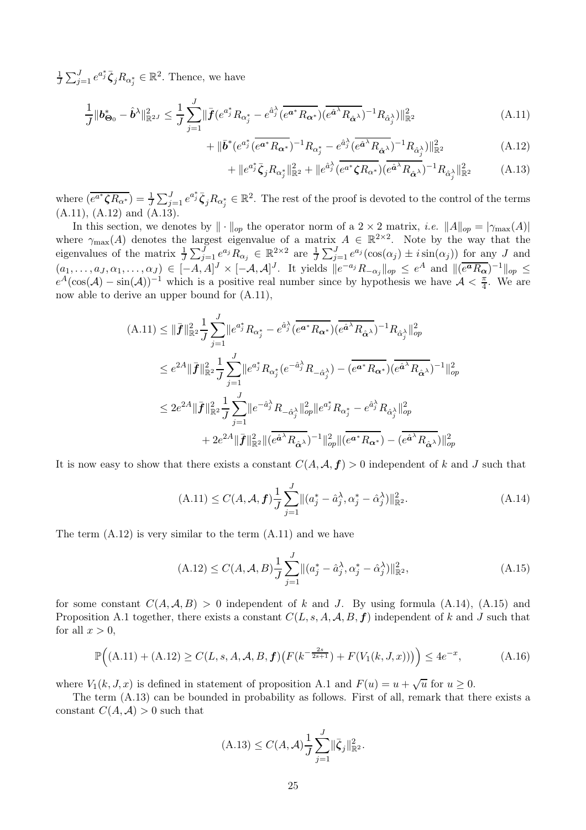$\frac{1}{J}\sum_{j=1}^{J}e^{a_j^*}\bar{\zeta}_jR_{\alpha_j^*}\in\mathbb{R}^2$ . Thence, we have

$$
\frac{1}{J} \|\boldsymbol{b}_{\Theta_0}^* - \hat{\boldsymbol{b}}^{\lambda}\|_{\mathbb{R}^{2J}}^2 \le \frac{1}{J} \sum_{j=1}^J \|\bar{\boldsymbol{f}}(e^{a_j^*} R_{\alpha_j^*} - e^{\hat{a}_j^{\lambda}} (\overline{e^{a^*} R_{\alpha^*}}) (\overline{e^{\hat{a}^{\lambda}} R_{\hat{\alpha}^{\lambda}}})^{-1} R_{\hat{\alpha}_j^{\lambda}})\|_{\mathbb{R}^2}^2 \tag{A.11}
$$

$$
+ \|\bar{b}^*(e^{a_j^*}(\overline{e^{a^*}R_{\alpha^*}})^{-1}R_{\alpha_j^*} - e^{\hat{a}_j^{\lambda}}(\overline{e^{\hat{a}^{\lambda}}R_{\hat{\alpha}^{\lambda}}})^{-1}R_{\hat{\alpha}_j^{\lambda}})\|_{\mathbb{R}^2}^2
$$
(A.12)

<span id="page-24-2"></span><span id="page-24-1"></span><span id="page-24-0"></span>
$$
+ \|e^{a_j^*} \bar{\zeta}_j R_{\alpha_j^*} \|_{\mathbb{R}^2}^2 + \|e^{\hat{a}_j^{\lambda}} (\overline{e^{a^*} \zeta R_{\alpha^*}}) (\overline{e^{\hat{a}^{\lambda}} R_{\hat{\alpha}^{\lambda}}})^{-1} R_{\hat{\alpha}_j^{\lambda}} \|_{\mathbb{R}^2}^2 \tag{A.13}
$$

where  $\overline{(e^{a*}\zeta R_{\alpha^*})} = \frac{1}{J}\sum_{j=1}^J e^{a_j^*}\overline{\zeta}_j R_{\alpha_j^*} \in \mathbb{R}^2$ . The rest of the proof is devoted to the control of the terms [\(A.11\)](#page-24-0), [\(A.12\)](#page-24-1) and [\(A.13\)](#page-24-2).

In this section, we denotes by  $\|\cdot\|_{op}$  the operator norm of a 2 × 2 matrix, *i.e.*  $\|A\|_{op} = |\gamma_{\max}(A)|$ where  $\gamma_{\text{max}}(A)$  denotes the largest eigenvalue of a matrix  $A \in \mathbb{R}^{2 \times 2}$ . Note by the way that the eigenvalues of the matrix  $\frac{1}{J}\sum_{j=1}^{J}e^{a_j}R_{\alpha_j} \in \mathbb{R}^{2\times 2}$  are  $\frac{1}{J}\sum_{j=1}^{J}e^{a_j}(\cos(\alpha_j) \pm i\sin(\alpha_j))$  for any J and  $(a_1,\ldots,a_J,\alpha_1,\ldots,\alpha_J) \in [-A,A]^J \times [-A,A]^J$ . It yields  $||e^{-a_j}R_{-\alpha_j}||_{op} \le e^A$  and  $||(\overline{e^aR_{\alpha}})^{-1}||_{op} \le$  $e^A(\cos(A) - \sin(A))^{-1}$  which is a positive real number since by hypothesis we have  $A < \frac{\pi}{4}$  $\frac{\pi}{4}$ . We are now able to derive an upper bound for [\(A.11\)](#page-24-0),

$$
(A.11) \leq \|\bar{f}\|_{\mathbb{R}^{2}}^{2} \frac{1}{J} \sum_{j=1}^{J} \|e^{a_{j}^{*}} R_{\alpha_{j}^{*}} - e^{\hat{a}_{j}^{*}} (\overline{e^{a^{*}} R_{\alpha^{*}}}) (\overline{e^{\hat{a}^{*}} R_{\hat{\alpha}^{\lambda}}})^{-1} R_{\hat{\alpha}_{j}^{*}} \|_{op}^{2}
$$
  
\n
$$
\leq e^{2A} \|\bar{f}\|_{\mathbb{R}^{2}}^{2} \frac{1}{J} \sum_{j=1}^{J} \|e^{a_{j}^{*}} R_{\alpha_{j}^{*}} (e^{-\hat{a}_{j}^{*}} R_{-\hat{\alpha}_{j}^{*}}) - (\overline{e^{a^{*}} R_{\alpha^{*}}}) (\overline{e^{\hat{a}^{*}} R_{\hat{\alpha}^{\lambda}}})^{-1} \|_{op}^{2}
$$
  
\n
$$
\leq 2e^{2A} \|\bar{f}\|_{\mathbb{R}^{2}}^{2} \frac{1}{J} \sum_{j=1}^{J} \|e^{-\hat{a}_{j}^{*}} R_{-\hat{\alpha}_{j}^{*}} \|_{op}^{2} \|e^{a_{j}^{*}} R_{\alpha_{j}^{*}} - e^{\hat{a}_{j}^{*}} R_{\hat{\alpha}_{j}^{*}} \|_{op}^{2}
$$
  
\n
$$
+ 2e^{2A} \|\bar{f}\|_{\mathbb{R}^{2}}^{2} \| (\overline{e^{a^{*}} R_{\hat{\alpha}^{\lambda}}})^{-1} \|_{op}^{2} \| (\overline{e^{a^{*}} R_{\alpha^{*}}}) - (\overline{e^{a^{*}} R_{\hat{\alpha}^{\lambda}}}) \|_{op}^{2}
$$

It is now easy to show that there exists a constant  $C(A, \mathcal{A}, f) > 0$  independent of k and J such that

<span id="page-24-3"></span>
$$
(A.11) \le C(A, \mathcal{A}, f) \frac{1}{J} \sum_{j=1}^{J} \|(a_j^* - \hat{a}_j^{\lambda}, \alpha_j^* - \hat{\alpha}_j^{\lambda})\|_{\mathbb{R}^2}^2.
$$
\n(A.14)

The term  $(A.12)$  is very similar to the term  $(A.11)$  and we have

<span id="page-24-4"></span>
$$
(A.12) \le C(A, \mathcal{A}, B) \frac{1}{J} \sum_{j=1}^{J} \left\| (a_j^* - \hat{a}_j^{\lambda}, \alpha_j^* - \hat{\alpha}_j^{\lambda}) \right\|_{\mathbb{R}^2}^2, \tag{A.15}
$$

for some constant  $C(A, \mathcal{A}, B) > 0$  independent of k and J. By using formula  $(A.14)$ ,  $(A.15)$  and Proposition [A.1](#page-18-0) together, there exists a constant  $C(L, s, A, A, B, f)$  independent of k and J such that for all  $x > 0$ ,

<span id="page-24-5"></span>
$$
\mathbb{P}\Big((A.11) + (A.12) \ge C(L, s, A, \mathcal{A}, B, \mathbf{f})\big(F(k^{-\frac{2s}{2s+1}}) + F(V_1(k, J, x))\big)\Big) \le 4e^{-x},\tag{A.16}
$$

where  $V_1(k, J, x)$  is defined in statement of proposition [A.1](#page-18-0) and  $F(u) = u + \sqrt{u}$  for  $u \ge 0$ .

The term [\(A.13\)](#page-24-2) can be bounded in probability as follows. First of all, remark that there exists a constant  $C(A, \mathcal{A}) > 0$  such that

$$
(A.13) \le C(A, \mathcal{A}) \frac{1}{J} \sum_{j=1}^{J} ||\bar{\zeta}_j||_{\mathbb{R}^2}^2.
$$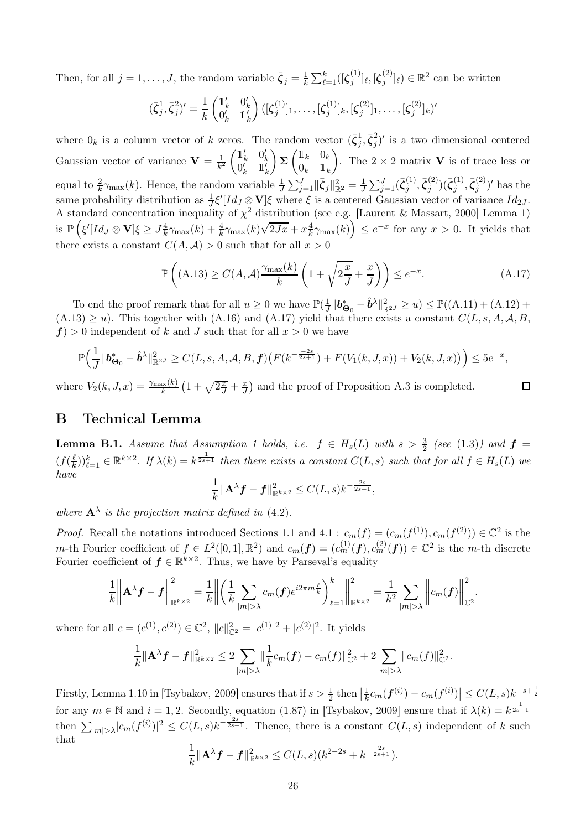Then, for all  $j = 1, \ldots, J$ , the random variable  $\bar{\zeta}_j = \frac{1}{k}$  $\frac{1}{k}\sum_{\ell=1}^k ([\boldsymbol{\zeta}_j^{(1)}$  $\mathcal{G}_j^{(1)}]_\ell, [\boldsymbol{\zeta}_j^{(2)}]$  $j^{(2)}_{j} |_{\ell}$   $\in \mathbb{R}^{2}$  can be written

$$
(\bar{\zeta}_j^1, \bar{\zeta}_j^2)' = \frac{1}{k} \begin{pmatrix} \mathbb{1}'_k & 0'_k \\ 0'_k & \mathbb{1}'_k \end{pmatrix} ([\zeta_j^{(1)}]_1, \dots, [\zeta_j^{(1)}]_k, [\zeta_j^{(2)}]_1, \dots, [\zeta_j^{(2)}]_k)'
$$

where  $0_k$  is a column vector of k zeros. The random vector  $(\bar{\zeta}_j^1, \bar{\zeta}_j^2)'$  is a two dimensional centered  $_j, \boldsymbol{\varsigma}_j$ Gaussian vector of variance  $\mathbf{V} = \frac{1}{k^2}$  $\begin{pmatrix} 1_k' & 0_k' \end{pmatrix}$  $0_k^{\prime \prime} \quad 1_k^{\prime \prime}$  $\sum_{k=1}^{n} \begin{pmatrix} 1 & 0 & 0 \\ 0 & 0 & 0 \\ 0 & 0 & 0 \end{pmatrix}$  $0_k$  1<sub>k</sub> ). The  $2 \times 2$  matrix **V** is of trace less or equal to  $\frac{2}{k}\gamma_{\max}(k)$ . Hence, the random variable  $\frac{1}{J}\sum_{j=1}^{J} \|\bar{\zeta}_j\|_{\mathbb{R}^2}^2 = \frac{1}{J}\sum_{j=1}^{J}(\bar{\zeta}_j^{(1)})$  $\{\bar{\zeta}_j^{(2)},\bar{\zeta}_j^{(2)}\}$  $\binom{2}{j}$  $(\bar{\boldsymbol{\zeta}}_j^{(1)}$  $j^{(1)}, \bar{\zeta}_j^{(2)}$  $j^{(2)}$  has the same probability distribution as  $\frac{1}{J}\xi'[Id_J \otimes \mathbf{V}]\xi$  where  $\xi$  is a centered Gaussian vector of variance  $Id_{2J}$ . A standard concentration inequality of  $\chi^2$  distribution (see e.g. [\[Laurent & Massart, 2000\]](#page-29-14) Lemma 1)  $\inf_{\mathbf{k}} \mathbb{P}\left(\xi'[Id_{J}\otimes \mathbf{V}]\xi \geq J_{\frac{1}{k}}^{4}\gamma_{\max}(k) + \frac{4}{k}\gamma_{\max}(k)\sqrt{2Jx} + x\frac{4}{k}\gamma_{\max}(k)\right] \leq e^{-x}$  for any  $x > 0$ . It yields that there exists a constant  $C(A, \mathcal{A}) > 0$  such that for all  $x > 0$ 

<span id="page-25-1"></span>
$$
\mathbb{P}\left((A.13)\geq C(A,\mathcal{A})\frac{\gamma_{\max}(k)}{k}\left(1+\sqrt{2\frac{x}{J}}+\frac{x}{J}\right)\right)\leq e^{-x}.\tag{A.17}
$$

To end the proof remark that for all  $u \geq 0$  we have  $\mathbb{P}(\frac{1}{J}||\boldsymbol{b_{\Theta_0}} - \hat{\boldsymbol{b}}^{\lambda}||_{\mathbb{R}^{2J}}^2 \geq u) \leq \mathbb{P}((A.11) + (A.12) +$  $\mathbb{P}(\frac{1}{J}||\boldsymbol{b_{\Theta_0}} - \hat{\boldsymbol{b}}^{\lambda}||_{\mathbb{R}^{2J}}^2 \geq u) \leq \mathbb{P}((A.11) + (A.12) +$  $\mathbb{P}(\frac{1}{J}||\boldsymbol{b_{\Theta_0}} - \hat{\boldsymbol{b}}^{\lambda}||_{\mathbb{R}^{2J}}^2 \geq u) \leq \mathbb{P}((A.11) + (A.12) +$  $\mathbb{P}(\frac{1}{J}||\boldsymbol{b_{\Theta_0}} - \hat{\boldsymbol{b}}^{\lambda}||_{\mathbb{R}^{2J}}^2 \geq u) \leq \mathbb{P}((A.11) + (A.12) +$  $\mathbb{P}(\frac{1}{J}||\boldsymbol{b_{\Theta_0}} - \hat{\boldsymbol{b}}^{\lambda}||_{\mathbb{R}^{2J}}^2 \geq u) \leq \mathbb{P}((A.11) + (A.12) +$  $(A.13) \ge u$  $(A.13) \ge u$ ). This together with  $(A.16)$  and  $(A.17)$  yield that there exists a constant  $C(L, s, A, A, B, A)$  $f$ ) > 0 independent of k and J such that for all  $x > 0$  we have

$$
\mathbb{P}\Big(\frac{1}{J}\|\boldsymbol{b}^*_{\boldsymbol{\Theta}_0}-\hat{\boldsymbol{b}}^{\lambda}\|^2_{\mathbb{R}^{2J}}\geq C(L,s,A,\mathcal{A},B,\boldsymbol{f})(F(k^{-\frac{-2s}{2s+1}})+F(V_1(k,J,x))+V_2(k,J,x))\Big)\leq 5e^{-x},
$$

where  $V_2(k, J, x) = \frac{\gamma_{\text{max}}(k)}{k} \left(1 + \sqrt{2\frac{x}{J}} + \frac{x}{J}\right)$  and the proof of Proposition [A.3](#page-18-1) is completed.

# <span id="page-25-0"></span>B Technical Lemma

**Lemma B.1.** Assume that Assumption [1](#page-2-0) holds, i.e.  $f \in H_s(L)$  with  $s > \frac{3}{2}$  (see [\(1.3\)](#page-2-1)) and  $f =$  $(f(\frac{\ell}{k})$  $\frac{\ell}{k}$ )) $_{\ell=1}^{k}$   $\in \mathbb{R}^{k\times 2}$ . If  $\lambda(k) = k^{\frac{1}{2s+1}}$  then there exists a constant  $C(L, s)$  such that for all  $f \in H_s(L)$  we *have*

$$
\frac{1}{k} \|\mathbf{A}^{\lambda} \mathbf{f} - \mathbf{f}\|_{\mathbb{R}^{k\times 2}}^2 \leq C(L,s) k^{-\frac{2s}{2s+1}},
$$

where  $\mathbf{A}^{\lambda}$  is the projection matrix defined in [\(4.2\)](#page-11-2).

*Proof.* Recall the notations introduced Sections [1.1](#page-0-0) and [4.1](#page-10-2) :  $c_m(f) = (c_m(f^{(1)}), c_m(f^{(2)})) \in \mathbb{C}^2$  is the m-th Fourier coefficient of  $f \in L^2([0,1],\mathbb{R}^2)$  and  $c_m(f) = (c_m^{(1)}(f), c_m^{(2)}(f)) \in \mathbb{C}^2$  is the m-th discrete Fourier coefficient of  $f \in \mathbb{R}^{k \times 2}$ . Thus, we have by Parseval's equality

$$
\frac{1}{k}\bigg\|\mathbf{A}^{\lambda}\mathbf{f}-\mathbf{f}\bigg\|_{\mathbb{R}^{k\times 2}}^{2}=\frac{1}{k}\bigg\|\bigg(\frac{1}{k}\sum_{|m|>\lambda}c_m(\mathbf{f})e^{i2\pi m\frac{\ell}{k}}\bigg)_{\ell=1}^{k}\bigg\|_{\mathbb{R}^{k\times 2}}^{2}=\frac{1}{k^2}\sum_{|m|>\lambda}\bigg\|c_m(\mathbf{f})\bigg\|_{\mathbb{C}^2}^{2}.
$$

where for all  $c = (c^{(1)}, c^{(2)}) \in \mathbb{C}^2$ ,  $||c||_{\mathbb{C}^2}^2 = |c^{(1)}|^2 + |c^{(2)}|^2$ . It yields

$$
\frac{1}{k} \|\mathbf{A}^{\lambda} \mathbf{f} - \mathbf{f}\|_{\mathbb{R}^{k \times 2}}^2 \leq 2 \sum_{|m| > \lambda} \|\frac{1}{k} c_m(\mathbf{f}) - c_m(f)\|_{\mathbb{C}^2}^2 + 2 \sum_{|m| > \lambda} \|c_m(f)\|_{\mathbb{C}^2}^2.
$$

Firstly, Lemma 1.10 in [\[Tsybakov, 2009\]](#page-29-15) ensures that if  $s > \frac{1}{2}$  then  $\left|\frac{1}{k}c_m(\boldsymbol{f}^{(i)}) - c_m(f^{(i)})\right| \le C(L,s)k^{-s+\frac{1}{2}}$ for any  $m \in \mathbb{N}$  and  $i = 1, 2$ . Secondly, equation (1.87) in [\[Tsybakov, 2009\]](#page-29-15) ensure that if  $\lambda(k) = k^{\frac{1}{2s+1}}$ then  $\sum_{|m|>\lambda} |c_m(f^{(i)})|^2 \leq C(L,s)k^{-\frac{2s}{2s+1}}$ . Thence, there is a constant  $C(L,s)$  independent of k such that 1

$$
\frac{1}{k} \|\mathbf{A}^{\lambda} \mathbf{f} - \mathbf{f}\|_{\mathbb{R}^{k \times 2}}^2 \le C(L, s) (k^{2-2s} + k^{-\frac{2s}{2s+1}}).
$$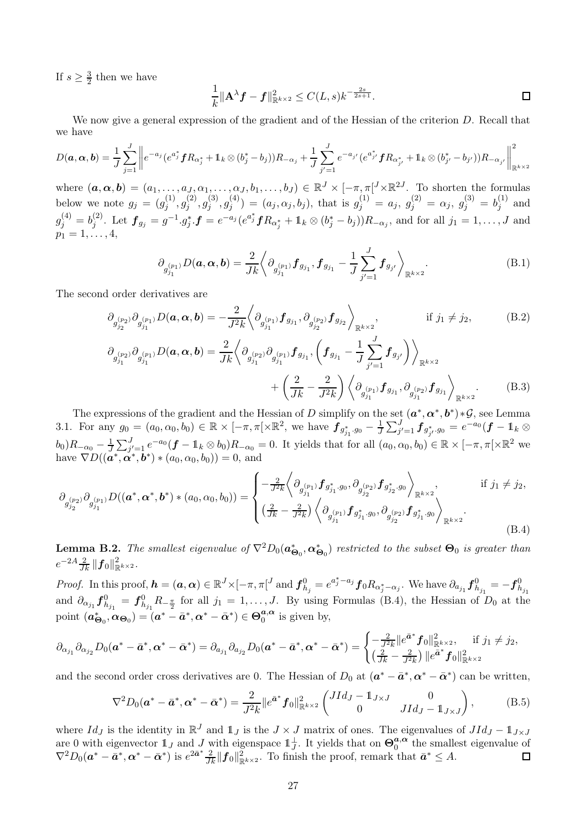If  $s \geq \frac{3}{2}$  $\frac{3}{2}$  then we have

<span id="page-26-0"></span>
$$
\frac{1}{k} \|\mathbf{A}^{\lambda} \mathbf{f} - \mathbf{f}\|_{\mathbb{R}^{k \times 2}}^2 \le C(L, s) k^{-\frac{2s}{2s+1}}.
$$

We now give a general expression of the gradient and of the Hessian of the criterion D. Recall that we have

$$
D(\boldsymbol{a},\boldsymbol{\alpha},\boldsymbol{b})=\frac{1}{J}\sum_{j=1}^{J}\left\|e^{-a_{j}}(e^{a_{j}^{*}}\boldsymbol{f}R_{\alpha_{j}^{*}}+\mathbb{1}_{k}\otimes(b_{j}^{*}-b_{j}))R_{-\alpha_{j}}+\frac{1}{J}\sum_{j'=1}^{J}e^{-a_{j'}}(e^{a_{j'}^{*}}\boldsymbol{f}R_{\alpha_{j'}^{*}}+\mathbb{1}_{k}\otimes(b_{j'}^{*}-b_{j'}))R_{-\alpha_{j'}}\right\|_{\mathbb{R}^{k\times 2}}^{2}
$$

where  $(a, \alpha, b) = (a_1, \ldots, a_J, a_1, \ldots, a_J, b_1, \ldots, b_J) \in \mathbb{R}^J \times [-\pi, \pi]^J \times \mathbb{R}^{2J}$ . To shorten the formulas below we note  $g_j = (g_j^{(1)})$  $\hat{g}_j^{(1)}, g_j^{(2)}$  $g_j^{(2)}, g_j^{(3)}$  ${\overset{(3)}{j}}, {\overset{(4)}{g_j^{(4)}}}$  $j^{(4)}_j$  =  $(a_j, \alpha_j, b_j)$ , that is  $g_j^{(1)} = a_j, g_j^{(2)} = \alpha_j, g_j^{(3)} = b_j^{(1)}$  $j^{\left(1\right)}$  and  $g_j^{(4)}=b_j^{(2)}$  $j^{(2)}$ . Let  $\bm{f}_{g_j} = g^{-1} \cdot g_j^* \cdot \bm{f} = e^{-a_j} (e^{a_j^*} \bm{f} R_{\alpha_j^*} + \mathbb{1}_k \otimes (b_j^* - b_j)) R_{-\alpha_j}$ , and for all  $j_1 = 1, \ldots, J$  and  $p_1 = 1, \ldots, 4,$ 

<span id="page-26-4"></span><span id="page-26-3"></span>
$$
\partial_{g_{j_1}^{(p_1)}} D(\boldsymbol{a}, \boldsymbol{\alpha}, \boldsymbol{b}) = \frac{2}{Jk} \left\langle \partial_{g_{j_1}^{(p_1)}} f_{g_{j_1}} , f_{g_{j_1}} - \frac{1}{J} \sum_{j'=1}^J f_{g_{j'}} \right\rangle_{\mathbb{R}^{k \times 2}}.
$$
\n(B.1)

The second order derivatives are

$$
\partial_{g_{j_2}^{(p_2)}} \partial_{g_{j_1}^{(p_1)}} D(\mathbf{a}, \mathbf{\alpha}, \mathbf{b}) = -\frac{2}{J^2 k} \left\langle \partial_{g_{j_1}^{(p_1)}} f_{g_{j_1}}, \partial_{g_{j_2}^{(p_2)}} f_{g_{j_2}} \right\rangle_{\mathbb{R}^{k \times 2}}, \qquad \text{if } j_1 \neq j_2,
$$
\n
$$
\partial_{g_{j_1}^{(p_2)}} \partial_{g_{j_1}^{(p_1)}} D(\mathbf{a}, \mathbf{\alpha}, \mathbf{b}) = \frac{2}{Jk} \left\langle \partial_{g_{j_1}^{(p_2)}} \partial_{g_{j_1}^{(p_1)}} f_{g_{j_1}}, \left( f_{g_{j_1}} - \frac{1}{J} \sum_{j'=1}^J f_{g_{j'}} \right) \right\rangle_{\mathbb{R}^{k \times 2}} + \left( \frac{2}{Jk} - \frac{2}{J^2 k} \right) \left\langle \partial_{g_{j_1}^{(p_1)}} f_{g_{j_1}}, \partial_{g_{j_1}^{(p_2)}} f_{g_{j_1}} \right\rangle_{\mathbb{R}^{k \times 2}}.
$$
\n(B.3)

The expressions of the gradient and the Hessian of D simplify on the set  $(a^*, \alpha^*, b^*) * \mathcal{G}$ , see Lemma [3.1.](#page-8-2) For any  $g_0 = (a_0, \alpha_0, b_0) \in \mathbb{R} \times [-\pi, \pi[ \times \mathbb{R}^2]$ , we have  $\boldsymbol{f}_{g_{j_1}^*, g_0} - \frac{1}{J} \sum_{j'=1}^J \boldsymbol{f}_{g_{j'}^*, g_0} = e^{-a_0} (\boldsymbol{f} - \mathbb{1}_k \otimes$  $(b_0)R_{-\alpha_0} - \frac{1}{J}\sum_{j'=1}^J e^{-a_0}(\boldsymbol{f} - \mathbb{1}_k \otimes b_0)R_{-\alpha_0} = 0.$  It yields that for all  $(a_0, \alpha_0, b_0) \in \mathbb{R} \times [-\pi, \pi] \times \mathbb{R}^2$  we have  $\nabla D((\boldsymbol{a}^*, \boldsymbol{\alpha}^*, \boldsymbol{b}^*) * (a_0, \alpha_0, b_0)) = 0$ , and

<span id="page-26-2"></span>
$$
\partial_{g_{j_2}}(p_2)} \partial_{g_{j_1}}(n)} D((\boldsymbol{a}^*, \boldsymbol{\alpha}^*, \boldsymbol{b}^*) * (a_0, \alpha_0, b_0)) = \begin{cases} -\frac{2}{J^2 k} \left\langle \partial_{g_{j_1}}(p_1) f_{g_{j_1}^* g_0}, \partial_{g_{j_2}}(p_2) f_{g_{j_2}^* g_0} \right\rangle_{\mathbb{R}^{k \times 2}}, & \text{if } j_1 \neq j_2, \\ (\frac{2}{J k} - \frac{2}{J^2 k}) \left\langle \partial_{g_{j_1}^{(p_1)}} f_{g_{j_1}^* g_0}, \partial_{g_{j_2}^{(p_2)}} f_{g_{j_1}^* g_0} \right\rangle_{\mathbb{R}^{k \times 2}}. \end{cases} (B.4)
$$

<span id="page-26-1"></span>**Lemma B.2.** *The smallest eigenvalue of*  $\nabla^2 D_0(a_{\Theta_0}^*, \alpha_{\Theta_0}^*)$  *restricted to the subset*  $\Theta_0$  *is greater than*  $e^{-2A} \frac{2}{Jk} \| \bm{f}_0 \|_{\mathbb{R}^{k \times 2}}^2.$ 

*Proof.* In this proof,  $\mathbf{h} = (\mathbf{a}, \alpha) \in \mathbb{R}^J \times [-\pi, \pi]^J$  and  $\mathbf{f}_{h_j}^0 = e^{a_j^* - a_j} \mathbf{f}_0 R_{\alpha_j^* - \alpha_j}$ . We have  $\partial_{a_{j_1}} \mathbf{f}_{h_{j_1}}^0 = -\mathbf{f}_{h_{j_1}}^0$ and  $\partial_{\alpha_{j_1}} f_{h_{j_1}}^0 = f_{h_{j_1}}^0 R_{-\frac{\pi}{2}}$  for all  $j_1 = 1, \ldots, J$ . By using Formulas [\(B.4\)](#page-26-2), the Hessian of  $D_0$  at the point  $(\boldsymbol{a}_{\boldsymbol{\Theta}_0}^*, \boldsymbol{\alpha}_{\boldsymbol{\Theta}_0}) = (\boldsymbol{a}^* - \bar{\boldsymbol{a}}^*, \boldsymbol{\alpha}^* - \bar{\boldsymbol{\alpha}}^*) \in \boldsymbol{\Theta}_0^{\boldsymbol{a}, \boldsymbol{\alpha}}$  $_{0}^{a,\alpha}$  is given by,

$$
\partial_{\alpha_{j_1}}\partial_{\alpha_{j_2}}D_0(\boldsymbol{a}^* - \bar{\boldsymbol{a}}^*,\boldsymbol{\alpha}^* - \bar{\boldsymbol{\alpha}}^*) = \partial_{\alpha_{j_1}}\partial_{\alpha_{j_2}}D_0(\boldsymbol{a}^* - \bar{\boldsymbol{a}}^*,\boldsymbol{\alpha}^* - \bar{\boldsymbol{\alpha}}^*) = \begin{cases} -\frac{2}{J^2k}||e^{\bar{\boldsymbol{a}}^*}\boldsymbol{f}_0||_{\mathbb{R}^{k\times 2}}^2, & \text{if } j_1 \neq j_2, \\ (\frac{2}{Jk} - \frac{2}{J^2k})||e^{\bar{\boldsymbol{a}}^*}\boldsymbol{f}_0||_{\mathbb{R}^{k\times 2}}^2 \end{cases}
$$

and the second order cross derivatives are 0. The Hessian of  $D_0$  at  $(a^* - \bar{a}^*, \alpha^* - \bar{\alpha}^*)$  can be written,

$$
\nabla^2 D_0(\mathbf{a}^* - \bar{\mathbf{a}}^*, \mathbf{\alpha}^* - \bar{\mathbf{\alpha}}^*) = \frac{2}{J^2 k} \|e^{\bar{\mathbf{a}}^*} f_0\|_{\mathbb{R}^{k \times 2}}^2 \begin{pmatrix} JId_J - \mathbb{1}_{J \times J} & 0 \\ 0 & JId_J - \mathbb{1}_{J \times J} \end{pmatrix},
$$
(B.5)

where  $Id_J$  is the identity in  $\mathbb{R}^J$  and  $1_J$  is the  $J \times J$  matrix of ones. The eigenvalues of  $JId_J - 1_{J \times J}$ are 0 with eigenvector  $\mathbb{1}_J$  and J with eigenspace  $\mathbb{1}_J^{\perp}$ . It yields that on  $\Theta_0^{a,\alpha}$  $a^{a,\alpha}$  the smallest eigenvalue of  $\nabla^2 D_0(\boldsymbol{a}^* - \bar{\boldsymbol{a}}^*, \boldsymbol{\alpha}^* - \bar{\boldsymbol{\alpha}}^*)$  is  $e^{2\bar{\boldsymbol{a}}^*} \frac{2}{Jk} \|\boldsymbol{f}_0\|_{\mathbb{R}^{k\times 2}}^2$ . To finish the proof, remark that  $\bar{\boldsymbol{a}}^* \leq A$ .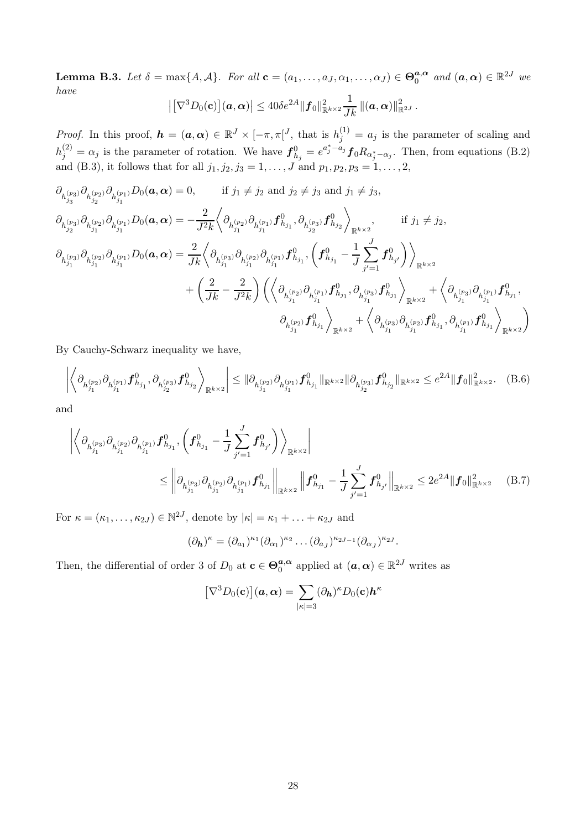<span id="page-27-0"></span>**Lemma B.3.** *Let*  $\delta = \max\{A, \mathcal{A}\}$ . For all  $\mathbf{c} = (a_1, \dots, a_J, \alpha_1, \dots, \alpha_J) \in \mathbf{\Theta}_0^{\mathbf{a}, \alpha}$  $a, \alpha$  and  $(a, \alpha) \in \mathbb{R}^{2J}$  we *have*  $\left|\left[\nabla^3D_0(\mathbf{c})\right](\boldsymbol{a},\boldsymbol{\alpha})\right|\leq 40\delta e^{2A}\|\boldsymbol{f}_0\|_{\mathbb{R}^{k\times 2}}^2$  $\frac{1}{Jk}\left\Vert (\boldsymbol{a},\boldsymbol{\alpha})\right\Vert _{\mathbb{R}^{2J}}^{2}.$ 

*Proof.* In this proof, 
$$
\mathbf{h} = (\mathbf{a}, \alpha) \in \mathbb{R}^J \times [-\pi, \pi]^J
$$
, that is  $h_j^{(1)} = a_j$  is the parameter of scaling and  $h_j^{(2)} = \alpha_j$  is the parameter of rotation. We have  $\mathbf{f}_{h_j}^0 = e^{a_j^* - a_j} \mathbf{f}_0 R_{\alpha_j^* - \alpha_j}$ . Then, from equations (B.2) and (B.3), it follows that for all  $j_1, j_2, j_3 = 1, \ldots, J$  and  $p_1, p_2, p_3 = 1, \ldots, 2$ ,

$$
\begin{split} \partial_{h_{j_3}^{(p_3)}}\partial_{h_{j_2}^{(p_2)}}\partial_{h_{j_1}^{(p_1)}} D_0 (\boldsymbol{a}, \boldsymbol{\alpha}) &= 0, \qquad \text{if } j_1 \neq j_2 \text{ and } j_2 \neq j_3 \text{ and } j_1 \neq j_3, \\ \partial_{h_{j_2}^{(p_3)}}\partial_{h_{j_1}^{(p_1)}}\partial_{h_{j_1}^{(p_1)}} D_0 (\boldsymbol{a}, \boldsymbol{\alpha}) &= -\frac{2}{J^2 k} \left\langle \partial_{h_{j_1}^{(p_2)}}\partial_{h_{j_1}^{(p_1)}} f_{h_{j_1}}^0, \partial_{h_{j_2}^{(p_3)}} f_{h_{j_2}}^0 \right\rangle_{\mathbb{R}^{k \times 2}}, \qquad \text{if } j_1 \neq j_2, \\ \partial_{h_{j_1}^{(p_3)}}\partial_{h_{j_1}^{(p_1)}} D_0 (\boldsymbol{a}, \boldsymbol{\alpha}) &= \frac{2}{J k} \left\langle \partial_{h_{j_1}^{(p_3)}}\partial_{h_{j_1}^{(p_2)}} \partial_{h_{j_1}^{(p_1)}} f_{h_{j_1}}^0, \left( f_{h_{j_1}}^0 - \frac{1}{J} \sum_{j'=1}^J f_{h_{j'}}^0 \right) \right\rangle_{\mathbb{R}^{k \times 2}} \\ &\quad + \left( \frac{2}{J k} - \frac{2}{J^2 k} \right) \left( \left\langle \partial_{h_{j_1}^{(p_2)}} \partial_{h_{j_1}^{(p_1)}} f_{h_{j_1}}^0, \partial_{h_{j_1}^{(p_3)}} f_{h_{j_1}}^0 \right\rangle_{\mathbb{R}^{k \times 2}} + \left\langle \partial_{h_{j_1}^{(p_3)}} \partial_{h_{j_1}^{(p_1)}} f_{h_{j_1}}^0, \partial_{h_{j_1}^{(p_1)}} f_{h_{j_1}}^0 \right\rangle_{\mathbb{R}^{k \times 2}} \right) \end{split}
$$

By Cauchy-Schwarz inequality we have,

$$
\left| \left\langle \partial_{h_{j_1}^{(p_2)}} \partial_{h_{j_1}^{(p_1)}} f_{h_{j_1}}^0, \partial_{h_{j_2}^{(p_3)}} f_{h_{j_2}}^0 \right\rangle_{\mathbb{R}^{k \times 2}} \right| \leq \| \partial_{h_{j_1}^{(p_2)}} \partial_{h_{j_1}^{(p_1)}} f_{h_{j_1}}^0 \|_{\mathbb{R}^{k \times 2}} \| \partial_{h_{j_2}^{(p_3)}} f_{h_{j_2}}^0 \|_{\mathbb{R}^{k \times 2}} \leq e^{2A} \| f_0 \|_{\mathbb{R}^{k \times 2}}^2. \tag{B.6}
$$

and

$$
\left| \left\langle \partial_{h_{j_1}^{(p_3)}} \partial_{h_{j_1}^{(p_2)}} \partial_{h_{j_1}^{(p_1)}} f_{h_{j_1}}^0, \left( f_{h_{j_1}}^0 - \frac{1}{J} \sum_{j'=1}^J f_{h_{j'}}^0 \right) \right\rangle_{\mathbb{R}^{k \times 2}} \right|
$$
  
 
$$
\leq \left\| \partial_{h_{j_1}^{(p_3)}} \partial_{h_{j_1}^{(p_2)}} \partial_{h_{j_1}^{(p_1)}} f_{h_{j_1}}^0 \right\|_{\mathbb{R}^{k \times 2}} \left\| f_{h_{j_1}}^0 - \frac{1}{J} \sum_{j'=1}^J f_{h_{j'}}^0 \right\|_{\mathbb{R}^{k \times 2}} \leq 2e^{2A} \|f_0\|_{\mathbb{R}^{k \times 2}}^2 \qquad (B.7)
$$

For  $\kappa = (\kappa_1, \ldots, \kappa_{2J}) \in \mathbb{N}^{2J}$ , denote by  $|\kappa| = \kappa_1 + \ldots + \kappa_{2J}$  and

<span id="page-27-1"></span>
$$
(\partial_{\mathbf{h}})^{\kappa} = (\partial_{a_1})^{\kappa_1} (\partial_{\alpha_1})^{\kappa_2} \dots (\partial_{a_J})^{\kappa_{2J-1}} (\partial_{\alpha_J})^{\kappa_{2J}}.
$$

Then, the differential of order 3 of  $D_0$  at  $\mathbf{c} \in \Theta_0^{\mathbf{a}, \alpha}$  $a_0^{\boldsymbol{a},\boldsymbol{\alpha}}$  applied at  $(\boldsymbol{a},\boldsymbol{\alpha})\in\mathbb{R}^{2J}$  writes as

<span id="page-27-2"></span>
$$
[\nabla^3 D_0(\mathbf{c})](\mathbf{a},\mathbf{\alpha}) = \sum_{|\kappa|=3} (\partial_{\mathbf{h}})^{\kappa} D_0(\mathbf{c}) \mathbf{h}^{\kappa}
$$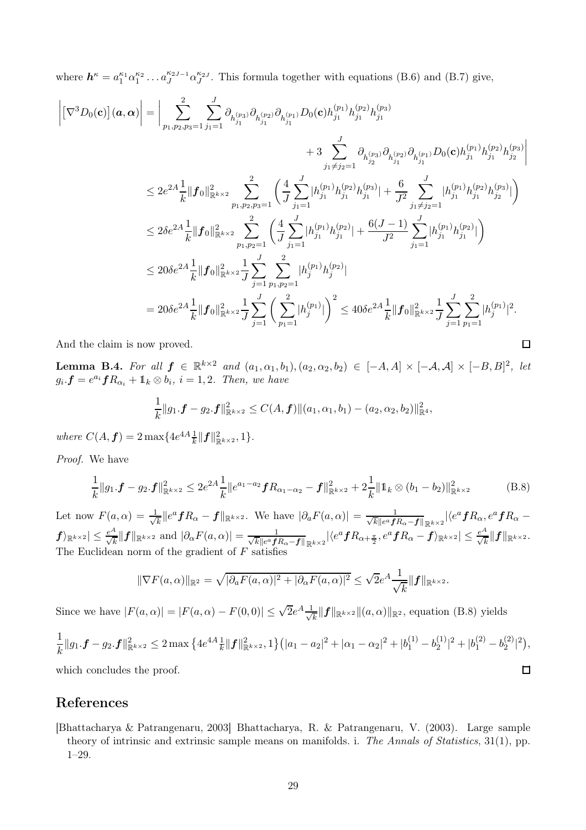where  $h^{\kappa} = a_1^{\kappa_1} \alpha_1^{\kappa_2} \dots a_J^{\kappa_{2J-1}} \alpha_J^{\kappa_{2J}}$ . This formula together with equations [\(B.6\)](#page-27-1) and [\(B.7\)](#page-27-2) give,

$$
\begin{split} \left| \left[ \nabla^3 D_0 (\mathbf{c}) \right] (\mathbf{a}, \mathbf{\alpha}) \right| &= \Bigg| \sum_{p_1, p_2, p_3 = 1}^2 \sum_{j_1 = 1}^J \partial_{h_{j_1}^{(p_3)}} \partial_{h_{j_1}^{(p_2)}} \partial_{h_{j_1}^{(p_1)}} D_0 (\mathbf{c}) h_{j_1}^{(p_1)} h_{j_1}^{(p_2)} h_{j_1}^{(p_3)} \\ &+ 3 \sum_{j_1 \neq j_2 = 1}^J \partial_{h_{j_2}^{(p_3)}} \partial_{h_{j_1}^{(p_2)}} \partial_{h_{j_1}^{(p_1)}} D_0 (\mathbf{c}) h_{j_1}^{(p_1)} h_{j_1}^{(p_2)} h_{j_2}^{(p_3)} \Bigg| \\ &\leq 2 e^{2A} \frac{1}{k} \Big\| \mathbf{f}_0 \Big\|_{\mathbb{R}^{k \times 2}}^2 \sum_{p_1, p_2, p_3 = 1}^2 \Bigg( \frac{4}{J} \sum_{j_1 = 1}^J |h_{j_1}^{(p_1)} h_{j_1}^{(p_2)} h_{j_1}^{(p_3)}| + \frac{6}{J^2} \sum_{j_1 \neq j_2 = 1}^J |h_{j_1}^{(p_1)} h_{j_1}^{(p_2)} h_{j_2}^{(p_3)}| \Bigg) \\ &\leq 2 \delta e^{2A} \frac{1}{k} \Big\| \mathbf{f}_0 \Big\|_{\mathbb{R}^{k \times 2}}^2 \sum_{p_1, p_2 = 1}^2 \Bigg( \frac{4}{J} \sum_{j_1 = 1}^J |h_{j_1}^{(p_1)} h_{j_1}^{(p_2)}| + \frac{6(J-1)}{J^2} \sum_{j_1 = 1}^J |h_{j_1}^{(p_1)} h_{j_1}^{(p_2)}| \Bigg) \\ &\leq 20 \delta e^{2A} \frac{1}{k} \Big\| \mathbf{f}_0 \Big\|_{\mathbb{R}^{k \times 2}}^2 \frac{1}{J} \sum_{j = 1}^J \sum_{p_1, p_2 = 1}^2 |h_{j}^{(p_1)} h
$$

<span id="page-28-1"></span>And the claim is now proved.

**Lemma B.4.** For all  $f \in \mathbb{R}^{k \times 2}$  and  $(a_1, \alpha_1, b_1), (a_2, \alpha_2, b_2) \in [-A, A] \times [-A, A] \times [-B, B]^2$ , let  $g_i \cdot \boldsymbol{f} = e^{a_i} \boldsymbol{f} R_{\alpha_i} + \mathbb{1}_k \otimes b_i, i = 1, 2$ . Then, we have

 $\Box$ 

$$
\frac{1}{k}||g_1 \cdot \mathbf{f} - g_2 \cdot \mathbf{f}||_{\mathbb{R}^{k \times 2}}^2 \leq C(A, \mathbf{f})||(a_1, \alpha_1, b_1) - (a_2, \alpha_2, b_2)||_{\mathbb{R}^4}^2,
$$

where  $C(A, f) = 2 \max\{4e^{4A} \frac{1}{k} ||f||_{\mathbb{R}^{k \times 2}}^2, 1\}.$ 

*Proof.* We have

<span id="page-28-2"></span>
$$
\frac{1}{k} \|g_1 \cdot f - g_2 \cdot f\|_{\mathbb{R}^{k \times 2}}^2 \le 2e^{2A} \frac{1}{k} \|e^{a_1 - a_2} f R_{\alpha_1 - \alpha_2} - f\|_{\mathbb{R}^{k \times 2}}^2 + 2 \frac{1}{k} \|1_k \otimes (b_1 - b_2)\|_{\mathbb{R}^{k \times 2}}^2
$$
 (B.8)

Let now  $F(a, \alpha) = \frac{1}{\sqrt{2}}$  $\frac{1}{k}\|e^{a}fR_{\alpha}-f\|_{\mathbb{R}^{k\times2}}.$  We have  $|\partial_{a}F(a,\alpha)|=\frac{1}{\sqrt{k}\|e^{a}f\|}$  $\frac{1}{\overline{k}\|e^afR_{\alpha}\textcolor{black}{-}f\|_{\mathbb{R}^{k\times2}}}|\langle e^afR_{\alpha},e^afR_{\alpha} \|f\rangle_{\mathbb{R}^{k\times2}}|\leq \frac{e^{A}}{\sqrt{k}}\|f\|_{\mathbb{R}^{k\times2}}\,\,\text{and}\,\,|\partial_{\alpha}F(a,\alpha)|=\frac{1}{\sqrt{k}\|e^{a}f\|_{\mathcal{B}^{k}}}$  $\frac{1}{k\|e^a\bm{f}R_\alpha-\bm{f}\|_{\mathbb{R}^{k\times2}}}|\langle e^a\bm{f}R_{\alpha+\frac{\pi}{2}},e^a\bm{f}R_\alpha-\bm{f}\rangle_{\mathbb{R}^{k\times2}}|\leq \frac{e^A}{\sqrt{k}}\|\bm{f}\|_{\mathbb{R}^{k\times2}}.$ The Euclidean norm of the gradient of  $F$  satisfies

$$
\|\nabla F(a,\alpha)\|_{\mathbb{R}^2} = \sqrt{|\partial_a F(a,\alpha)|^2 + |\partial_\alpha F(a,\alpha)|^2} \leq \sqrt{2}e^A \frac{1}{\sqrt{k}} \|f\|_{\mathbb{R}^{k\times 2}}.
$$

Since we have  $|F(a, \alpha)| = |F(a, \alpha) - F(0, 0)| \leq \sqrt{2}e^{\mathcal{A}} \frac{1}{\sqrt{2}}$  $\frac{1}{k} \|f\|_{\mathbb{R}^{k\times2}} \|(a,\alpha)\|_{\mathbb{R}^2}$ , equation [\(B.8\)](#page-28-2) yields

$$
\frac{1}{k} \|g_1 \cdot f - g_2 \cdot f\|_{\mathbb{R}^{k \times 2}}^2 \le 2 \max \left\{ 4e^{4A} \frac{1}{k} \|f\|_{\mathbb{R}^{k \times 2}}^2, 1 \right\} \left( |a_1 - a_2|^2 + |\alpha_1 - \alpha_2|^2 + |b_1^{(1)} - b_2^{(1)}|^2 + |b_1^{(2)} - b_2^{(2)}|^2 \right),
$$
\nwhich concludes the proof.

\n
$$
\Box
$$

which concludes the proof.

# References

<span id="page-28-0"></span>[Bhattacharya & Patrangenaru, 2003] Bhattacharya, R. & Patrangenaru, V. (2003). Large sample theory of intrinsic and extrinsic sample means on manifolds. i. *The Annals of Statistics*, 31(1), pp. 1–29.